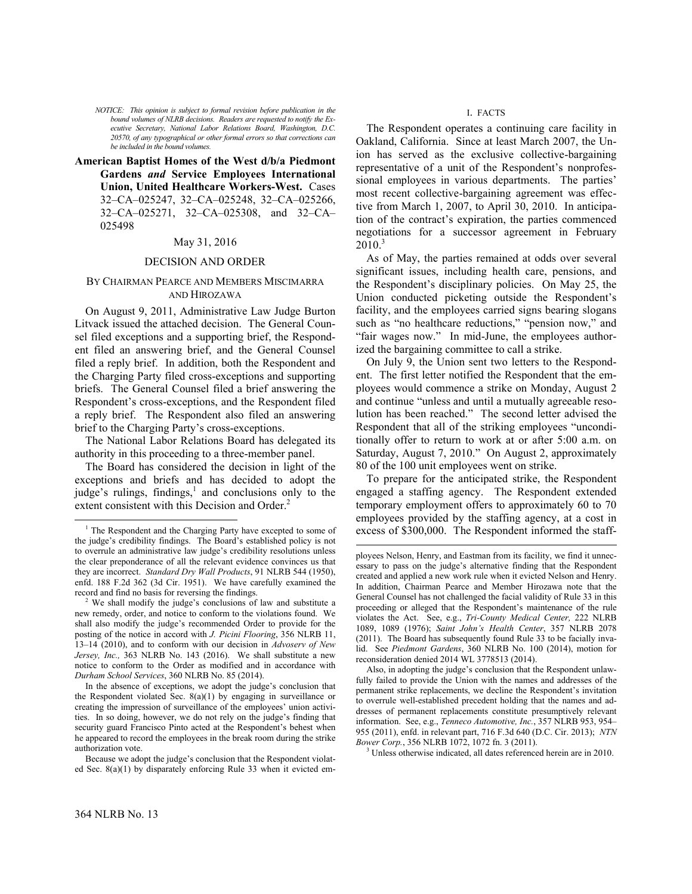*NOTICE: This opinion is subject to formal revision before publication in the bound volumes of NLRB decisions. Readers are requested to notify the Executive Secretary, National Labor Relations Board, Washington, D.C. 20570, of any typographical or other formal errors so that corrections can be included in the bound volumes.*

**American Baptist Homes of the West d/b/a Piedmont Gardens** *and* **Service Employees International Union, United Healthcare Workers-West.** Cases 32–CA–025247, 32–CA–025248, 32–CA–025266, 32–CA–025271, 32–CA–025308, and 32–CA– 025498

# May 31, 2016

### DECISION AND ORDER

### BY CHAIRMAN PEARCE AND MEMBERS MISCIMARRA AND HIROZAWA

On August 9, 2011, Administrative Law Judge Burton Litvack issued the attached decision. The General Counsel filed exceptions and a supporting brief, the Respondent filed an answering brief, and the General Counsel filed a reply brief. In addition, both the Respondent and the Charging Party filed cross-exceptions and supporting briefs. The General Counsel filed a brief answering the Respondent's cross-exceptions, and the Respondent filed a reply brief. The Respondent also filed an answering brief to the Charging Party's cross-exceptions.

The National Labor Relations Board has delegated its authority in this proceeding to a three-member panel.

The Board has considered the decision in light of the exceptions and briefs and has decided to adopt the judge's rulings, findings, $\frac{1}{2}$  $\frac{1}{2}$  $\frac{1}{2}$  and conclusions only to the extent consistent with this Decision and Order.<sup>[2](#page-0-1)</sup>

<span id="page-0-2"></span>Because we adopt the judge's conclusion that the Respondent violated Sec. 8(a)(1) by disparately enforcing Rule 33 when it evicted em-

### I. FACTS

The Respondent operates a continuing care facility in Oakland, California. Since at least March 2007, the Union has served as the exclusive collective-bargaining representative of a unit of the Respondent's nonprofessional employees in various departments. The parties' most recent collective-bargaining agreement was effective from March 1, 2007, to April 30, 2010. In anticipation of the contract's expiration, the parties commenced negotiations for a successor agreement in February  $2010.<sup>3</sup>$  $2010.<sup>3</sup>$  $2010.<sup>3</sup>$ 

As of May, the parties remained at odds over several significant issues, including health care, pensions, and the Respondent's disciplinary policies. On May 25, the Union conducted picketing outside the Respondent's facility, and the employees carried signs bearing slogans such as "no healthcare reductions," "pension now," and "fair wages now." In mid-June, the employees authorized the bargaining committee to call a strike.

On July 9, the Union sent two letters to the Respondent. The first letter notified the Respondent that the employees would commence a strike on Monday, August 2 and continue "unless and until a mutually agreeable resolution has been reached." The second letter advised the Respondent that all of the striking employees "unconditionally offer to return to work at or after 5:00 a.m. on Saturday, August 7, 2010." On August 2, approximately 80 of the 100 unit employees went on strike.

To prepare for the anticipated strike, the Respondent engaged a staffing agency. The Respondent extended temporary employment offers to approximately 60 to 70 employees provided by the staffing agency, at a cost in excess of \$300,000. The Respondent informed the staff-

 $\overline{a}$ 

<sup>3</sup> Unless otherwise indicated, all dates referenced herein are in 2010.

-

<span id="page-0-0"></span><sup>&</sup>lt;sup>1</sup> The Respondent and the Charging Party have excepted to some of the judge's credibility findings. The Board's established policy is not to overrule an administrative law judge's credibility resolutions unless the clear preponderance of all the relevant evidence convinces us that they are incorrect. *Standard Dry Wall Products*, 91 NLRB 544 (1950), enfd. 188 F.2d 362 (3d Cir. 1951). We have carefully examined the record and find no basis for reversing the findings.

<span id="page-0-1"></span>We shall modify the judge's conclusions of law and substitute a new remedy, order, and notice to conform to the violations found. We shall also modify the judge's recommended Order to provide for the posting of the notice in accord with *J. Picini Flooring*, 356 NLRB 11, 13–14 (2010), and to conform with our decision in *Advoserv of New Jersey, Inc.,* 363 NLRB No. 143 (2016). We shall substitute a new notice to conform to the Order as modified and in accordance with *Durham School Services*, 360 NLRB No. 85 (2014).

In the absence of exceptions, we adopt the judge's conclusion that the Respondent violated Sec. 8(a)(1) by engaging in surveillance or creating the impression of surveillance of the employees' union activities. In so doing, however, we do not rely on the judge's finding that security guard Francisco Pinto acted at the Respondent's behest when he appeared to record the employees in the break room during the strike authorization vote.

ployees Nelson, Henry, and Eastman from its facility, we find it unnecessary to pass on the judge's alternative finding that the Respondent created and applied a new work rule when it evicted Nelson and Henry. In addition, Chairman Pearce and Member Hirozawa note that the General Counsel has not challenged the facial validity of Rule 33 in this proceeding or alleged that the Respondent's maintenance of the rule violates the Act. See, e.g., *Tri-County Medical Center,* 222 NLRB 1089, 1089 (1976); *Saint John's Health Center*, 357 NLRB 2078 (2011). The Board has subsequently found Rule 33 to be facially invalid. See *Piedmont Gardens*, 360 NLRB No. 100 (2014), motion for reconsideration denied 2014 WL 3778513 (2014).

Also, in adopting the judge's conclusion that the Respondent unlawfully failed to provide the Union with the names and addresses of the permanent strike replacements, we decline the Respondent's invitation to overrule well-established precedent holding that the names and addresses of permanent replacements constitute presumptively relevant information. See, e.g., *Tenneco Automotive, Inc.*, 357 NLRB 953, 954– 955 (2011), enfd. in relevant part, 716 F.3d 640 (D.C. Cir. 2013); *NTN Bower Corp.*, 356 NLRB 1072, 1072 fn. 3 (2011).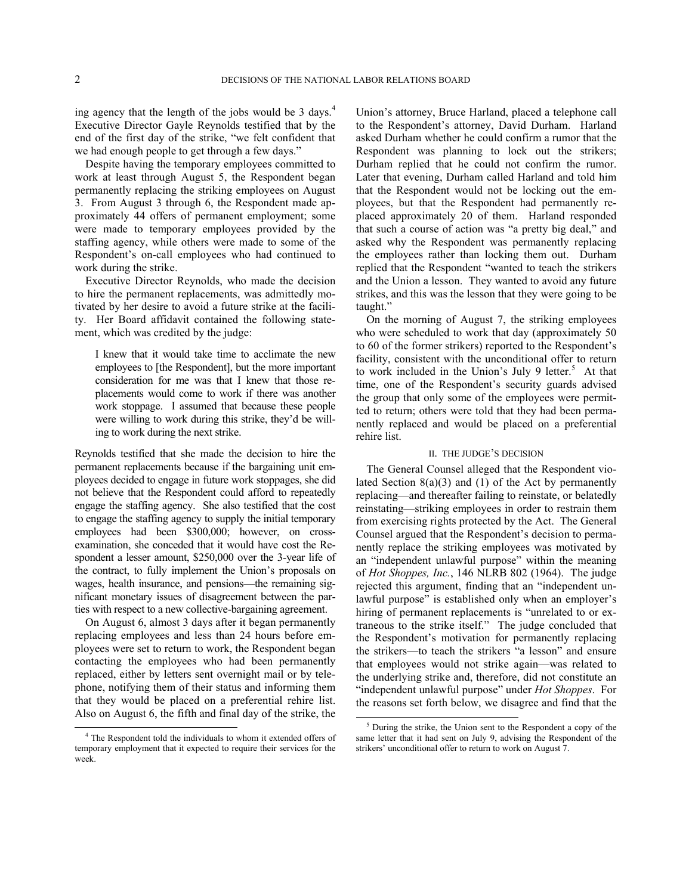ing agency that the length of the jobs would be 3 days. $4$ Executive Director Gayle Reynolds testified that by the end of the first day of the strike, "we felt confident that we had enough people to get through a few days."

Despite having the temporary employees committed to work at least through August 5, the Respondent began permanently replacing the striking employees on August 3. From August 3 through 6, the Respondent made approximately 44 offers of permanent employment; some were made to temporary employees provided by the staffing agency, while others were made to some of the Respondent's on-call employees who had continued to work during the strike.

Executive Director Reynolds, who made the decision to hire the permanent replacements, was admittedly motivated by her desire to avoid a future strike at the facility. Her Board affidavit contained the following statement, which was credited by the judge:

I knew that it would take time to acclimate the new employees to [the Respondent], but the more important consideration for me was that I knew that those replacements would come to work if there was another work stoppage. I assumed that because these people were willing to work during this strike, they'd be willing to work during the next strike.

Reynolds testified that she made the decision to hire the permanent replacements because if the bargaining unit employees decided to engage in future work stoppages, she did not believe that the Respondent could afford to repeatedly engage the staffing agency. She also testified that the cost to engage the staffing agency to supply the initial temporary employees had been \$300,000; however, on crossexamination, she conceded that it would have cost the Respondent a lesser amount, \$250,000 over the 3-year life of the contract, to fully implement the Union's proposals on wages, health insurance, and pensions—the remaining significant monetary issues of disagreement between the parties with respect to a new collective-bargaining agreement.

On August 6, almost 3 days after it began permanently replacing employees and less than 24 hours before employees were set to return to work, the Respondent began contacting the employees who had been permanently replaced, either by letters sent overnight mail or by telephone, notifying them of their status and informing them that they would be placed on a preferential rehire list. Also on August 6, the fifth and final day of the strike, the Union's attorney, Bruce Harland, placed a telephone call to the Respondent's attorney, David Durham. Harland asked Durham whether he could confirm a rumor that the Respondent was planning to lock out the strikers; Durham replied that he could not confirm the rumor. Later that evening, Durham called Harland and told him that the Respondent would not be locking out the employees, but that the Respondent had permanently replaced approximately 20 of them. Harland responded that such a course of action was "a pretty big deal," and asked why the Respondent was permanently replacing the employees rather than locking them out. Durham replied that the Respondent "wanted to teach the strikers and the Union a lesson. They wanted to avoid any future strikes, and this was the lesson that they were going to be taught."

On the morning of August 7, the striking employees who were scheduled to work that day (approximately 50 to 60 of the former strikers) reported to the Respondent's facility, consistent with the unconditional offer to return to work included in the Union's July 9 letter.<sup>[5](#page-1-1)</sup> At that time, one of the Respondent's security guards advised the group that only some of the employees were permitted to return; others were told that they had been permanently replaced and would be placed on a preferential rehire list.

## II. THE JUDGE'S DECISION

The General Counsel alleged that the Respondent violated Section  $8(a)(3)$  and (1) of the Act by permanently replacing—and thereafter failing to reinstate, or belatedly reinstating—striking employees in order to restrain them from exercising rights protected by the Act. The General Counsel argued that the Respondent's decision to permanently replace the striking employees was motivated by an "independent unlawful purpose" within the meaning of *Hot Shoppes, Inc.*, 146 NLRB 802 (1964). The judge rejected this argument, finding that an "independent unlawful purpose" is established only when an employer's hiring of permanent replacements is "unrelated to or extraneous to the strike itself." The judge concluded that the Respondent's motivation for permanently replacing the strikers—to teach the strikers "a lesson" and ensure that employees would not strike again—was related to the underlying strike and, therefore, did not constitute an "independent unlawful purpose" under *Hot Shoppes*. For the reasons set forth below, we disagree and find that the

 $\overline{a}$ 

<span id="page-1-1"></span><span id="page-1-0"></span><sup>4</sup> The Respondent told the individuals to whom it extended offers of temporary employment that it expected to require their services for the week.

<sup>5</sup> During the strike, the Union sent to the Respondent a copy of the same letter that it had sent on July 9, advising the Respondent of the strikers' unconditional offer to return to work on August 7.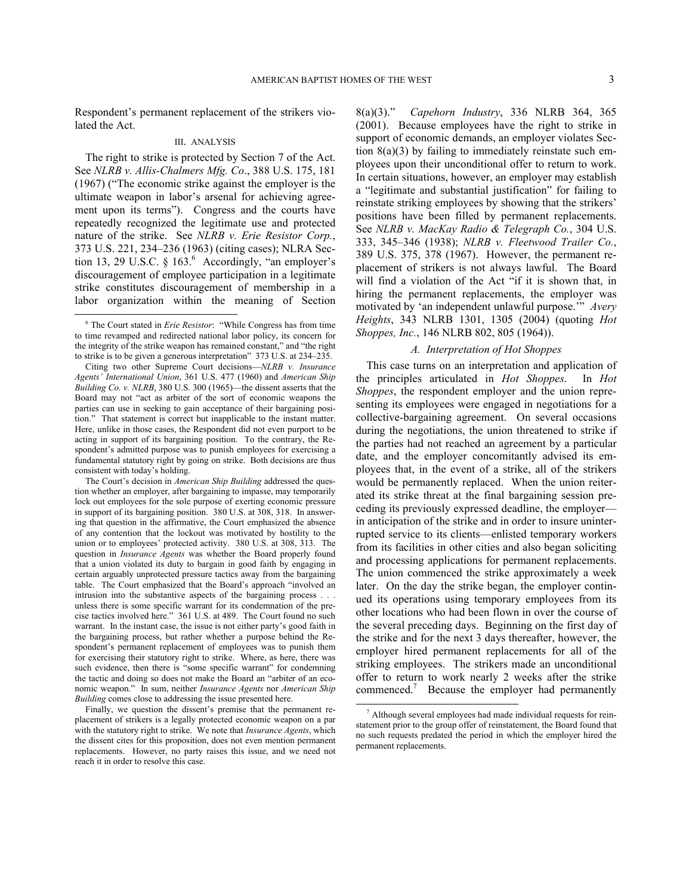Respondent's permanent replacement of the strikers violated the Act.

## III. ANALYSIS

The right to strike is protected by Section 7 of the Act. See *NLRB v. Allis-Chalmers Mfg. Co*., 388 U.S. 175, 181 (1967) ("The economic strike against the employer is the ultimate weapon in labor's arsenal for achieving agreement upon its terms").Congress and the courts have repeatedly recognized the legitimate use and protected nature of the strike. See *NLRB v. Erie Resistor Corp.*, 373 U.S. 221, 234–236 (1963) (citing cases); NLRA Section 13, 29 U.S.C.  $\S$  1[6](#page-2-0)3.<sup>6</sup> Accordingly, "an employer's discouragement of employee participation in a legitimate strike constitutes discouragement of membership in a labor organization within the meaning of Section

1

The Court's decision in *American Ship Building* addressed the question whether an employer, after bargaining to impasse, may temporarily lock out employees for the sole purpose of exerting economic pressure in support of its bargaining position. 380 U.S. at 308, 318. In answering that question in the affirmative, the Court emphasized the absence of any contention that the lockout was motivated by hostility to the union or to employees' protected activity. 380 U.S. at 308, 313. The question in *Insurance Agents* was whether the Board properly found that a union violated its duty to bargain in good faith by engaging in certain arguably unprotected pressure tactics away from the bargaining table. The Court emphasized that the Board's approach "involved an intrusion into the substantive aspects of the bargaining process . . . unless there is some specific warrant for its condemnation of the precise tactics involved here." 361 U.S. at 489. The Court found no such warrant. In the instant case, the issue is not either party's good faith in the bargaining process, but rather whether a purpose behind the Respondent's permanent replacement of employees was to punish them for exercising their statutory right to strike. Where, as here, there was such evidence, then there is "some specific warrant" for condemning the tactic and doing so does not make the Board an "arbiter of an economic weapon." In sum, neither *Insurance Agents* nor *American Ship Building* comes close to addressing the issue presented here.

<span id="page-2-1"></span>Finally, we question the dissent's premise that the permanent replacement of strikers is a legally protected economic weapon on a par with the statutory right to strike. We note that *Insurance Agents*, which the dissent cites for this proposition, does not even mention permanent replacements. However, no party raises this issue, and we need not reach it in order to resolve this case.

8(a)(3)." *Capehorn Industry*, 336 NLRB 364, 365 (2001). Because employees have the right to strike in support of economic demands, an employer violates Section  $8(a)(3)$  by failing to immediately reinstate such employees upon their unconditional offer to return to work. In certain situations, however, an employer may establish a "legitimate and substantial justification" for failing to reinstate striking employees by showing that the strikers' positions have been filled by permanent replacements. See *NLRB v. MacKay Radio & Telegraph Co.*, 304 U.S. 333, 345–346 (1938); *NLRB v. Fleetwood Trailer Co.*, 389 U.S. 375, 378 (1967). However, the permanent replacement of strikers is not always lawful. The Board will find a violation of the Act "if it is shown that, in hiring the permanent replacements, the employer was motivated by 'an independent unlawful purpose.'" *Avery Heights*, 343 NLRB 1301, 1305 (2004) (quoting *Hot Shoppes, Inc.*, 146 NLRB 802, 805 (1964)).

# *A. Interpretation of Hot Shoppes*

This case turns on an interpretation and application of the principles articulated in *Hot Shoppes*. In *Hot Shoppes*, the respondent employer and the union representing its employees were engaged in negotiations for a collective-bargaining agreement. On several occasions during the negotiations, the union threatened to strike if the parties had not reached an agreement by a particular date, and the employer concomitantly advised its employees that, in the event of a strike, all of the strikers would be permanently replaced. When the union reiterated its strike threat at the final bargaining session preceding its previously expressed deadline, the employer in anticipation of the strike and in order to insure uninterrupted service to its clients—enlisted temporary workers from its facilities in other cities and also began soliciting and processing applications for permanent replacements. The union commenced the strike approximately a week later. On the day the strike began, the employer continued its operations using temporary employees from its other locations who had been flown in over the course of the several preceding days. Beginning on the first day of the strike and for the next 3 days thereafter, however, the employer hired permanent replacements for all of the striking employees. The strikers made an unconditional offer to return to work nearly 2 weeks after the strike commenced.[7](#page-2-1) Because the employer had permanently

 $\overline{a}$ 

<span id="page-2-0"></span><sup>6</sup> The Court stated in *Erie Resistor*: "While Congress has from time to time revamped and redirected national labor policy, its concern for the integrity of the strike weapon has remained constant," and "the right to strike is to be given a generous interpretation" 373 U.S. at 234–235.

Citing two other Supreme Court decisions—*NLRB v. Insurance Agents' International Union*, 361 U.S. 477 (1960) and *American Ship Building Co. v. NLRB*, 380 U.S. 300 (1965)—the dissent asserts that the Board may not "act as arbiter of the sort of economic weapons the parties can use in seeking to gain acceptance of their bargaining position." That statement is correct but inapplicable to the instant matter. Here, unlike in those cases, the Respondent did not even purport to be acting in support of its bargaining position. To the contrary, the Respondent's admitted purpose was to punish employees for exercising a fundamental statutory right by going on strike. Both decisions are thus consistent with today's holding.

<sup>7</sup> Although several employees had made individual requests for reinstatement prior to the group offer of reinstatement, the Board found that no such requests predated the period in which the employer hired the permanent replacements.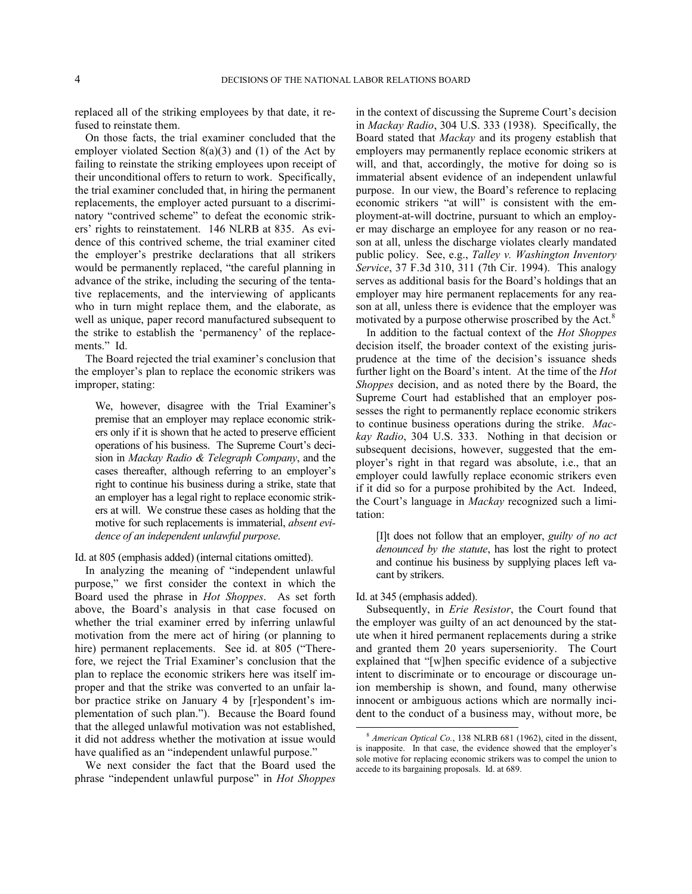replaced all of the striking employees by that date, it refused to reinstate them.

On those facts, the trial examiner concluded that the employer violated Section  $8(a)(3)$  and (1) of the Act by failing to reinstate the striking employees upon receipt of their unconditional offers to return to work. Specifically, the trial examiner concluded that, in hiring the permanent replacements, the employer acted pursuant to a discriminatory "contrived scheme" to defeat the economic strikers' rights to reinstatement. 146 NLRB at 835. As evidence of this contrived scheme, the trial examiner cited the employer's prestrike declarations that all strikers would be permanently replaced, "the careful planning in advance of the strike, including the securing of the tentative replacements, and the interviewing of applicants who in turn might replace them, and the elaborate, as well as unique, paper record manufactured subsequent to the strike to establish the 'permanency' of the replacements." Id.

The Board rejected the trial examiner's conclusion that the employer's plan to replace the economic strikers was improper, stating:

We, however, disagree with the Trial Examiner's premise that an employer may replace economic strikers only if it is shown that he acted to preserve efficient operations of his business. The Supreme Court's decision in *Mackay Radio & Telegraph Company*, and the cases thereafter, although referring to an employer's right to continue his business during a strike, state that an employer has a legal right to replace economic strikers at will. We construe these cases as holding that the motive for such replacements is immaterial, *absent evidence of an independent unlawful purpose*.

Id. at 805 (emphasis added) (internal citations omitted).

In analyzing the meaning of "independent unlawful purpose," we first consider the context in which the Board used the phrase in *Hot Shoppes*. As set forth above, the Board's analysis in that case focused on whether the trial examiner erred by inferring unlawful motivation from the mere act of hiring (or planning to hire) permanent replacements. See id. at 805 ("Therefore, we reject the Trial Examiner's conclusion that the plan to replace the economic strikers here was itself improper and that the strike was converted to an unfair labor practice strike on January 4 by [r]espondent's implementation of such plan."). Because the Board found that the alleged unlawful motivation was not established, it did not address whether the motivation at issue would have qualified as an "independent unlawful purpose."

<span id="page-3-0"></span>We next consider the fact that the Board used the phrase "independent unlawful purpose" in *Hot Shoppes*

in the context of discussing the Supreme Court's decision in *Mackay Radio*, 304 U.S. 333 (1938). Specifically, the Board stated that *Mackay* and its progeny establish that employers may permanently replace economic strikers at will, and that, accordingly, the motive for doing so is immaterial absent evidence of an independent unlawful purpose. In our view, the Board's reference to replacing economic strikers "at will" is consistent with the employment-at-will doctrine, pursuant to which an employer may discharge an employee for any reason or no reason at all, unless the discharge violates clearly mandated public policy. See, e.g., *Talley v. Washington Inventory Service*, 37 F.3d 310, 311 (7th Cir. 1994). This analogy serves as additional basis for the Board's holdings that an employer may hire permanent replacements for any reason at all, unless there is evidence that the employer was motivated by a purpose otherwise proscribed by the Act.<sup>[8](#page-3-0)</sup>

In addition to the factual context of the *Hot Shoppes* decision itself, the broader context of the existing jurisprudence at the time of the decision's issuance sheds further light on the Board's intent. At the time of the *Hot Shoppes* decision, and as noted there by the Board, the Supreme Court had established that an employer possesses the right to permanently replace economic strikers to continue business operations during the strike. *Mackay Radio*, 304 U.S. 333. Nothing in that decision or subsequent decisions, however, suggested that the employer's right in that regard was absolute, i.e., that an employer could lawfully replace economic strikers even if it did so for a purpose prohibited by the Act. Indeed, the Court's language in *Mackay* recognized such a limitation:

[I]t does not follow that an employer, *guilty of no act denounced by the statute*, has lost the right to protect and continue his business by supplying places left vacant by strikers.

## Id. at 345 (emphasis added).

l

Subsequently, in *Erie Resistor*, the Court found that the employer was guilty of an act denounced by the statute when it hired permanent replacements during a strike and granted them 20 years superseniority. The Court explained that "[w]hen specific evidence of a subjective intent to discriminate or to encourage or discourage union membership is shown, and found, many otherwise innocent or ambiguous actions which are normally incident to the conduct of a business may, without more, be

<sup>8</sup> *American Optical Co.*, 138 NLRB 681 (1962), cited in the dissent, is inapposite. In that case, the evidence showed that the employer's sole motive for replacing economic strikers was to compel the union to accede to its bargaining proposals. Id. at 689.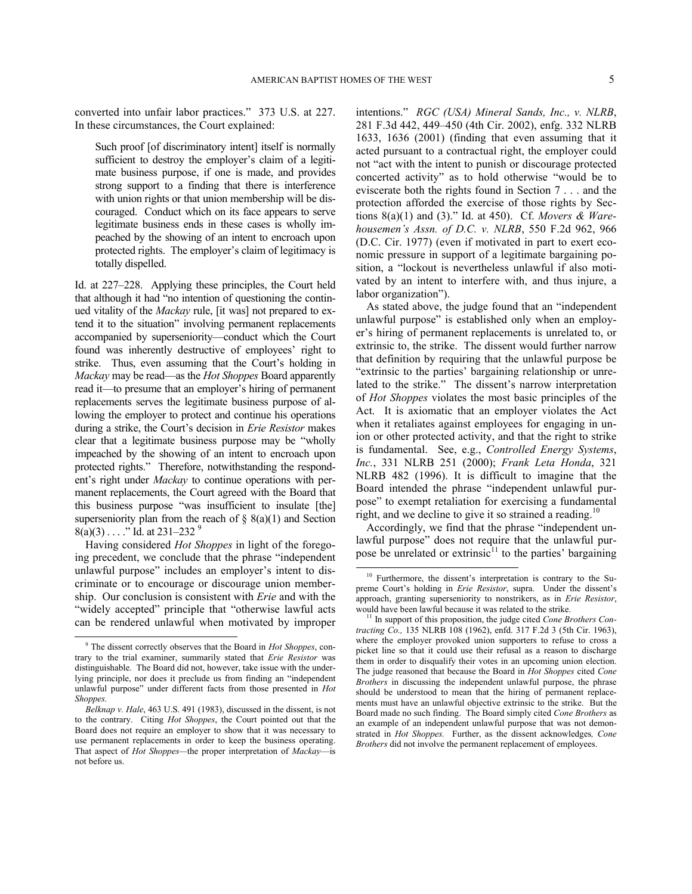converted into unfair labor practices." 373 U.S. at 227. In these circumstances, the Court explained:

Such proof [of discriminatory intent] itself is normally sufficient to destroy the employer's claim of a legitimate business purpose, if one is made, and provides strong support to a finding that there is interference with union rights or that union membership will be discouraged. Conduct which on its face appears to serve legitimate business ends in these cases is wholly impeached by the showing of an intent to encroach upon protected rights. The employer's claim of legitimacy is totally dispelled.

Id. at 227–228. Applying these principles, the Court held that although it had "no intention of questioning the continued vitality of the *Mackay* rule, [it was] not prepared to extend it to the situation" involving permanent replacements accompanied by superseniority—conduct which the Court found was inherently destructive of employees' right to strike. Thus, even assuming that the Court's holding in *Mackay* may be read—as the *Hot Shoppes* Board apparently read it—to presume that an employer's hiring of permanent replacements serves the legitimate business purpose of allowing the employer to protect and continue his operations during a strike, the Court's decision in *Erie Resistor* makes clear that a legitimate business purpose may be "wholly impeached by the showing of an intent to encroach upon protected rights." Therefore, notwithstanding the respondent's right under *Mackay* to continue operations with permanent replacements, the Court agreed with the Board that this business purpose "was insufficient to insulate [the] superseniority plan from the reach of  $\S$  8(a)(1) and Section  $8(a)(3) \ldots$  ." Id. at 231–232<sup>[9](#page-4-0)</sup>

<span id="page-4-1"></span>Having considered *Hot Shoppes* in light of the foregoing precedent, we conclude that the phrase "independent unlawful purpose" includes an employer's intent to discriminate or to encourage or discourage union membership. Our conclusion is consistent with *Erie* and with the "widely accepted" principle that "otherwise lawful acts can be rendered unlawful when motivated by improper

<span id="page-4-2"></span>-

intentions." *RGC (USA) Mineral Sands, Inc., v. NLRB*, 281 F.3d 442, 449–450 (4th Cir. 2002), enfg. 332 NLRB 1633, 1636 (2001) (finding that even assuming that it acted pursuant to a contractual right, the employer could not "act with the intent to punish or discourage protected concerted activity" as to hold otherwise "would be to eviscerate both the rights found in Section 7 . . . and the protection afforded the exercise of those rights by Sections 8(a)(1) and (3)." Id. at 450). Cf. *Movers & Warehousemen's Assn. of D.C. v. NLRB*, 550 F.2d 962, 966 (D.C. Cir. 1977) (even if motivated in part to exert economic pressure in support of a legitimate bargaining position, a "lockout is nevertheless unlawful if also motivated by an intent to interfere with, and thus injure, a labor organization").

As stated above, the judge found that an "independent unlawful purpose" is established only when an employer's hiring of permanent replacements is unrelated to, or extrinsic to, the strike. The dissent would further narrow that definition by requiring that the unlawful purpose be "extrinsic to the parties' bargaining relationship or unrelated to the strike." The dissent's narrow interpretation of *Hot Shoppes* violates the most basic principles of the Act. It is axiomatic that an employer violates the Act when it retaliates against employees for engaging in union or other protected activity, and that the right to strike is fundamental. See, e.g., *Controlled Energy Systems*, *Inc.*, 331 NLRB 251 (2000); *Frank Leta Honda*, 321 NLRB 482 (1996). It is difficult to imagine that the Board intended the phrase "independent unlawful purpose" to exempt retaliation for exercising a fundamental right, and we decline to give it so strained a reading.<sup>[10](#page-4-1)</sup>

Accordingly, we find that the phrase "independent unlawful purpose" does not require that the unlawful purpose be unrelated or extrinsic $11$  to the parties' bargaining

<span id="page-4-0"></span><sup>9</sup> The dissent correctly observes that the Board in *Hot Shoppes*, contrary to the trial examiner, summarily stated that *Erie Resistor* was distinguishable. The Board did not, however, take issue with the underlying principle, nor does it preclude us from finding an "independent unlawful purpose" under different facts from those presented in *Hot Shoppes.*

*Belknap v. Hale*, 463 U.S. 491 (1983), discussed in the dissent, is not to the contrary. Citing *Hot Shoppes*, the Court pointed out that the Board does not require an employer to show that it was necessary to use permanent replacements in order to keep the business operating. That aspect of *Hot Shoppes—*the proper interpretation of *Mackay*—is not before us.

<sup>&</sup>lt;sup>10</sup> Furthermore, the dissent's interpretation is contrary to the Supreme Court's holding in *Erie Resistor*, supra. Under the dissent's approach, granting superseniority to nonstrikers, as in *Erie Resistor*, would have been lawful because it was related to the strike.

<sup>&</sup>lt;sup>11</sup> In support of this proposition, the judge cited *Cone Brothers Contracting Co.,* 135 NLRB 108 (1962), enfd. 317 F.2d 3 (5th Cir. 1963), where the employer provoked union supporters to refuse to cross a picket line so that it could use their refusal as a reason to discharge them in order to disqualify their votes in an upcoming union election. The judge reasoned that because the Board in *Hot Shoppes* cited *Cone Brothers* in discussing the independent unlawful purpose, the phrase should be understood to mean that the hiring of permanent replacements must have an unlawful objective extrinsic to the strike. But the Board made no such finding. The Board simply cited *Cone Brothers* as an example of an independent unlawful purpose that was not demonstrated in *Hot Shoppes.* Further, as the dissent acknowledges*, Cone Brothers* did not involve the permanent replacement of employees.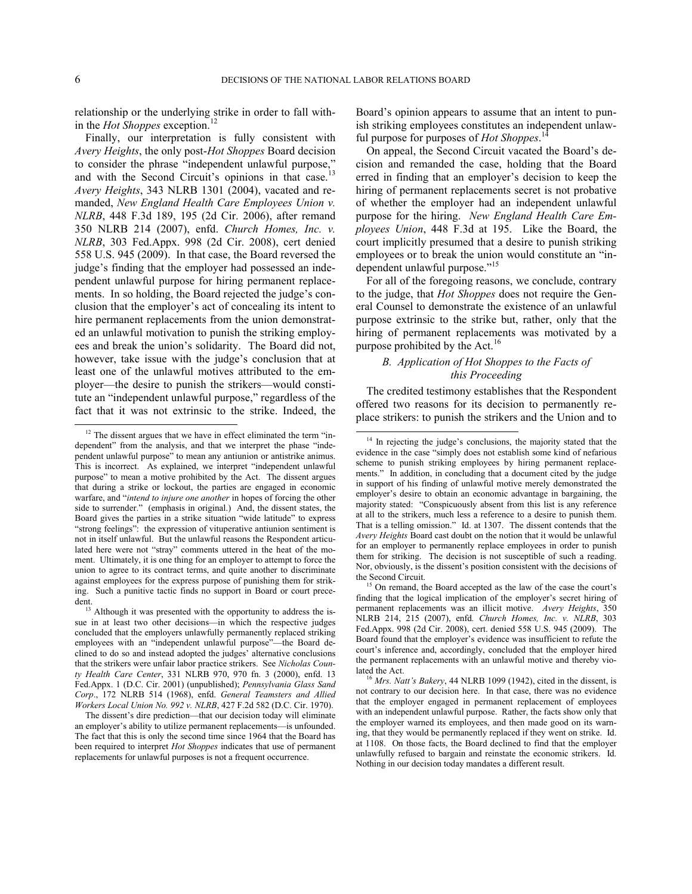relationship or the underlying strike in order to fall within the *Hot Shoppes* exception.[12](#page-5-0)

Finally, our interpretation is fully consistent with *Avery Heights*, the only post-*Hot Shoppes* Board decision to consider the phrase "independent unlawful purpose," and with the Second Circuit's opinions in that case.<sup>[13](#page-5-1)</sup> *Avery Heights*, 343 NLRB 1301 (2004), vacated and remanded, *New England Health Care Employees Union v. NLRB*, 448 F.3d 189, 195 (2d Cir. 2006), after remand 350 NLRB 214 (2007), enfd. *Church Homes, Inc. v. NLRB*, 303 Fed.Appx. 998 (2d Cir. 2008), cert denied 558 U.S. 945 (2009). In that case, the Board reversed the judge's finding that the employer had possessed an independent unlawful purpose for hiring permanent replacements. In so holding, the Board rejected the judge's conclusion that the employer's act of concealing its intent to hire permanent replacements from the union demonstrated an unlawful motivation to punish the striking employees and break the union's solidarity. The Board did not, however, take issue with the judge's conclusion that at least one of the unlawful motives attributed to the employer—the desire to punish the strikers—would constitute an "independent unlawful purpose," regardless of the fact that it was not extrinsic to the strike. Indeed, the  $\overline{a}$ 

Board's opinion appears to assume that an intent to punish striking employees constitutes an independent unlawful purpose for purposes of *Hot Shoppes*. [14](#page-5-2)

On appeal, the Second Circuit vacated the Board's decision and remanded the case, holding that the Board erred in finding that an employer's decision to keep the hiring of permanent replacements secret is not probative of whether the employer had an independent unlawful purpose for the hiring. *New England Health Care Employees Union*, 448 F.3d at 195. Like the Board, the court implicitly presumed that a desire to punish striking employees or to break the union would constitute an "in-dependent unlawful purpose."<sup>[15](#page-5-3)</sup>

For all of the foregoing reasons, we conclude, contrary to the judge, that *Hot Shoppes* does not require the General Counsel to demonstrate the existence of an unlawful purpose extrinsic to the strike but, rather, only that the hiring of permanent replacements was motivated by a purpose prohibited by the Act.<sup>[16](#page-5-4)</sup>

# *B. Application of Hot Shoppes to the Facts of this Proceeding*

The credited testimony establishes that the Respondent offered two reasons for its decision to permanently replace strikers: to punish the strikers and the Union and to

<span id="page-5-2"></span><span id="page-5-0"></span> $12$  The dissent argues that we have in effect eliminated the term "independent" from the analysis, and that we interpret the phase "independent unlawful purpose" to mean any antiunion or antistrike animus. This is incorrect. As explained, we interpret "independent unlawful purpose" to mean a motive prohibited by the Act. The dissent argues that during a strike or lockout, the parties are engaged in economic warfare, and "*intend to injure one another* in hopes of forcing the other side to surrender." (emphasis in original.) And, the dissent states, the Board gives the parties in a strike situation "wide latitude" to express "strong feelings": the expression of vituperative antiunion sentiment is not in itself unlawful. But the unlawful reasons the Respondent articulated here were not "stray" comments uttered in the heat of the moment. Ultimately, it is one thing for an employer to attempt to force the union to agree to its contract terms, and quite another to discriminate against employees for the express purpose of punishing them for striking. Such a punitive tactic finds no support in Board or court precedent.

<span id="page-5-3"></span><span id="page-5-1"></span><sup>&</sup>lt;sup>13</sup> Although it was presented with the opportunity to address the issue in at least two other decisions—in which the respective judges concluded that the employers unlawfully permanently replaced striking employees with an "independent unlawful purpose"—the Board declined to do so and instead adopted the judges' alternative conclusions that the strikers were unfair labor practice strikers. See *Nicholas County Health Care Center*, 331 NLRB 970, 970 fn. 3 (2000), enfd. 13 Fed.Appx. 1 (D.C. Cir. 2001) (unpublished); *Pennsylvania Glass Sand Corp*., 172 NLRB 514 (1968), enfd. *General Teamsters and Allied Workers Local Union No. 992 v. NLRB*, 427 F.2d 582 (D.C. Cir. 1970).

<span id="page-5-4"></span>The dissent's dire prediction—that our decision today will eliminate an employer's ability to utilize permanent replacements—is unfounded. The fact that this is only the second time since 1964 that the Board has been required to interpret *Hot Shoppes* indicates that use of permanent replacements for unlawful purposes is not a frequent occurrence.

<sup>&</sup>lt;sup>14</sup> In rejecting the judge's conclusions, the majority stated that the evidence in the case "simply does not establish some kind of nefarious scheme to punish striking employees by hiring permanent replacements." In addition, in concluding that a document cited by the judge in support of his finding of unlawful motive merely demonstrated the employer's desire to obtain an economic advantage in bargaining, the majority stated: "Conspicuously absent from this list is any reference at all to the strikers, much less a reference to a desire to punish them. That is a telling omission." Id. at 1307. The dissent contends that the *Avery Heights* Board cast doubt on the notion that it would be unlawful for an employer to permanently replace employees in order to punish them for striking. The decision is not susceptible of such a reading. Nor, obviously, is the dissent's position consistent with the decisions of the Second Circuit.

<sup>&</sup>lt;sup>15</sup> On remand, the Board accepted as the law of the case the court's finding that the logical implication of the employer's secret hiring of permanent replacements was an illicit motive. *Avery Heights*, 350 NLRB 214, 215 (2007), enfd*. Church Homes, Inc. v. NLRB*, 303 Fed.Appx. 998 (2d Cir. 2008), cert. denied 558 U.S. 945 (2009). The Board found that the employer's evidence was insufficient to refute the court's inference and, accordingly, concluded that the employer hired the permanent replacements with an unlawful motive and thereby violated the Act.

 $<sup>5</sup>$  *Mrs. Natt's Bakery*, 44 NLRB 1099 (1942), cited in the dissent, is</sup> not contrary to our decision here. In that case, there was no evidence that the employer engaged in permanent replacement of employees with an independent unlawful purpose. Rather, the facts show only that the employer warned its employees, and then made good on its warning, that they would be permanently replaced if they went on strike. Id. at 1108. On those facts, the Board declined to find that the employer unlawfully refused to bargain and reinstate the economic strikers. Id. Nothing in our decision today mandates a different result.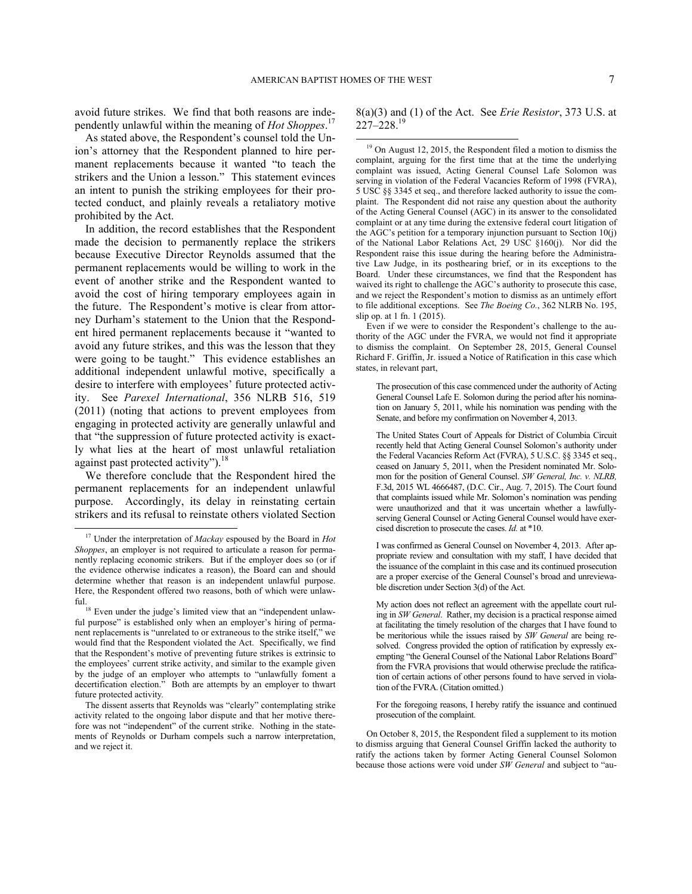avoid future strikes. We find that both reasons are independently unlawful within the meaning of *Hot Shoppes*. [17](#page-6-0)

<span id="page-6-2"></span>As stated above, the Respondent's counsel told the Union's attorney that the Respondent planned to hire permanent replacements because it wanted "to teach the strikers and the Union a lesson." This statement evinces an intent to punish the striking employees for their protected conduct, and plainly reveals a retaliatory motive prohibited by the Act.

In addition, the record establishes that the Respondent made the decision to permanently replace the strikers because Executive Director Reynolds assumed that the permanent replacements would be willing to work in the event of another strike and the Respondent wanted to avoid the cost of hiring temporary employees again in the future. The Respondent's motive is clear from attorney Durham's statement to the Union that the Respondent hired permanent replacements because it "wanted to avoid any future strikes, and this was the lesson that they were going to be taught." This evidence establishes an additional independent unlawful motive, specifically a desire to interfere with employees' future protected activity. See *Parexel International*, 356 NLRB 516, 519 (2011) (noting that actions to prevent employees from engaging in protected activity are generally unlawful and that "the suppression of future protected activity is exactly what lies at the heart of most unlawful retaliation against past protected activity").<sup>[18](#page-6-1)</sup>

We therefore conclude that the Respondent hired the permanent replacements for an independent unlawful purpose. Accordingly, its delay in reinstating certain strikers and its refusal to reinstate others violated Section

 $\overline{a}$ 

# 8(a)(3) and (1) of the Act. See *Erie Resistor*, 373 U.S. at  $227 - 228$ <sup>[19](#page-6-2)</sup>

<sup>19</sup> On August 12, 2015, the Respondent filed a motion to dismiss the complaint, arguing for the first time that at the time the underlying complaint was issued, Acting General Counsel Lafe Solomon was serving in violation of the Federal Vacancies Reform of 1998 (FVRA), 5 USC §§ 3345 et seq., and therefore lacked authority to issue the complaint. The Respondent did not raise any question about the authority of the Acting General Counsel (AGC) in its answer to the consolidated complaint or at any time during the extensive federal court litigation of the AGC's petition for a temporary injunction pursuant to Section 10(j) of the National Labor Relations Act, 29 USC §160(j). Nor did the Respondent raise this issue during the hearing before the Administrative Law Judge, in its posthearing brief, or in its exceptions to the Board. Under these circumstances, we find that the Respondent has waived its right to challenge the AGC's authority to prosecute this case, and we reject the Respondent's motion to dismiss as an untimely effort to file additional exceptions. See *The Boeing Co.*, 362 NLRB No. 195, slip op. at 1 fn. 1 (2015).

Even if we were to consider the Respondent's challenge to the authority of the AGC under the FVRA, we would not find it appropriate to dismiss the complaint. On September 28, 2015, General Counsel Richard F. Griffin, Jr. issued a Notice of Ratification in this case which states, in relevant part,

The prosecution of this case commenced under the authority of Acting General Counsel Lafe E. Solomon during the period after his nomination on January 5, 2011, while his nomination was pending with the Senate, and before my confirmation on November 4, 2013.

The United States Court of Appeals for District of Columbia Circuit recently held that Acting General Counsel Solomon's authority under the Federal Vacancies Reform Act (FVRA), 5 U.S.C. §§ 3345 et seq., ceased on January 5, 2011, when the President nominated Mr. Solomon for the position of General Counsel. *SW General, Inc. v. NLRB,*  F.3d, 2015 WL 4666487, (D.C. Cir., Aug. 7, 2015). The Court found that complaints issued while Mr. Solomon's nomination was pending were unauthorized and that it was uncertain whether a lawfullyserving General Counsel or Acting General Counsel would have exercised discretion to prosecute the cases. *Id.* at \*10.

For the foregoing reasons, I hereby ratify the issuance and continued prosecution of the complaint.

On October 8, 2015, the Respondent filed a supplement to its motion to dismiss arguing that General Counsel Griffin lacked the authority to ratify the actions taken by former Acting General Counsel Solomon because those actions were void under *SW General* and subject to "au-

<span id="page-6-0"></span><sup>17</sup> Under the interpretation of *Mackay* espoused by the Board in *Hot Shoppes*, an employer is not required to articulate a reason for permanently replacing economic strikers. But if the employer does so (or if the evidence otherwise indicates a reason), the Board can and should determine whether that reason is an independent unlawful purpose. Here, the Respondent offered two reasons, both of which were unlawful.

<span id="page-6-1"></span><sup>&</sup>lt;sup>18</sup> Even under the judge's limited view that an "independent unlawful purpose" is established only when an employer's hiring of permanent replacements is "unrelated to or extraneous to the strike itself," we would find that the Respondent violated the Act. Specifically, we find that the Respondent's motive of preventing future strikes is extrinsic to the employees' current strike activity, and similar to the example given by the judge of an employer who attempts to "unlawfully foment a decertification election." Both are attempts by an employer to thwart future protected activity*.*

The dissent asserts that Reynolds was "clearly" contemplating strike activity related to the ongoing labor dispute and that her motive therefore was not "independent" of the current strike. Nothing in the statements of Reynolds or Durham compels such a narrow interpretation, and we reject it.

I was confirmed as General Counsel on November 4, 2013. After appropriate review and consultation with my staff, I have decided that the issuance of the complaint in this case and its continued prosecution are a proper exercise of the General Counsel's broad and unreviewable discretion under Section 3(d) of the Act.

My action does not reflect an agreement with the appellate court ruling in *SW General*. Rather, my decision is a practical response aimed at facilitating the timely resolution of the charges that I have found to be meritorious while the issues raised by *SW General* are being resolved. Congress provided the option of ratification by expressly exempting "the General Counsel of the National Labor Relations Board" from the FVRA provisions that would otherwise preclude the ratification of certain actions of other persons found to have served in violation of the FVRA. (Citation omitted.)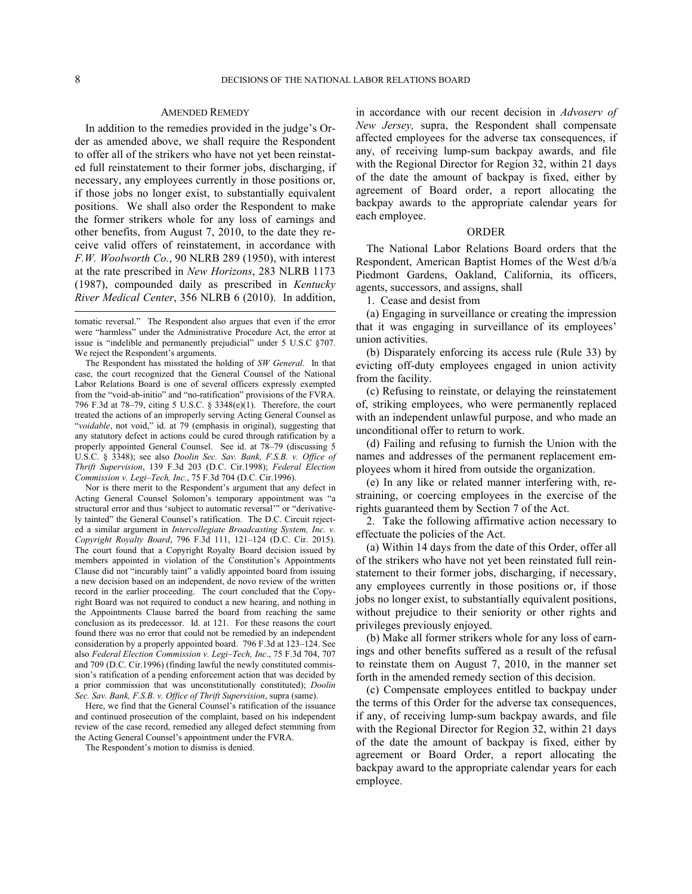### AMENDED REMEDY

In addition to the remedies provided in the judge's Order as amended above, we shall require the Respondent to offer all of the strikers who have not yet been reinstated full reinstatement to their former jobs, discharging, if necessary, any employees currently in those positions or, if those jobs no longer exist, to substantially equivalent positions. We shall also order the Respondent to make the former strikers whole for any loss of earnings and other benefits, from August 7, 2010, to the date they receive valid offers of reinstatement, in accordance with *F.W. Woolworth Co.*, 90 NLRB 289 (1950), with interest at the rate prescribed in *New Horizons*, 283 NLRB 1173 (1987), compounded daily as prescribed in *Kentucky River Medical Center*, 356 NLRB 6 (2010). In addition, l

The Respondent has misstated the holding of *SW General*. In that case, the court recognized that the General Counsel of the National Labor Relations Board is one of several officers expressly exempted from the "void-ab-initio" and "no-ratification" provisions of the FVRA. 796 F.3d at 78–79, citing 5 U.S.C. § 3348(e)(1). Therefore, the court treated the actions of an improperly serving Acting General Counsel as "*voidable*, not void," id. at 79 (emphasis in original), suggesting that any statutory defect in actions could be cured through ratification by a properly appointed General Counsel. See id. at 78–79 (discussing 5 U.S.C. § 3348); see also *Doolin Sec. Sav. Bank, F.S.B. v. Office of Thrift Supervision*, 139 F.3d 203 (D.C. Cir.1998); *Federal Election Commission v. Legi–Tech, Inc.*, 75 F.3d 704 (D.C. Cir.1996).

Nor is there merit to the Respondent's argument that any defect in Acting General Counsel Solomon's temporary appointment was "a structural error and thus 'subject to automatic reversal'" or "derivatively tainted" the General Counsel's ratification. The D.C. Circuit rejected a similar argument in *Intercollegiate Broadcasting System, Inc. v. Copyright Royalty Board*, 796 F.3d 111, 121–124 (D.C. Cir. 2015). The court found that a Copyright Royalty Board decision issued by members appointed in violation of the Constitution's Appointments Clause did not "incurably taint" a validly appointed board from issuing a new decision based on an independent, de novo review of the written record in the earlier proceeding. The court concluded that the Copyright Board was not required to conduct a new hearing, and nothing in the Appointments Clause barred the board from reaching the same conclusion as its predecessor. Id. at 121. For these reasons the court found there was no error that could not be remedied by an independent consideration by a properly appointed board. 796 F.3d at 123–124. See also *Federal Election Commission v. Legi–Tech, Inc*., 75 F.3d 704, 707 and 709 (D.C. Cir.1996) (finding lawful the newly constituted commission's ratification of a pending enforcement action that was decided by a prior commission that was unconstitutionally constituted); *Doolin Sec. Sav. Bank, F.S.B. v. Office of Thrift Supervision*, supra (same).

Here, we find that the General Counsel's ratification of the issuance and continued prosecution of the complaint, based on his independent review of the case record, remedied any alleged defect stemming from the Acting General Counsel's appointment under the FVRA.

The Respondent's motion to dismiss is denied.

in accordance with our recent decision in *Advoserv of New Jersey,* supra, the Respondent shall compensate affected employees for the adverse tax consequences, if any, of receiving lump-sum backpay awards, and file with the Regional Director for Region 32, within 21 days of the date the amount of backpay is fixed, either by agreement of Board order, a report allocating the backpay awards to the appropriate calendar years for each employee.

## ORDER

The National Labor Relations Board orders that the Respondent, American Baptist Homes of the West d/b/a Piedmont Gardens, Oakland, California, its officers, agents, successors, and assigns, shall

1. Cease and desist from

(a) Engaging in surveillance or creating the impression that it was engaging in surveillance of its employees' union activities.

(b) Disparately enforcing its access rule (Rule 33) by evicting off-duty employees engaged in union activity from the facility.

(c) Refusing to reinstate, or delaying the reinstatement of, striking employees, who were permanently replaced with an independent unlawful purpose, and who made an unconditional offer to return to work.

(d) Failing and refusing to furnish the Union with the names and addresses of the permanent replacement employees whom it hired from outside the organization.

(e) In any like or related manner interfering with, restraining, or coercing employees in the exercise of the rights guaranteed them by Section 7 of the Act.

2. Take the following affirmative action necessary to effectuate the policies of the Act.

(a) Within 14 days from the date of this Order, offer all of the strikers who have not yet been reinstated full reinstatement to their former jobs, discharging, if necessary, any employees currently in those positions or, if those jobs no longer exist, to substantially equivalent positions, without prejudice to their seniority or other rights and privileges previously enjoyed.

(b) Make all former strikers whole for any loss of earnings and other benefits suffered as a result of the refusal to reinstate them on August 7, 2010, in the manner set forth in the amended remedy section of this decision.

(c) Compensate employees entitled to backpay under the terms of this Order for the adverse tax consequences, if any, of receiving lump-sum backpay awards, and file with the Regional Director for Region 32, within 21 days of the date the amount of backpay is fixed, either by agreement or Board Order, a report allocating the backpay award to the appropriate calendar years for each employee.

tomatic reversal." The Respondent also argues that even if the error were "harmless" under the Administrative Procedure Act, the error at issue is "indelible and permanently prejudicial" under 5 U.S.C §707. We reject the Respondent's arguments.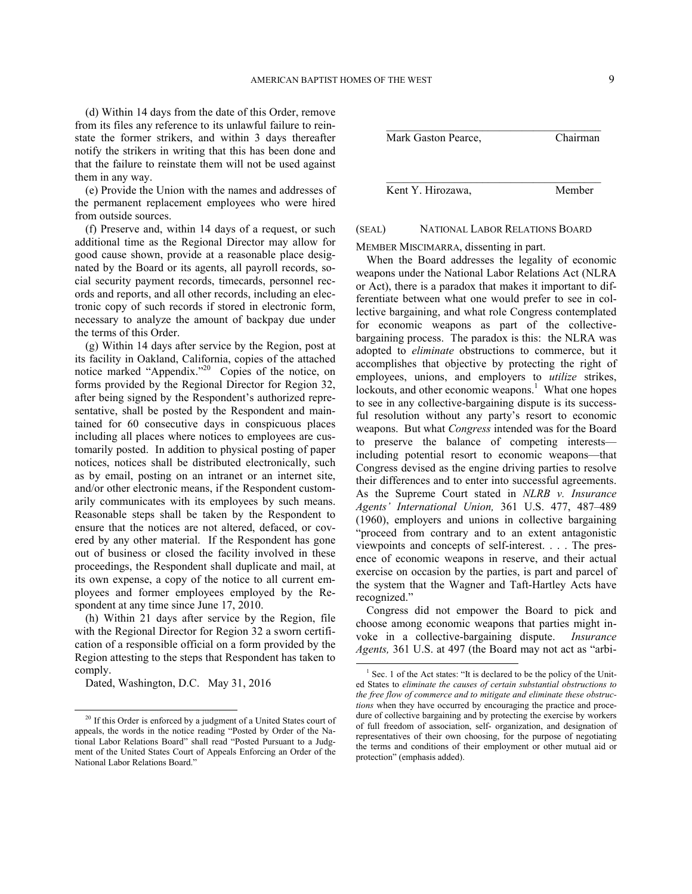(d) Within 14 days from the date of this Order, remove from its files any reference to its unlawful failure to reinstate the former strikers, and within 3 days thereafter notify the strikers in writing that this has been done and that the failure to reinstate them will not be used against them in any way.

(e) Provide the Union with the names and addresses of the permanent replacement employees who were hired from outside sources.

(f) Preserve and, within 14 days of a request, or such additional time as the Regional Director may allow for good cause shown, provide at a reasonable place designated by the Board or its agents, all payroll records, social security payment records, timecards, personnel records and reports, and all other records, including an electronic copy of such records if stored in electronic form, necessary to analyze the amount of backpay due under the terms of this Order.

(g) Within 14 days after service by the Region, post at its facility in Oakland, California, copies of the attached notice marked "Appendix."<sup>[20](#page-8-0)</sup> Copies of the notice, on forms provided by the Regional Director for Region 32, after being signed by the Respondent's authorized representative, shall be posted by the Respondent and maintained for 60 consecutive days in conspicuous places including all places where notices to employees are customarily posted. In addition to physical posting of paper notices, notices shall be distributed electronically, such as by email, posting on an intranet or an internet site, and/or other electronic means, if the Respondent customarily communicates with its employees by such means. Reasonable steps shall be taken by the Respondent to ensure that the notices are not altered, defaced, or covered by any other material. If the Respondent has gone out of business or closed the facility involved in these proceedings, the Respondent shall duplicate and mail, at its own expense, a copy of the notice to all current employees and former employees employed by the Respondent at any time since June 17, 2010.

(h) Within 21 days after service by the Region, file with the Regional Director for Region 32 a sworn certification of a responsible official on a form provided by the Region attesting to the steps that Respondent has taken to comply.

Dated, Washington, D.C. May 31, 2016

<span id="page-8-1"></span>-



 $\mathcal{L}_\text{max}$  and  $\mathcal{L}_\text{max}$  and  $\mathcal{L}_\text{max}$  and  $\mathcal{L}_\text{max}$ Kent Y. Hirozawa, Member

# (SEAL) NATIONAL LABOR RELATIONS BOARD

MEMBER MISCIMARRA, dissenting in part.

When the Board addresses the legality of economic weapons under the National Labor Relations Act (NLRA or Act), there is a paradox that makes it important to differentiate between what one would prefer to see in collective bargaining, and what role Congress contemplated for economic weapons as part of the collectivebargaining process. The paradox is this: the NLRA was adopted to *eliminate* obstructions to commerce, but it accomplishes that objective by protecting the right of employees, unions, and employers to *utilize* strikes, lockouts, and other economic weapons.<sup>[1](#page-8-1)</sup> What one hopes to see in any collective-bargaining dispute is its successful resolution without any party's resort to economic weapons. But what *Congress* intended was for the Board to preserve the balance of competing interests including potential resort to economic weapons—that Congress devised as the engine driving parties to resolve their differences and to enter into successful agreements. As the Supreme Court stated in *NLRB v. Insurance Agents' International Union,* 361 U.S. 477, 487–489 (1960), employers and unions in collective bargaining "proceed from contrary and to an extent antagonistic viewpoints and concepts of self-interest. . . . The presence of economic weapons in reserve, and their actual exercise on occasion by the parties, is part and parcel of the system that the Wagner and Taft-Hartley Acts have recognized."

Congress did not empower the Board to pick and choose among economic weapons that parties might invoke in a collective-bargaining dispute. *Insurance Agents,* 361 U.S. at 497 (the Board may not act as "arbi-

<span id="page-8-0"></span><sup>&</sup>lt;sup>20</sup> If this Order is enforced by a judgment of a United States court of appeals, the words in the notice reading "Posted by Order of the National Labor Relations Board" shall read "Posted Pursuant to a Judgment of the United States Court of Appeals Enforcing an Order of the National Labor Relations Board."

<sup>1</sup> Sec. 1 of the Act states: "It is declared to be the policy of the United States to *eliminate the causes of certain substantial obstructions to the free flow of commerce and to mitigate and eliminate these obstructions* when they have occurred by encouraging the practice and procedure of collective bargaining and by protecting the exercise by workers of full freedom of association, self- organization, and designation of representatives of their own choosing, for the purpose of negotiating the terms and conditions of their employment or other mutual aid or protection" (emphasis added).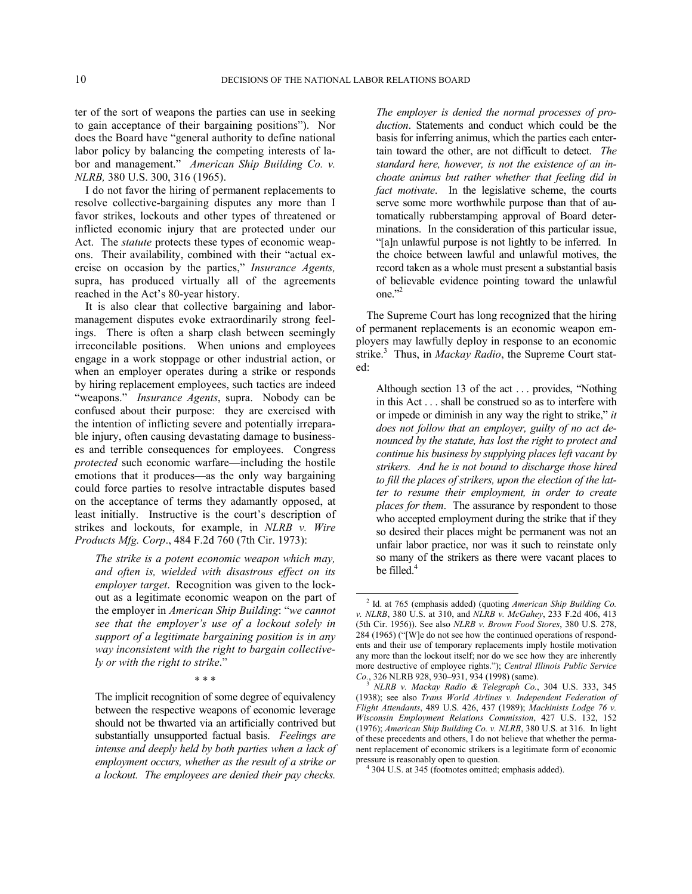ter of the sort of weapons the parties can use in seeking to gain acceptance of their bargaining positions"). Nor does the Board have "general authority to define national labor policy by balancing the competing interests of labor and management." *American Ship Building Co. v. NLRB,* 380 U.S. 300, 316 (1965).

I do not favor the hiring of permanent replacements to resolve collective-bargaining disputes any more than I favor strikes, lockouts and other types of threatened or inflicted economic injury that are protected under our Act. The *statute* protects these types of economic weapons. Their availability, combined with their "actual exercise on occasion by the parties," *Insurance Agents,*  supra, has produced virtually all of the agreements reached in the Act's 80-year history.

It is also clear that collective bargaining and labormanagement disputes evoke extraordinarily strong feelings. There is often a sharp clash between seemingly irreconcilable positions. When unions and employees engage in a work stoppage or other industrial action, or when an employer operates during a strike or responds by hiring replacement employees, such tactics are indeed "weapons." *Insurance Agents*, supra. Nobody can be confused about their purpose: they are exercised with the intention of inflicting severe and potentially irreparable injury, often causing devastating damage to businesses and terrible consequences for employees. Congress *protected* such economic warfare—including the hostile emotions that it produces—as the only way bargaining could force parties to resolve intractable disputes based on the acceptance of terms they adamantly opposed, at least initially. Instructive is the court's description of strikes and lockouts, for example, in *NLRB v. Wire Products Mfg. Corp*., 484 F.2d 760 (7th Cir. 1973):

<span id="page-9-0"></span>*The strike is a potent economic weapon which may, and often is, wielded with disastrous effect on its employer target*. Recognition was given to the lockout as a legitimate economic weapon on the part of the employer in *American Ship Building*: "*we cannot see that the employer's use of a lockout solely in support of a legitimate bargaining position is in any way inconsistent with the right to bargain collectively or with the right to strike*."

\* \* \*

<span id="page-9-2"></span><span id="page-9-1"></span>The implicit recognition of some degree of equivalency between the respective weapons of economic leverage should not be thwarted via an artificially contrived but substantially unsupported factual basis. *Feelings are intense and deeply held by both parties when a lack of employment occurs, whether as the result of a strike or a lockout. The employees are denied their pay checks.* 

*The employer is denied the normal processes of production*. Statements and conduct which could be the basis for inferring animus, which the parties each entertain toward the other, are not difficult to detect. *The standard here, however, is not the existence of an inchoate animus but rather whether that feeling did in fact motivate*. In the legislative scheme, the courts serve some more worthwhile purpose than that of automatically rubberstamping approval of Board determinations. In the consideration of this particular issue, "[a]n unlawful purpose is not lightly to be inferred. In the choice between lawful and unlawful motives, the record taken as a whole must present a substantial basis of believable evidence pointing toward the unlawful one."[2](#page-9-0)

The Supreme Court has long recognized that the hiring of permanent replacements is an economic weapon employers may lawfully deploy in response to an economic strike.<sup>[3](#page-9-1)</sup> Thus, in *Mackay Radio*, the Supreme Court stated:

Although section 13 of the act . . . provides, "Nothing in this Act . . . shall be construed so as to interfere with or impede or diminish in any way the right to strike," *it does not follow that an employer, guilty of no act denounced by the statute, has lost the right to protect and continue his business by supplying places left vacant by strikers. And he is not bound to discharge those hired to fill the places of strikers, upon the election of the latter to resume their employment, in order to create places for them*. The assurance by respondent to those who accepted employment during the strike that if they so desired their places might be permanent was not an unfair labor practice, nor was it such to reinstate only so many of the strikers as there were vacant places to be filled.<sup>[4](#page-9-2)</sup>

<sup>2</sup> Id. at 765 (emphasis added) (quoting *[American Ship Building Co.](https://web2.westlaw.com/find/default.wl?mt=TabTemplate1&db=708&rs=WLW14.07&tc=-1&rp=%2ffind%2fdefault.wl&findtype=Y&ordoc=1973111525&serialnum=1965125041&vr=2.0&fn=_top&sv=Split&tf=-1&pbc=97D7913E&utid=1)  v. NLRB*[, 380 U.S. at 310,](https://web2.westlaw.com/find/default.wl?mt=TabTemplate1&db=708&rs=WLW14.07&tc=-1&rp=%2ffind%2fdefault.wl&findtype=Y&ordoc=1973111525&serialnum=1965125041&vr=2.0&fn=_top&sv=Split&tf=-1&pbc=97D7913E&utid=1) and *NLRB v. McGahey*[, 233 F.2d 406, 413](https://web2.westlaw.com/find/default.wl?mt=TabTemplate1&db=350&rs=WLW14.07&tc=-1&rp=%2ffind%2fdefault.wl&findtype=Y&ordoc=1973111525&serialnum=1956110263&vr=2.0&fn=_top&sv=Split&tf=-1&referencepositiontype=S&pbc=97D7913E&referenceposition=413&utid=1)  [\(5th Cir. 1956\)](https://web2.westlaw.com/find/default.wl?mt=TabTemplate1&db=350&rs=WLW14.07&tc=-1&rp=%2ffind%2fdefault.wl&findtype=Y&ordoc=1973111525&serialnum=1956110263&vr=2.0&fn=_top&sv=Split&tf=-1&referencepositiontype=S&pbc=97D7913E&referenceposition=413&utid=1)). See also *NLRB v. Brown Food Stores*, 380 U.S. 278, 284 (1965) ("[W]e do not see how the continued operations of respondents and their use of temporary replacements imply hostile motivation any more than the lockout itself; nor do we see how they are inherently more destructive of employee rights."); *Central Illinois Public Service Co.*, 326 NLRB 928, 930–931, 934 (1998) (same).

<sup>3</sup> *NLRB v. Mackay Radio & Telegraph Co.*, 304 U.S. 333, 345 (1938); see also *Trans World Airlines v. Independent Federation of Flight Attendants*, 489 U.S. 426, 437 (1989); *Machinists Lodge 76 v. Wisconsin Employment Relations Commission*, 427 U.S. 132, 152 (1976); *American Ship Building Co. v. NLRB*, 380 U.S. at 316. In light of these precedents and others, I do not believe that whether the permanent replacement of economic strikers is a legitimate form of economic pressure is reasonably open to question.

<sup>4</sup> 304 U.S. at 345 (footnotes omitted; emphasis added).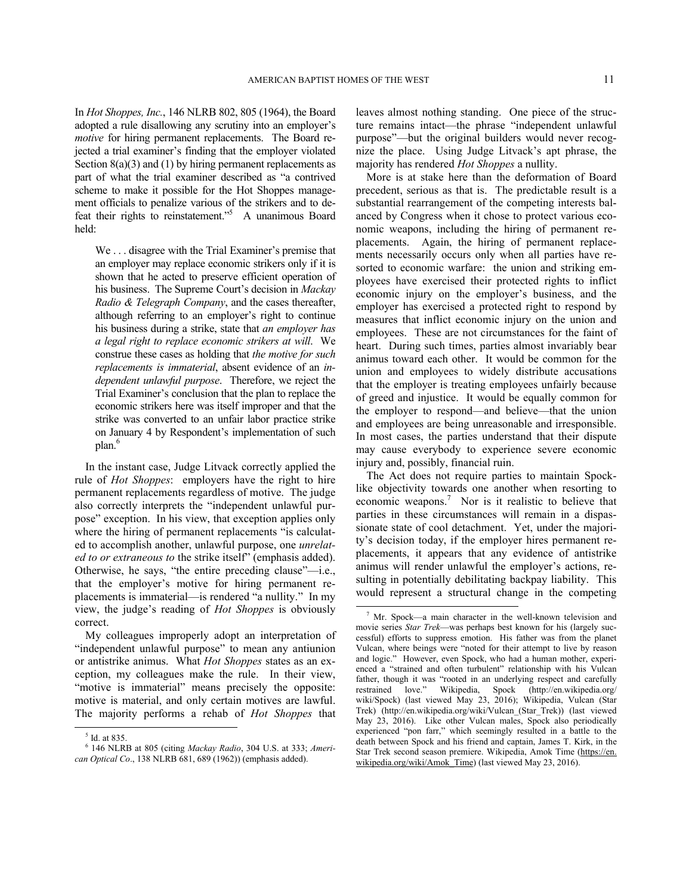In *Hot Shoppes, Inc.*, 146 NLRB 802, 805 (1964), the Board adopted a rule disallowing any scrutiny into an employer's *motive* for hiring permanent replacements. The Board rejected a trial examiner's finding that the employer violated Section  $8(a)(3)$  and (1) by hiring permanent replacements as part of what the trial examiner described as "a contrived scheme to make it possible for the Hot Shoppes management officials to penalize various of the strikers and to de-feat their rights to reinstatement."<sup>[5](#page-10-0)</sup> A unanimous Board held:

We . . . disagree with the Trial Examiner's premise that an employer may replace economic strikers only if it is shown that he acted to preserve efficient operation of his business. The Supreme Court's decision in *Mackay Radio & Telegraph Company*, and the cases thereafter, although referring to an employer's right to continue his business during a strike, state that *an employer has a legal right to replace economic strikers at will*. We construe these cases as holding that *the motive for such replacements is immaterial*, absent evidence of an *independent unlawful purpose*. Therefore, we reject the Trial Examiner's conclusion that the plan to replace the economic strikers here was itself improper and that the strike was converted to an unfair labor practice strike on January 4 by Respondent's implementation of such plan.<sup>[6](#page-10-1)</sup>

In the instant case, Judge Litvack correctly applied the rule of *Hot Shoppes*: employers have the right to hire permanent replacements regardless of motive. The judge also correctly interprets the "independent unlawful purpose" exception. In his view, that exception applies only where the hiring of permanent replacements "is calculated to accomplish another, unlawful purpose, one *unrelated to or extraneous to* the strike itself" (emphasis added). Otherwise, he says, "the entire preceding clause"—i.e., that the employer's motive for hiring permanent replacements is immaterial—is rendered "a nullity." In my view, the judge's reading of *Hot Shoppes* is obviously correct.

<span id="page-10-2"></span>My colleagues improperly adopt an interpretation of "independent unlawful purpose" to mean any antiunion or antistrike animus. What *Hot Shoppes* states as an exception, my colleagues make the rule. In their view, "motive is immaterial" means precisely the opposite: motive is material, and only certain motives are lawful. The majority performs a rehab of *Hot Shoppes* that

 $\overline{a}$ 

leaves almost nothing standing. One piece of the structure remains intact—the phrase "independent unlawful purpose"—but the original builders would never recognize the place. Using Judge Litvack's apt phrase, the majority has rendered *Hot Shoppes* a nullity.

More is at stake here than the deformation of Board precedent, serious as that is. The predictable result is a substantial rearrangement of the competing interests balanced by Congress when it chose to protect various economic weapons, including the hiring of permanent replacements. Again, the hiring of permanent replacements necessarily occurs only when all parties have resorted to economic warfare: the union and striking employees have exercised their protected rights to inflict economic injury on the employer's business, and the employer has exercised a protected right to respond by measures that inflict economic injury on the union and employees. These are not circumstances for the faint of heart. During such times, parties almost invariably bear animus toward each other. It would be common for the union and employees to widely distribute accusations that the employer is treating employees unfairly because of greed and injustice. It would be equally common for the employer to respond—and believe—that the union and employees are being unreasonable and irresponsible. In most cases, the parties understand that their dispute may cause everybody to experience severe economic injury and, possibly, financial ruin.

The Act does not require parties to maintain Spocklike objectivity towards one another when resorting to economic weapons.<sup>[7](#page-10-2)</sup> Nor is it realistic to believe that parties in these circumstances will remain in a dispassionate state of cool detachment. Yet, under the majority's decision today, if the employer hires permanent replacements, it appears that any evidence of antistrike animus will render unlawful the employer's actions, resulting in potentially debilitating backpay liability. This would represent a structural change in the competing

<sup>5</sup> Id. at 835.

<span id="page-10-1"></span><span id="page-10-0"></span><sup>6</sup> 146 NLRB at 805 (citing *Mackay Radio*, 304 U.S. at 333; *American Optical Co*., 138 NLRB 681, 689 (1962)) (emphasis added).

 $<sup>7</sup>$  Mr. Spock—a main character in the well-known television and</sup> movie series *Star Trek*—was perhaps best known for his (largely successful) efforts to suppress emotion. His father was from the planet Vulcan, where beings were "noted for their attempt to live by reason and logic." However, even Spock, who had a human mother, experienced a "strained and often turbulent" relationship with his Vulcan father, though it was "rooted in an underlying respect and carefully restrained love." Wikipedia, Spock (http://en.wikipedia.org/ wiki/Spock) (last viewed May 23, 2016); Wikipedia, Vulcan (Star Trek) (http://en.wikipedia.org/wiki/Vulcan\_(Star\_Trek)) (last viewed May 23, 2016). Like other Vulcan males, Spock also periodically experienced "pon farr," which seemingly resulted in a battle to the death between Spock and his friend and captain, James T. Kirk, in the Star Trek second season premiere. Wikipedia, Amok Time ([https://en.](https://en.wikipedia.org/wiki/Amok_Time) [wikipedia.org/wiki/Amok\\_Time\)](https://en.wikipedia.org/wiki/Amok_Time) (last viewed May 23, 2016).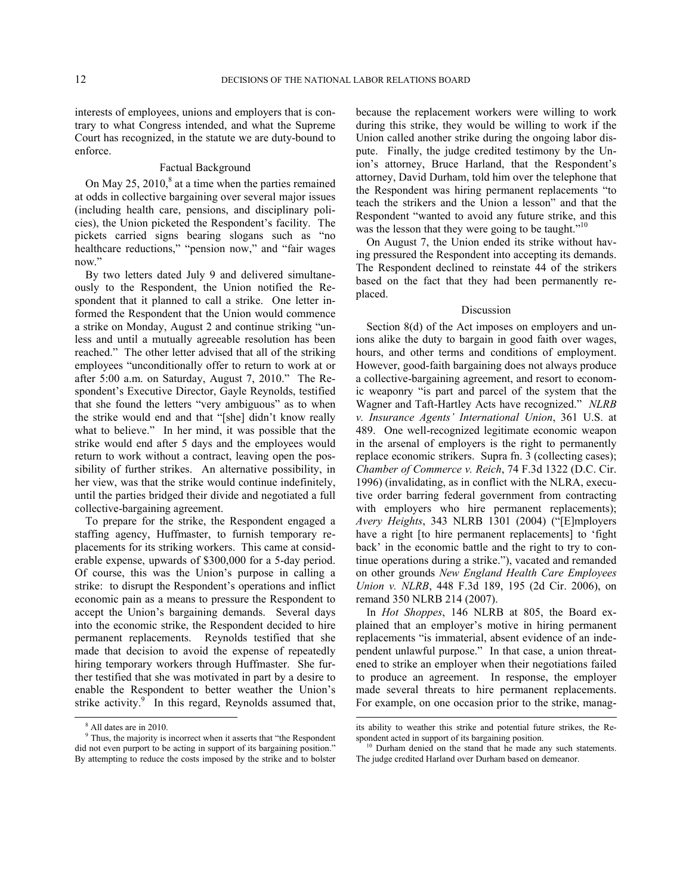interests of employees, unions and employers that is contrary to what Congress intended, and what the Supreme Court has recognized, in the statute we are duty-bound to enforce.

# Factual Background

On May  $25$ ,  $2010$ ,  $8$  at a time when the parties remained at odds in collective bargaining over several major issues (including health care, pensions, and disciplinary policies), the Union picketed the Respondent's facility. The pickets carried signs bearing slogans such as "no healthcare reductions," "pension now," and "fair wages now."

By two letters dated July 9 and delivered simultaneously to the Respondent, the Union notified the Respondent that it planned to call a strike. One letter informed the Respondent that the Union would commence a strike on Monday, August 2 and continue striking "unless and until a mutually agreeable resolution has been reached." The other letter advised that all of the striking employees "unconditionally offer to return to work at or after 5:00 a.m. on Saturday, August 7, 2010." The Respondent's Executive Director, Gayle Reynolds, testified that she found the letters "very ambiguous" as to when the strike would end and that "[she] didn't know really what to believe." In her mind, it was possible that the strike would end after 5 days and the employees would return to work without a contract, leaving open the possibility of further strikes. An alternative possibility, in her view, was that the strike would continue indefinitely, until the parties bridged their divide and negotiated a full collective-bargaining agreement.

To prepare for the strike, the Respondent engaged a staffing agency, Huffmaster, to furnish temporary replacements for its striking workers. This came at considerable expense, upwards of \$300,000 for a 5-day period. Of course, this was the Union's purpose in calling a strike: to disrupt the Respondent's operations and inflict economic pain as a means to pressure the Respondent to accept the Union's bargaining demands. Several days into the economic strike, the Respondent decided to hire permanent replacements. Reynolds testified that she made that decision to avoid the expense of repeatedly hiring temporary workers through Huffmaster. She further testified that she was motivated in part by a desire to enable the Respondent to better weather the Union's strike activity. $9^{\circ}$  $9^{\circ}$  In this regard, Reynolds assumed that,

-

because the replacement workers were willing to work during this strike, they would be willing to work if the Union called another strike during the ongoing labor dispute. Finally, the judge credited testimony by the Union's attorney, Bruce Harland, that the Respondent's attorney, David Durham, told him over the telephone that the Respondent was hiring permanent replacements "to teach the strikers and the Union a lesson" and that the Respondent "wanted to avoid any future strike, and this was the lesson that they were going to be taught."<sup>[10](#page-11-2)</sup>

On August 7, the Union ended its strike without having pressured the Respondent into accepting its demands. The Respondent declined to reinstate 44 of the strikers based on the fact that they had been permanently replaced.

## Discussion

Section 8(d) of the Act imposes on employers and unions alike the duty to bargain in good faith over wages, hours, and other terms and conditions of employment. However, good-faith bargaining does not always produce a collective-bargaining agreement, and resort to economic weaponry "is part and parcel of the system that the Wagner and Taft-Hartley Acts have recognized." *NLRB v. Insurance Agents' International Union*, 361 U.S. at 489. One well-recognized legitimate economic weapon in the arsenal of employers is the right to permanently replace economic strikers. Supra fn. 3 (collecting cases); *Chamber of Commerce v. Reich*, 74 F.3d 1322 (D.C. Cir. 1996) (invalidating, as in conflict with the NLRA, executive order barring federal government from contracting with employers who hire permanent replacements); *Avery Heights*, 343 NLRB 1301 (2004) ("[E]mployers have a right [to hire permanent replacements] to 'fight back' in the economic battle and the right to try to continue operations during a strike."), vacated and remanded on other grounds *New England Health Care Employees Union v. NLRB*, 448 F.3d 189, 195 (2d Cir. 2006), on remand 350 NLRB 214 (2007).

In *Hot Shoppes*, 146 NLRB at 805, the Board explained that an employer's motive in hiring permanent replacements "is immaterial, absent evidence of an independent unlawful purpose." In that case, a union threatened to strike an employer when their negotiations failed to produce an agreement. In response, the employer made several threats to hire permanent replacements. For example, on one occasion prior to the strike, manag-

 $\overline{a}$ 

<sup>8</sup> All dates are in 2010.

<span id="page-11-2"></span><span id="page-11-1"></span><span id="page-11-0"></span><sup>&</sup>lt;sup>9</sup> Thus, the majority is incorrect when it asserts that "the Respondent did not even purport to be acting in support of its bargaining position." By attempting to reduce the costs imposed by the strike and to bolster

its ability to weather this strike and potential future strikes, the Respondent acted in support of its bargaining position.

<sup>&</sup>lt;sup>10</sup> Durham denied on the stand that he made any such statements. The judge credited Harland over Durham based on demeanor.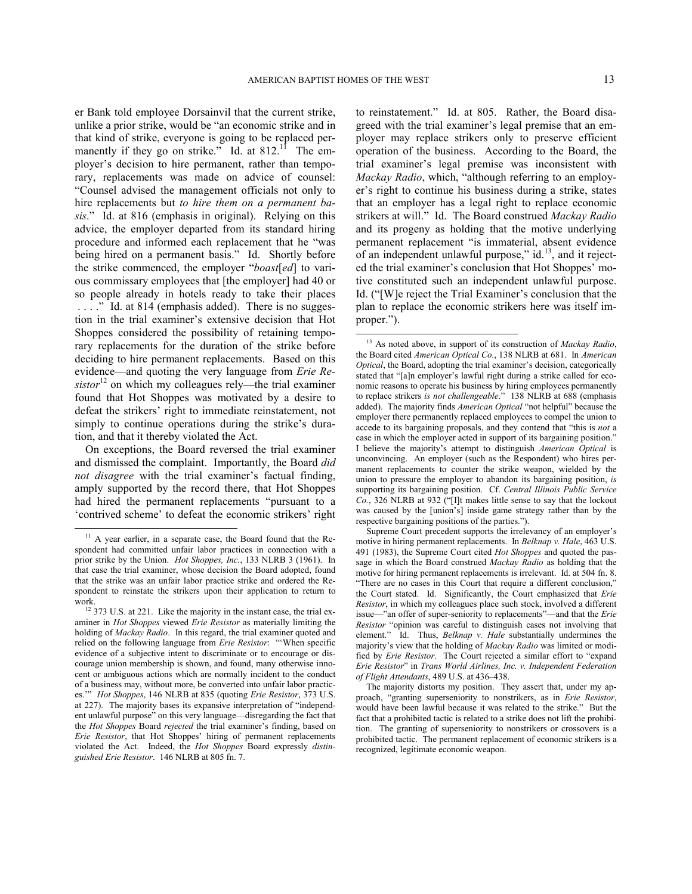er Bank told employee Dorsainvil that the current strike, unlike a prior strike, would be "an economic strike and in that kind of strike, everyone is going to be replaced permanently if they go on strike." Id. at  $812$ .<sup>[11](#page-12-0)</sup> The employer's decision to hire permanent, rather than temporary, replacements was made on advice of counsel: "Counsel advised the management officials not only to hire replacements but *to hire them on a permanent basis*." Id. at 816 (emphasis in original). Relying on this advice, the employer departed from its standard hiring procedure and informed each replacement that he "was being hired on a permanent basis." Id. Shortly before the strike commenced, the employer "*boast*[*ed*] to various commissary employees that [the employer] had 40 or so people already in hotels ready to take their places . . . ." Id. at 814 (emphasis added). There is no suggestion in the trial examiner's extensive decision that Hot Shoppes considered the possibility of retaining temporary replacements for the duration of the strike before deciding to hire permanent replacements. Based on this evidence—and quoting the very language from *Erie Re-* $sistor<sup>12</sup>$  $sistor<sup>12</sup>$  $sistor<sup>12</sup>$  on which my colleagues rely—the trial examiner found that Hot Shoppes was motivated by a desire to defeat the strikers' right to immediate reinstatement, not simply to continue operations during the strike's duration, and that it thereby violated the Act.

<span id="page-12-2"></span>On exceptions, the Board reversed the trial examiner and dismissed the complaint. Importantly, the Board *did not disagree* with the trial examiner's factual finding, amply supported by the record there, that Hot Shoppes had hired the permanent replacements "pursuant to a 'contrived scheme' to defeat the economic strikers' right

 $\overline{a}$ 

to reinstatement." Id. at 805. Rather, the Board disagreed with the trial examiner's legal premise that an employer may replace strikers only to preserve efficient operation of the business. According to the Board, the trial examiner's legal premise was inconsistent with *Mackay Radio*, which, "although referring to an employer's right to continue his business during a strike, states that an employer has a legal right to replace economic strikers at will." Id. The Board construed *Mackay Radio* and its progeny as holding that the motive underlying permanent replacement "is immaterial, absent evidence of an independent unlawful purpose,"  $id.$ <sup>[13](#page-12-2)</sup>, and it rejected the trial examiner's conclusion that Hot Shoppes' motive constituted such an independent unlawful purpose. Id. ("[W]e reject the Trial Examiner's conclusion that the plan to replace the economic strikers here was itself improper.").

<span id="page-12-0"></span><sup>&</sup>lt;sup>11</sup> A year earlier, in a separate case, the Board found that the Respondent had committed unfair labor practices in connection with a prior strike by the Union. *Hot Shoppes, Inc.*, 133 NLRB 3 (1961). In that case the trial examiner, whose decision the Board adopted, found that the strike was an unfair labor practice strike and ordered the Respondent to reinstate the strikers upon their application to return to work.

<span id="page-12-1"></span><sup>&</sup>lt;sup>12</sup> 373 U.S. at 221. Like the majority in the instant case, the trial examiner in *Hot Shoppes* viewed *Erie Resistor* as materially limiting the holding of *Mackay Radio*. In this regard, the trial examiner quoted and relied on the following language from *Erie Resistor*: "'When specific evidence of a subjective intent to discriminate or to encourage or discourage union membership is shown, and found, many otherwise innocent or ambiguous actions which are normally incident to the conduct of a business may, without more, be converted into unfair labor practices.'" *Hot Shoppes*, 146 NLRB at 835 (quoting *Erie Resistor*, 373 U.S. at 227). The majority bases its expansive interpretation of "independent unlawful purpose" on this very language—disregarding the fact that the *Hot Shoppes* Board *rejected* the trial examiner's finding, based on *Erie Resistor*, that Hot Shoppes' hiring of permanent replacements violated the Act. Indeed, the *Hot Shoppes* Board expressly *distinguished Erie Resistor*. 146 NLRB at 805 fn. 7.

<sup>13</sup> As noted above, in support of its construction of *Mackay Radio*, the Board cited *American Optical Co.*, 138 NLRB at 681. In *American Optical*, the Board, adopting the trial examiner's decision, categorically stated that "[a]n employer's lawful right during a strike called for economic reasons to operate his business by hiring employees permanently to replace strikers *is not challengeable*." 138 NLRB at 688 (emphasis added). The majority finds *American Optical* "not helpful" because the employer there permanently replaced employees to compel the union to accede to its bargaining proposals, and they contend that "this is *not* a case in which the employer acted in support of its bargaining position." I believe the majority's attempt to distinguish *American Optical* is unconvincing. An employer (such as the Respondent) who hires permanent replacements to counter the strike weapon, wielded by the union to pressure the employer to abandon its bargaining position, *is*  supporting its bargaining position. Cf. *Central Illinois Public Service Co.*, 326 NLRB at 932 ("[I]t makes little sense to say that the lockout was caused by the [union's] inside game strategy rather than by the respective bargaining positions of the parties.").

Supreme Court precedent supports the irrelevancy of an employer's motive in hiring permanent replacements. In *Belknap v. Hale*, 463 U.S. 491 (1983), the Supreme Court cited *Hot Shoppes* and quoted the passage in which the Board construed *Mackay Radio* as holding that the motive for hiring permanent replacements is irrelevant. Id. at 504 fn. 8. "There are no cases in this Court that require a different conclusion," the Court stated. Id. Significantly, the Court emphasized that *Erie Resistor*, in which my colleagues place such stock, involved a different issue—"an offer of super-seniority to replacements"—and that the *Erie Resistor* "opinion was careful to distinguish cases not involving that element." Id. Thus, *Belknap v. Hale* substantially undermines the majority's view that the holding of *Mackay Radio* was limited or modified by *Erie Resistor*. The Court rejected a similar effort to "expand *Erie Resistor*" in *Trans World Airlines, Inc. v. Independent Federation of Flight Attendants*, 489 U.S. at 436–438.

The majority distorts my position. They assert that, under my approach, "granting superseniority to nonstrikers, as in *Erie Resistor*, would have been lawful because it was related to the strike." But the fact that a prohibited tactic is related to a strike does not lift the prohibition. The granting of superseniority to nonstrikers or crossovers is a prohibited tactic. The permanent replacement of economic strikers is a recognized, legitimate economic weapon.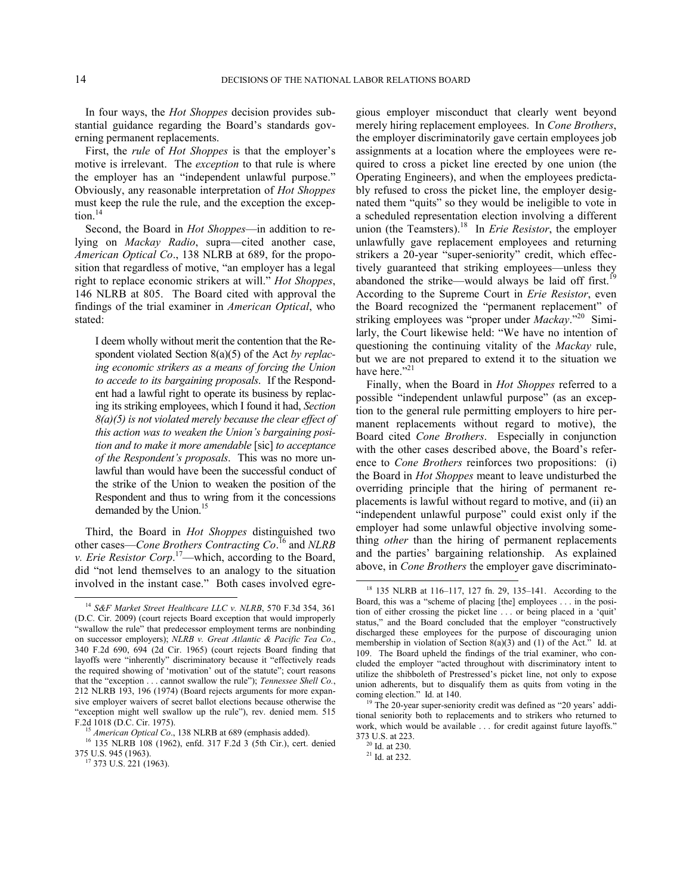In four ways, the *Hot Shoppes* decision provides substantial guidance regarding the Board's standards governing permanent replacements.

First, the *rule* of *Hot Shoppes* is that the employer's motive is irrelevant. The *exception* to that rule is where the employer has an "independent unlawful purpose." Obviously, any reasonable interpretation of *Hot Shoppes* must keep the rule the rule, and the exception the exception. $14$ 

Second, the Board in *Hot Shoppes*—in addition to relying on *Mackay Radio*, supra—cited another case, *American Optical Co*., 138 NLRB at 689, for the proposition that regardless of motive, "an employer has a legal right to replace economic strikers at will." *Hot Shoppes*, 146 NLRB at 805. The Board cited with approval the findings of the trial examiner in *American Optical*, who stated:

I deem wholly without merit the contention that the Respondent violated Section 8(a)(5) of the Act *by replacing economic strikers as a means of forcing the Union to accede to its bargaining proposals*. If the Respondent had a lawful right to operate its business by replacing its striking employees, which I found it had, *Section 8(a)(5) is not violated merely because the clear effect of this action was to weaken the Union's bargaining position and to make it more amendable* [sic] *to acceptance of the Respondent's proposals*. This was no more unlawful than would have been the successful conduct of the strike of the Union to weaken the position of the Respondent and thus to wring from it the concessions demanded by the Union.<sup>[15](#page-13-1)</sup>

Third, the Board in *Hot Shoppes* distinguished two other cases—*Cone Brothers Contracting Co*. [16](#page-13-2) and *NLRB v. Erie Resistor Corp*. [17](#page-13-3)—which, according to the Board, did "not lend themselves to an analogy to the situation involved in the instant case." Both cases involved egre-

<span id="page-13-4"></span>-

gious employer misconduct that clearly went beyond merely hiring replacement employees. In *Cone Brothers*, the employer discriminatorily gave certain employees job assignments at a location where the employees were required to cross a picket line erected by one union (the Operating Engineers), and when the employees predictably refused to cross the picket line, the employer designated them "quits" so they would be ineligible to vote in a scheduled representation election involving a different union (the Teamsters).<sup>[18](#page-13-4)</sup> In *Erie Resistor*, the employer unlawfully gave replacement employees and returning strikers a 20-year "super-seniority" credit, which effectively guaranteed that striking employees—unless they abandoned the strike—would always be laid off first.<sup>1</sup> According to the Supreme Court in *Erie Resistor*, even the Board recognized the "permanent replacement" of striking employees was "proper under *Mackay*."<sup>[20](#page-13-6)</sup> Similarly, the Court likewise held: "We have no intention of questioning the continuing vitality of the *Mackay* rule, but we are not prepared to extend it to the situation we have here."[21](#page-13-7)

Finally, when the Board in *Hot Shoppes* referred to a possible "independent unlawful purpose" (as an exception to the general rule permitting employers to hire permanent replacements without regard to motive), the Board cited *Cone Brothers*. Especially in conjunction with the other cases described above, the Board's reference to *Cone Brothers* reinforces two propositions: (i) the Board in *Hot Shoppes* meant to leave undisturbed the overriding principle that the hiring of permanent replacements is lawful without regard to motive, and (ii) an "independent unlawful purpose" could exist only if the employer had some unlawful objective involving something *other* than the hiring of permanent replacements and the parties' bargaining relationship. As explained above, in *Cone Brothers* the employer gave discriminato-

l

<span id="page-13-0"></span><sup>14</sup> *S&F Market Street Healthcare LLC v. NLRB*, 570 F.3d 354, 361 (D.C. Cir. 2009) (court rejects Board exception that would improperly "swallow the rule" that predecessor employment terms are nonbinding on successor employers); *NLRB v. Great Atlantic & Pacific Tea Co*., 340 F.2d 690, 694 (2d Cir. 1965) (court rejects Board finding that layoffs were "inherently" discriminatory because it "effectively reads the required showing of 'motivation' out of the statute"; court reasons that the "exception . . . cannot swallow the rule"); *Tennessee Shell Co.*, 212 NLRB 193, 196 (1974) (Board rejects arguments for more expansive employer waivers of secret ballot elections because otherwise the "exception might well swallow up the rule"), rev. denied mem. 515 F.2d 1018 (D.C. Cir. 1975).

American Optical Co., 138 NLRB at 689 (emphasis added).

<span id="page-13-7"></span><span id="page-13-6"></span><span id="page-13-5"></span><span id="page-13-3"></span><span id="page-13-2"></span><span id="page-13-1"></span><sup>16</sup> 135 NLRB 108 (1962), enfd. 317 F.2d 3 (5th Cir.), cert. denied 375 U.S. 945 (1963).

<sup>&</sup>lt;sup>17</sup> 373 U.S. 221 (1963).

<sup>18</sup> 135 NLRB at 116–117, 127 fn. 29, 135–141. According to the Board, this was a "scheme of placing [the] employees . . . in the position of either crossing the picket line . . . or being placed in a 'quit' status," and the Board concluded that the employer "constructively discharged these employees for the purpose of discouraging union membership in violation of Section 8(a)(3) and (1) of the Act." Id. at 109. The Board upheld the findings of the trial examiner, who concluded the employer "acted throughout with discriminatory intent to utilize the shibboleth of Prestressed's picket line, not only to expose union adherents, but to disqualify them as quits from voting in the coming election." Id. at 140.

 $19$  The 20-year super-seniority credit was defined as "20 years' additional seniority both to replacements and to strikers who returned to work, which would be available ... for credit against future layoffs." 373 U.S. at 223.

 $^{\rm 20}$  Id. at 230.

 $21$  Id. at 232.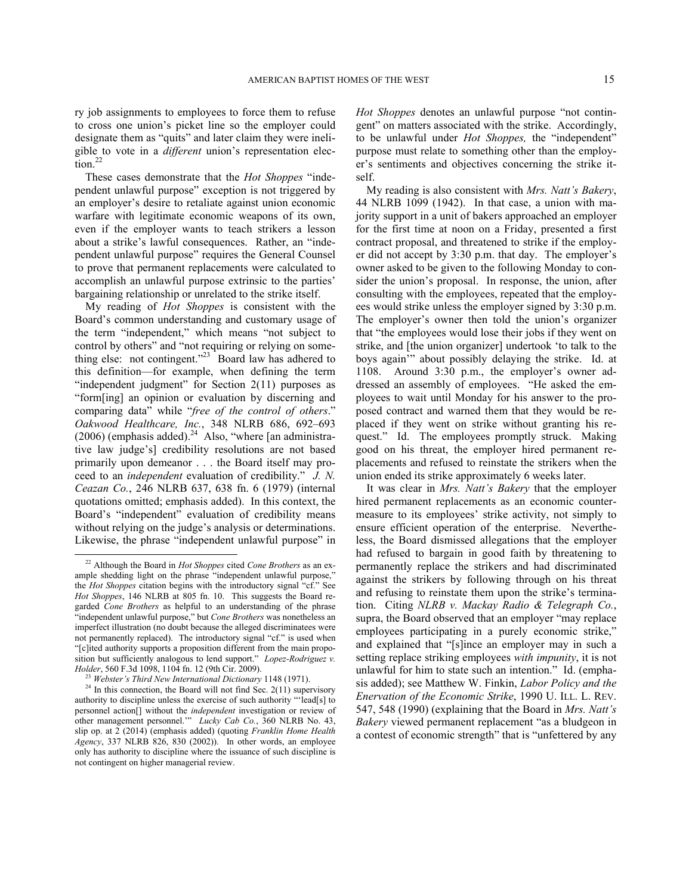ry job assignments to employees to force them to refuse to cross one union's picket line so the employer could designate them as "quits" and later claim they were ineligible to vote in a *different* union's representation elec-tion.<sup>[22](#page-14-0)</sup>

These cases demonstrate that the *Hot Shoppes* "independent unlawful purpose" exception is not triggered by an employer's desire to retaliate against union economic warfare with legitimate economic weapons of its own, even if the employer wants to teach strikers a lesson about a strike's lawful consequences. Rather, an "independent unlawful purpose" requires the General Counsel to prove that permanent replacements were calculated to accomplish an unlawful purpose extrinsic to the parties' bargaining relationship or unrelated to the strike itself.

My reading of *Hot Shoppes* is consistent with the Board's common understanding and customary usage of the term "independent," which means "not subject to control by others" and "not requiring or relying on some-thing else: not contingent."<sup>[23](#page-14-1)</sup> Board law has adhered to this definition—for example, when defining the term "independent judgment" for Section  $2(11)$  purposes as "form[ing] an opinion or evaluation by discerning and comparing data" while "*free of the control of others*." *Oakwood Healthcare, Inc.*, 348 NLRB 686, 692–693  $(2006)$  (emphasis added).<sup>[24](#page-14-2)</sup> Also, "where [an administrative law judge's] credibility resolutions are not based primarily upon demeanor . . . the Board itself may proceed to an *independent* evaluation of credibility." *J. N. Ceazan Co.*, 246 NLRB 637, 638 fn. 6 (1979) (internal quotations omitted; emphasis added). In this context, the Board's "independent" evaluation of credibility means without relying on the judge's analysis or determinations. Likewise, the phrase "independent unlawful purpose" in

-

*Hot Shoppes* denotes an unlawful purpose "not contingent" on matters associated with the strike. Accordingly, to be unlawful under *Hot Shoppes,* the "independent" purpose must relate to something other than the employer's sentiments and objectives concerning the strike itself.

My reading is also consistent with *Mrs. Natt's Bakery*, 44 NLRB 1099 (1942). In that case, a union with majority support in a unit of bakers approached an employer for the first time at noon on a Friday, presented a first contract proposal, and threatened to strike if the employer did not accept by 3:30 p.m. that day. The employer's owner asked to be given to the following Monday to consider the union's proposal. In response, the union, after consulting with the employees, repeated that the employees would strike unless the employer signed by 3:30 p.m. The employer's owner then told the union's organizer that "the employees would lose their jobs if they went on strike, and [the union organizer] undertook 'to talk to the boys again'" about possibly delaying the strike. Id. at 1108. Around 3:30 p.m., the employer's owner addressed an assembly of employees. "He asked the employees to wait until Monday for his answer to the proposed contract and warned them that they would be replaced if they went on strike without granting his request." Id. The employees promptly struck. Making good on his threat, the employer hired permanent replacements and refused to reinstate the strikers when the union ended its strike approximately 6 weeks later.

It was clear in *Mrs. Natt's Bakery* that the employer hired permanent replacements as an economic countermeasure to its employees' strike activity, not simply to ensure efficient operation of the enterprise. Nevertheless, the Board dismissed allegations that the employer had refused to bargain in good faith by threatening to permanently replace the strikers and had discriminated against the strikers by following through on his threat and refusing to reinstate them upon the strike's termination. Citing *NLRB v. Mackay Radio & Telegraph Co.*, supra, the Board observed that an employer "may replace employees participating in a purely economic strike," and explained that "[s]ince an employer may in such a setting replace striking employees *with impunity*, it is not unlawful for him to state such an intention." Id. (emphasis added); see Matthew W. Finkin, *Labor Policy and the Enervation of the Economic Strike*, 1990 U. ILL. L. REV. 547, 548 (1990) (explaining that the Board in *Mrs. Natt's Bakery* viewed permanent replacement "as a bludgeon in a contest of economic strength" that is "unfettered by any

<span id="page-14-0"></span><sup>22</sup> Although the Board in *Hot Shoppes* cited *Cone Brothers* as an example shedding light on the phrase "independent unlawful purpose," the *Hot Shoppes* citation begins with the introductory signal "cf." See *Hot Shoppes*, 146 NLRB at 805 fn. 10. This suggests the Board regarded *Cone Brothers* as helpful to an understanding of the phrase "independent unlawful purpose," but *Cone Brothers* was nonetheless an imperfect illustration (no doubt because the alleged discriminatees were not permanently replaced). The introductory signal "cf." is used when "[c]ited authority supports a proposition different from the main proposition but sufficiently analogous to lend support." *Lopez-Rodriguez v. Holder*, 560 F.3d 1098, 1104 fn. 12 (9th Cir. 2009).

<sup>23</sup> *Webster's Third New International Dictionary* 1148 (1971).

<span id="page-14-2"></span><span id="page-14-1"></span> $24$  In this connection, the Board will not find Sec. 2(11) supervisory authority to discipline unless the exercise of such authority "'lead[s] to personnel action[] without the *independent* investigation or review of other management personnel.'" *Lucky Cab Co.*, 360 NLRB No. 43, slip op. at 2 (2014) (emphasis added) (quoting *Franklin Home Health Agency*, 337 NLRB 826, 830 (2002)). In other words, an employee only has authority to discipline where the issuance of such discipline is not contingent on higher managerial review.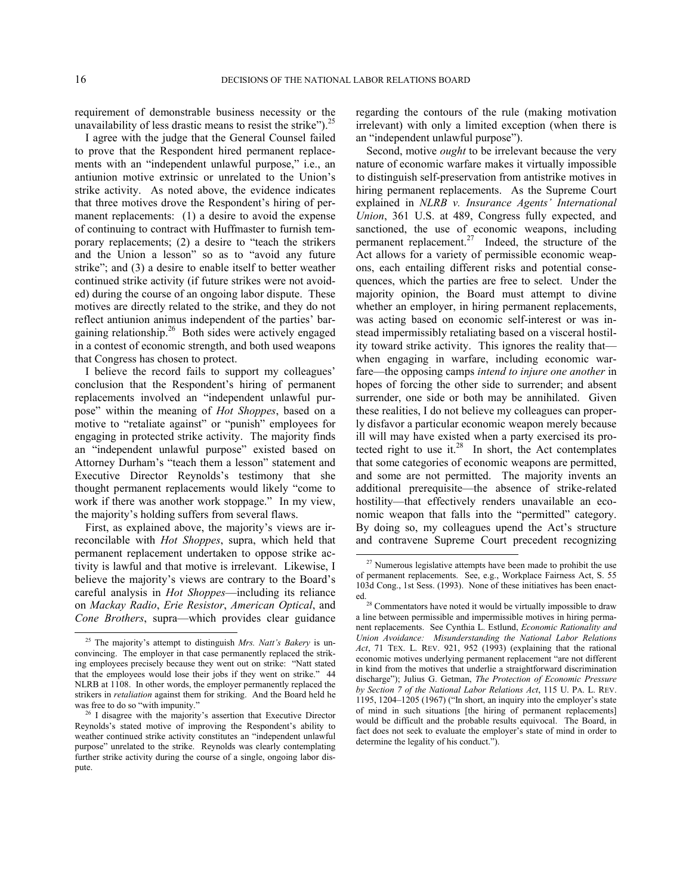<span id="page-15-3"></span>-

requirement of demonstrable business necessity or the unavailability of less drastic means to resist the strike").<sup>[25](#page-15-0)</sup>

I agree with the judge that the General Counsel failed to prove that the Respondent hired permanent replacements with an "independent unlawful purpose," i.e., an antiunion motive extrinsic or unrelated to the Union's strike activity. As noted above, the evidence indicates that three motives drove the Respondent's hiring of permanent replacements: (1) a desire to avoid the expense of continuing to contract with Huffmaster to furnish temporary replacements; (2) a desire to "teach the strikers and the Union a lesson" so as to "avoid any future strike"; and (3) a desire to enable itself to better weather continued strike activity (if future strikes were not avoided) during the course of an ongoing labor dispute. These motives are directly related to the strike, and they do not reflect antiunion animus independent of the parties' bar-gaining relationship.<sup>[26](#page-15-1)</sup> Both sides were actively engaged in a contest of economic strength, and both used weapons that Congress has chosen to protect.

I believe the record fails to support my colleagues' conclusion that the Respondent's hiring of permanent replacements involved an "independent unlawful purpose" within the meaning of *Hot Shoppes*, based on a motive to "retaliate against" or "punish" employees for engaging in protected strike activity. The majority finds an "independent unlawful purpose" existed based on Attorney Durham's "teach them a lesson" statement and Executive Director Reynolds's testimony that she thought permanent replacements would likely "come to work if there was another work stoppage." In my view, the majority's holding suffers from several flaws.

<span id="page-15-2"></span>First, as explained above, the majority's views are irreconcilable with *Hot Shoppes*, supra, which held that permanent replacement undertaken to oppose strike activity is lawful and that motive is irrelevant. Likewise, I believe the majority's views are contrary to the Board's careful analysis in *Hot Shoppes*—including its reliance on *Mackay Radio*, *Erie Resistor*, *American Optical*, and *Cone Brothers*, supra—which provides clear guidance

regarding the contours of the rule (making motivation irrelevant) with only a limited exception (when there is an "independent unlawful purpose").

Second, motive *ought* to be irrelevant because the very nature of economic warfare makes it virtually impossible to distinguish self-preservation from antistrike motives in hiring permanent replacements. As the Supreme Court explained in *NLRB v. Insurance Agents' International Union*, 361 U.S. at 489, Congress fully expected, and sanctioned, the use of economic weapons, including permanent replacement.<sup>[27](#page-15-2)</sup> Indeed, the structure of the Act allows for a variety of permissible economic weapons, each entailing different risks and potential consequences, which the parties are free to select. Under the majority opinion, the Board must attempt to divine whether an employer, in hiring permanent replacements, was acting based on economic self-interest or was instead impermissibly retaliating based on a visceral hostility toward strike activity. This ignores the reality that when engaging in warfare, including economic warfare—the opposing camps *intend to injure one another* in hopes of forcing the other side to surrender; and absent surrender, one side or both may be annihilated. Given these realities, I do not believe my colleagues can properly disfavor a particular economic weapon merely because ill will may have existed when a party exercised its protected right to use it. $28$  In short, the Act contemplates that some categories of economic weapons are permitted, and some are not permitted. The majority invents an additional prerequisite—the absence of strike-related hostility—that effectively renders unavailable an economic weapon that falls into the "permitted" category. By doing so, my colleagues upend the Act's structure and contravene Supreme Court precedent recognizing  $\overline{a}$ 

<span id="page-15-0"></span><sup>25</sup> The majority's attempt to distinguish *Mrs. Natt's Bakery* is unconvincing. The employer in that case permanently replaced the striking employees precisely because they went out on strike: "Natt stated that the employees would lose their jobs if they went on strike." 44 NLRB at 1108. In other words, the employer permanently replaced the strikers in *retaliation* against them for striking. And the Board held he was free to do so "with impunity."

<span id="page-15-1"></span><sup>26</sup> I disagree with the majority's assertion that Executive Director Reynolds's stated motive of improving the Respondent's ability to weather continued strike activity constitutes an "independent unlawful purpose" unrelated to the strike. Reynolds was clearly contemplating further strike activity during the course of a single, ongoing labor dispute.

<sup>&</sup>lt;sup>27</sup> Numerous legislative attempts have been made to prohibit the use of permanent replacements. See, e.g., Workplace Fairness Act, S. 55 103d Cong., 1st Sess. (1993). None of these initiatives has been enacted.

<sup>&</sup>lt;sup>28</sup> Commentators have noted it would be virtually impossible to draw a line between permissible and impermissible motives in hiring permanent replacements. See Cynthia L. Estlund, *Economic Rationality and Union Avoidance: Misunderstanding the National Labor Relations*  Act, 71 TEX. L. REV. 921, 952 (1993) (explaining that the rational economic motives underlying permanent replacement "are not different in kind from the motives that underlie a straightforward discrimination discharge"); Julius G. Getman, *The Protection of Economic Pressure by Section 7 of the National Labor Relations Act*, 115 U. PA. L. REV. 1195, 1204–1205 (1967) ("In short, an inquiry into the employer's state of mind in such situations [the hiring of permanent replacements] would be difficult and the probable results equivocal. The Board, in fact does not seek to evaluate the employer's state of mind in order to determine the legality of his conduct.").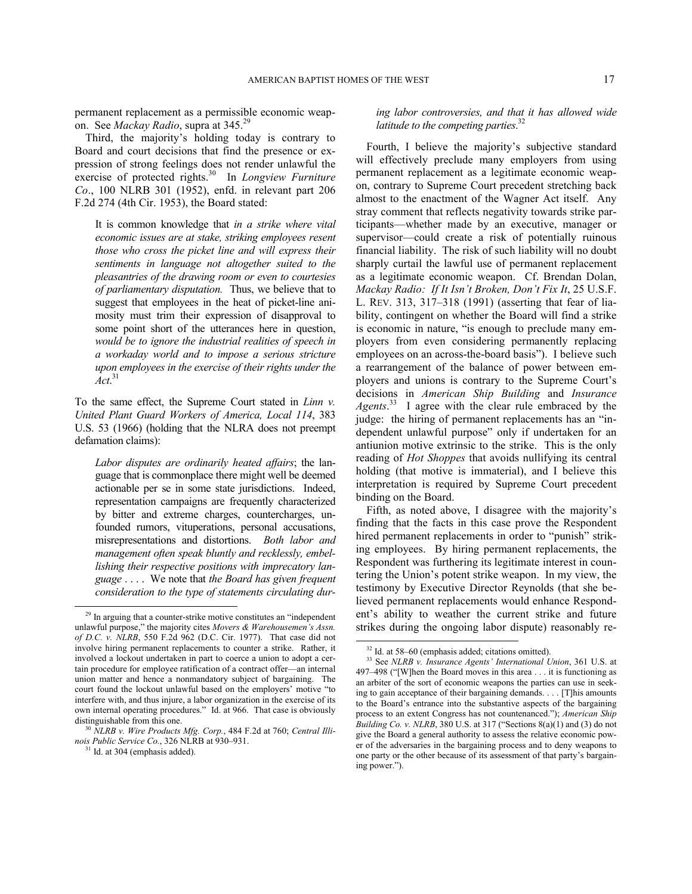permanent replacement as a permissible economic weapon. See *Mackay Radio*, supra at 345.[29](#page-16-0)

Third, the majority's holding today is contrary to Board and court decisions that find the presence or expression of strong feelings does not render unlawful the exercise of protected rights. [30](#page-16-1) In *Longview Furniture Co*., 100 NLRB 301 (1952), enfd. in relevant part 206 F.2d 274 (4th Cir. 1953), the Board stated:

It is common knowledge that *in a strike where vital economic issues are at stake, striking employees resent those who cross the picket line and will express their sentiments in language not altogether suited to the pleasantries of the drawing room or even to courtesies of parliamentary disputation.* Thus, we believe that to suggest that employees in the heat of picket-line animosity must trim their expression of disapproval to some point short of the utterances here in question, *would be to ignore the industrial realities of speech in a workaday world and to impose a serious stricture upon employees in the exercise of their rights under the Act*. [31](#page-16-2)

To the same effect, the Supreme Court stated in *Linn v. United Plant Guard Workers of America, Local 114*, 383 U.S. 53 (1966) (holding that the NLRA does not preempt defamation claims):

*Labor disputes are ordinarily heated affairs*; the language that is commonplace there might well be deemed actionable per se in some state jurisdictions. Indeed, representation campaigns are frequently characterized by bitter and extreme charges, countercharges, unfounded rumors, vituperations, personal accusations, misrepresentations and distortions. *Both labor and management often speak bluntly and recklessly, embellishing their respective positions with imprecatory language* . . . . We note that *the Board has given frequent consideration to the type of statements circulating dur-*

1

# *ing labor controversies, and that it has allowed wide latitude to the competing parties*. [32](#page-16-3)

Fourth, I believe the majority's subjective standard will effectively preclude many employers from using permanent replacement as a legitimate economic weapon, contrary to Supreme Court precedent stretching back almost to the enactment of the Wagner Act itself. Any stray comment that reflects negativity towards strike participants—whether made by an executive, manager or supervisor—could create a risk of potentially ruinous financial liability. The risk of such liability will no doubt sharply curtail the lawful use of permanent replacement as a legitimate economic weapon. Cf. Brendan Dolan, *Mackay Radio: If It Isn't Broken, Don't Fix It*, 25 U.S.F. L. REV. 313, 317–318 (1991) (asserting that fear of liability, contingent on whether the Board will find a strike is economic in nature, "is enough to preclude many employers from even considering permanently replacing employees on an across-the-board basis"). I believe such a rearrangement of the balance of power between employers and unions is contrary to the Supreme Court's decisions in *American Ship Building* and *Insurance*  Agents.<sup>[33](#page-16-4)</sup> I agree with the clear rule embraced by the judge: the hiring of permanent replacements has an "independent unlawful purpose" only if undertaken for an antiunion motive extrinsic to the strike. This is the only reading of *Hot Shoppes* that avoids nullifying its central holding (that motive is immaterial), and I believe this interpretation is required by Supreme Court precedent binding on the Board.

Fifth, as noted above, I disagree with the majority's finding that the facts in this case prove the Respondent hired permanent replacements in order to "punish" striking employees. By hiring permanent replacements, the Respondent was furthering its legitimate interest in countering the Union's potent strike weapon. In my view, the testimony by Executive Director Reynolds (that she believed permanent replacements would enhance Respondent's ability to weather the current strike and future strikes during the ongoing labor dispute) reasonably re-

 $\overline{a}$ 

<span id="page-16-4"></span><span id="page-16-3"></span><span id="page-16-0"></span><sup>&</sup>lt;sup>29</sup> In arguing that a counter-strike motive constitutes an "independent" unlawful purpose," the majority cites *Movers & Warehousemen's Assn. of D.C. v. NLRB*, 550 F.2d 962 (D.C. Cir. 1977). That case did not involve hiring permanent replacements to counter a strike. Rather, it involved a lockout undertaken in part to coerce a union to adopt a certain procedure for employee ratification of a contract offer—an internal union matter and hence a nonmandatory subject of bargaining. The court found the lockout unlawful based on the employers' motive "to interfere with, and thus injure, a labor organization in the exercise of its own internal operating procedures." Id. at 966. That case is obviously distinguishable from this one.

<span id="page-16-2"></span><span id="page-16-1"></span><sup>30</sup> *NLRB v. Wire Products Mfg. Corp.*, 484 F.2d at 760; *Central Illinois Public Service Co.*, 326 NLRB at 930–931.

 $31$  Id. at 304 (emphasis added).

<sup>32</sup> Id. at 58–60 (emphasis added; citations omitted).

<sup>33</sup> See *NLRB v. Insurance Agents' International Union*, 361 U.S. at 497–498 ("[W]hen the Board moves in this area . . . it is functioning as an arbiter of the sort of economic weapons the parties can use in seeking to gain acceptance of their bargaining demands. . . . [T]his amounts to the Board's entrance into the substantive aspects of the bargaining process to an extent Congress has not countenanced."); *American Ship Building Co. v. NLRB*, 380 U.S. at 317 ("Sections 8(a)(1) and (3) do not give the Board a general authority to assess the relative economic power of the adversaries in the bargaining process and to deny weapons to one party or the other because of its assessment of that party's bargaining power.").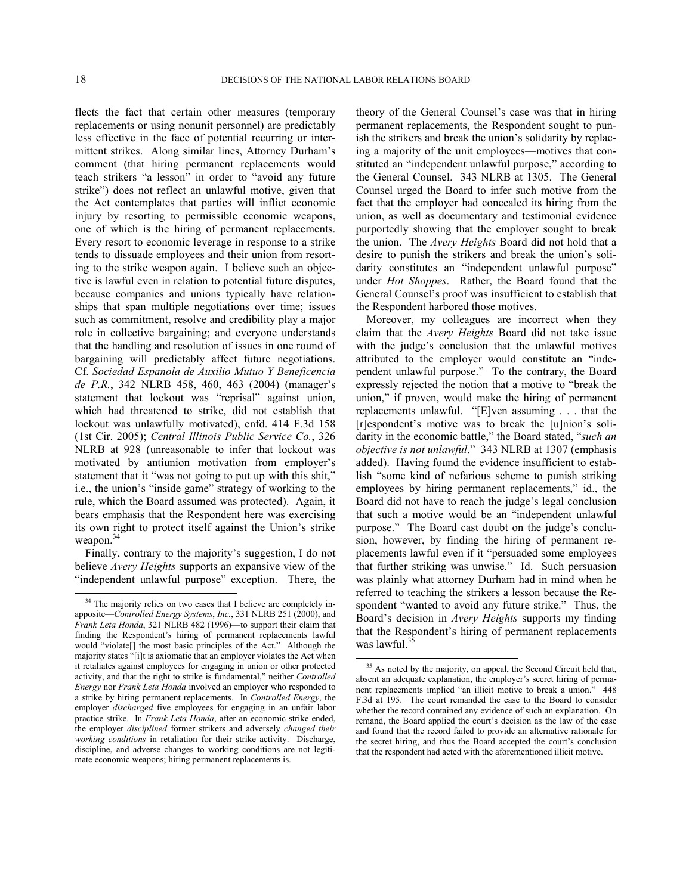flects the fact that certain other measures (temporary replacements or using nonunit personnel) are predictably less effective in the face of potential recurring or intermittent strikes. Along similar lines, Attorney Durham's comment (that hiring permanent replacements would teach strikers "a lesson" in order to "avoid any future strike") does not reflect an unlawful motive, given that the Act contemplates that parties will inflict economic injury by resorting to permissible economic weapons, one of which is the hiring of permanent replacements. Every resort to economic leverage in response to a strike tends to dissuade employees and their union from resorting to the strike weapon again. I believe such an objective is lawful even in relation to potential future disputes, because companies and unions typically have relationships that span multiple negotiations over time; issues such as commitment, resolve and credibility play a major role in collective bargaining; and everyone understands that the handling and resolution of issues in one round of bargaining will predictably affect future negotiations. Cf. *Sociedad Espanola de Auxilio Mutuo Y Beneficencia de P.R.*, 342 NLRB 458, 460, 463 (2004) (manager's statement that lockout was "reprisal" against union, which had threatened to strike, did not establish that lockout was unlawfully motivated), enfd. 414 F.3d 158 (1st Cir. 2005); *Central Illinois Public Service Co.*, 326 NLRB at 928 (unreasonable to infer that lockout was motivated by antiunion motivation from employer's statement that it "was not going to put up with this shit," i.e., the union's "inside game" strategy of working to the rule, which the Board assumed was protected). Again, it bears emphasis that the Respondent here was exercising its own right to protect itself against the Union's strike weapon.<sup>[34](#page-17-0)</sup>

Finally, contrary to the majority's suggestion, I do not believe *Avery Heights* supports an expansive view of the "independent unlawful purpose" exception. There, the theory of the General Counsel's case was that in hiring permanent replacements, the Respondent sought to punish the strikers and break the union's solidarity by replacing a majority of the unit employees—motives that constituted an "independent unlawful purpose," according to the General Counsel. 343 NLRB at 1305. The General Counsel urged the Board to infer such motive from the fact that the employer had concealed its hiring from the union, as well as documentary and testimonial evidence purportedly showing that the employer sought to break the union. The *Avery Heights* Board did not hold that a desire to punish the strikers and break the union's solidarity constitutes an "independent unlawful purpose" under *Hot Shoppes*. Rather, the Board found that the General Counsel's proof was insufficient to establish that the Respondent harbored those motives.

Moreover, my colleagues are incorrect when they claim that the *Avery Heights* Board did not take issue with the judge's conclusion that the unlawful motives attributed to the employer would constitute an "independent unlawful purpose." To the contrary, the Board expressly rejected the notion that a motive to "break the union," if proven, would make the hiring of permanent replacements unlawful. "[E]ven assuming . . . that the [r]espondent's motive was to break the [u]nion's solidarity in the economic battle," the Board stated, "*such an objective is not unlawful*." 343 NLRB at 1307 (emphasis added). Having found the evidence insufficient to establish "some kind of nefarious scheme to punish striking employees by hiring permanent replacements," id., the Board did not have to reach the judge's legal conclusion that such a motive would be an "independent unlawful purpose." The Board cast doubt on the judge's conclusion, however, by finding the hiring of permanent replacements lawful even if it "persuaded some employees that further striking was unwise." Id. Such persuasion was plainly what attorney Durham had in mind when he referred to teaching the strikers a lesson because the Respondent "wanted to avoid any future strike." Thus, the Board's decision in *Avery Heights* supports my finding that the Respondent's hiring of permanent replacements was lawful.<sup>3</sup>

-

<span id="page-17-1"></span><span id="page-17-0"></span><sup>&</sup>lt;sup>34</sup> The majority relies on two cases that I believe are completely inapposite—*Controlled Energy Systems*, *Inc.*, 331 NLRB 251 (2000), and *Frank Leta Honda*, 321 NLRB 482 (1996)—to support their claim that finding the Respondent's hiring of permanent replacements lawful would "violate[] the most basic principles of the Act." Although the majority states "[i]t is axiomatic that an employer violates the Act when it retaliates against employees for engaging in union or other protected activity, and that the right to strike is fundamental," neither *Controlled Energy* nor *Frank Leta Honda* involved an employer who responded to a strike by hiring permanent replacements. In *Controlled Energy*, the employer *discharged* five employees for engaging in an unfair labor practice strike. In *Frank Leta Honda*, after an economic strike ended, the employer *disciplined* former strikers and adversely *changed their working conditions* in retaliation for their strike activity. Discharge, discipline, and adverse changes to working conditions are not legitimate economic weapons; hiring permanent replacements is.

<sup>&</sup>lt;sup>35</sup> As noted by the majority, on appeal, the Second Circuit held that, absent an adequate explanation, the employer's secret hiring of permanent replacements implied "an illicit motive to break a union." 448 F.3d at 195. The court remanded the case to the Board to consider whether the record contained any evidence of such an explanation. On remand, the Board applied the court's decision as the law of the case and found that the record failed to provide an alternative rationale for the secret hiring, and thus the Board accepted the court's conclusion that the respondent had acted with the aforementioned illicit motive.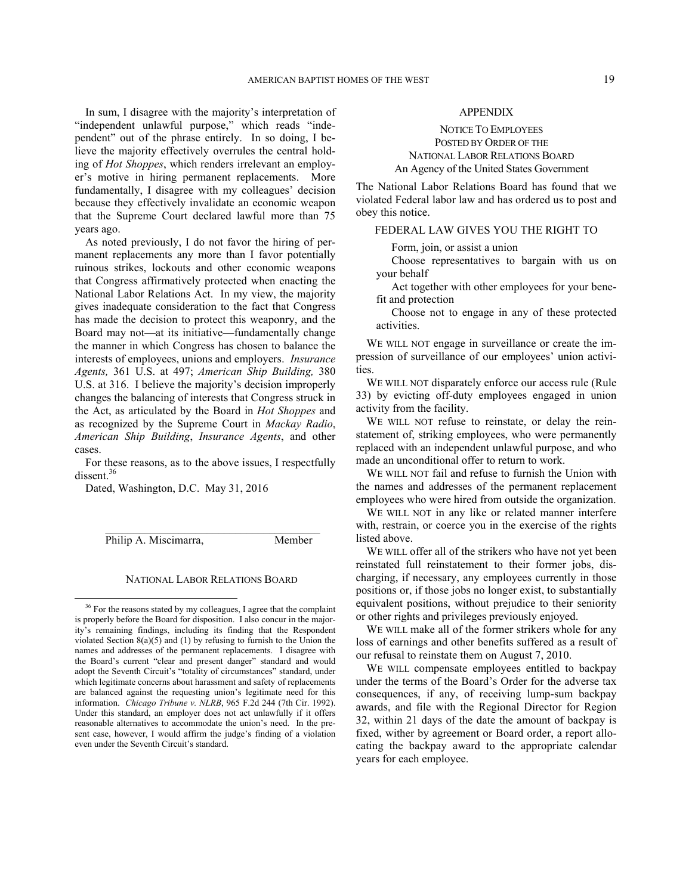In sum, I disagree with the majority's interpretation of "independent unlawful purpose," which reads "independent" out of the phrase entirely. In so doing, I believe the majority effectively overrules the central holding of *Hot Shoppes*, which renders irrelevant an employer's motive in hiring permanent replacements. More fundamentally, I disagree with my colleagues' decision because they effectively invalidate an economic weapon that the Supreme Court declared lawful more than 75 years ago.

As noted previously, I do not favor the hiring of permanent replacements any more than I favor potentially ruinous strikes, lockouts and other economic weapons that Congress affirmatively protected when enacting the National Labor Relations Act. In my view, the majority gives inadequate consideration to the fact that Congress has made the decision to protect this weaponry, and the Board may not—at its initiative—fundamentally change the manner in which Congress has chosen to balance the interests of employees, unions and employers. *Insurance Agents,* 361 U.S. at 497; *American Ship Building,* 380 U.S. at 316. I believe the majority's decision improperly changes the balancing of interests that Congress struck in the Act, as articulated by the Board in *Hot Shoppes* and as recognized by the Supreme Court in *Mackay Radio*, *American Ship Building*, *Insurance Agents*, and other cases.

For these reasons, as to the above issues, I respectfully dissent<sup>[36](#page-18-0)</sup>

Dated, Washington, D.C. May 31, 2016

Philip A. Miscimarra, Member

1

#### NATIONAL LABOR RELATIONS BOARD

 $\mathcal{L}_\text{max}$ 

## APPENDIX

# NOTICE TO EMPLOYEES POSTED BY ORDER OF THE NATIONAL LABOR RELATIONS BOARD An Agency of the United States Government

The National Labor Relations Board has found that we violated Federal labor law and has ordered us to post and obey this notice.

# FEDERAL LAW GIVES YOU THE RIGHT TO

Form, join, or assist a union

Choose representatives to bargain with us on your behalf

Act together with other employees for your benefit and protection

Choose not to engage in any of these protected activities.

WE WILL NOT engage in surveillance or create the impression of surveillance of our employees' union activities.

WE WILL NOT disparately enforce our access rule (Rule 33) by evicting off-duty employees engaged in union activity from the facility.

WE WILL NOT refuse to reinstate, or delay the reinstatement of, striking employees, who were permanently replaced with an independent unlawful purpose, and who made an unconditional offer to return to work.

WE WILL NOT fail and refuse to furnish the Union with the names and addresses of the permanent replacement employees who were hired from outside the organization.

WE WILL NOT in any like or related manner interfere with, restrain, or coerce you in the exercise of the rights listed above.

WE WILL offer all of the strikers who have not yet been reinstated full reinstatement to their former jobs, discharging, if necessary, any employees currently in those positions or, if those jobs no longer exist, to substantially equivalent positions, without prejudice to their seniority or other rights and privileges previously enjoyed.

WE WILL make all of the former strikers whole for any loss of earnings and other benefits suffered as a result of our refusal to reinstate them on August 7, 2010.

WE WILL compensate employees entitled to backpay under the terms of the Board's Order for the adverse tax consequences, if any, of receiving lump-sum backpay awards, and file with the Regional Director for Region 32, within 21 days of the date the amount of backpay is fixed, wither by agreement or Board order, a report allocating the backpay award to the appropriate calendar years for each employee.

<span id="page-18-0"></span><sup>&</sup>lt;sup>36</sup> For the reasons stated by my colleagues, I agree that the complaint is properly before the Board for disposition. I also concur in the majority's remaining findings, including its finding that the Respondent violated Section  $8(a)(5)$  and (1) by refusing to furnish to the Union the names and addresses of the permanent replacements. I disagree with the Board's current "clear and present danger" standard and would adopt the Seventh Circuit's "totality of circumstances" standard, under which legitimate concerns about harassment and safety of replacements are balanced against the requesting union's legitimate need for this information. *Chicago Tribune v. NLRB*, 965 F.2d 244 (7th Cir. 1992). Under this standard, an employer does not act unlawfully if it offers reasonable alternatives to accommodate the union's need. In the present case, however, I would affirm the judge's finding of a violation even under the Seventh Circuit's standard.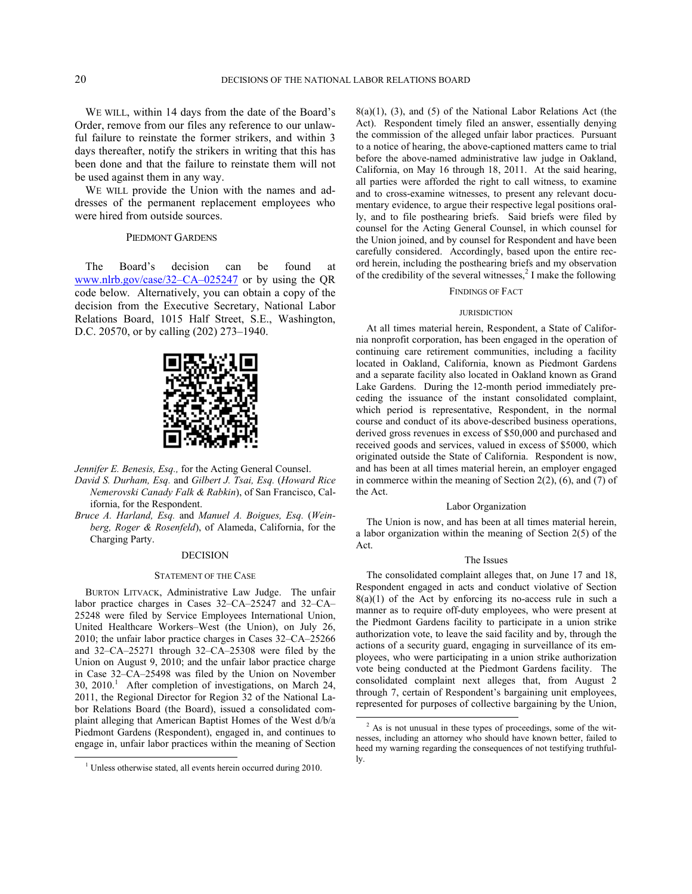WE WILL, within 14 days from the date of the Board's Order, remove from our files any reference to our unlawful failure to reinstate the former strikers, and within 3 days thereafter, notify the strikers in writing that this has been done and that the failure to reinstate them will not be used against them in any way.

WE WILL provide the Union with the names and addresses of the permanent replacement employees who were hired from outside sources.

#### PIEDMONT GARDENS

The Board's decision can be found at [www.nlrb.gov/case/32–CA–025247](http://www.nlrb.gov/case/32�.?CA�.?025247) or by using the QR code below. Alternatively, you can obtain a copy of the decision from the Executive Secretary, National Labor Relations Board, 1015 Half Street, S.E., Washington, D.C. 20570, or by calling (202) 273–1940.



*Jennifer E. Benesis, Esq.,* for the Acting General Counsel.

- *David S. Durham, Esq.* and *Gilbert J. Tsai, Esq.* (*Howard Rice Nemerovski Canady Falk & Rabkin*), of San Francisco, California, for the Respondent.
- *Bruce A. Harland, Esq.* and *Manuel A. Boigues, Esq.* (*Weinberg, Roger & Rosenfeld*), of Alameda, California, for the Charging Party.

#### DECISION

#### STATEMENT OF THE CASE

BURTON LITVACK, Administrative Law Judge. The unfair labor practice charges in Cases 32–CA–25247 and 32–CA– 25248 were filed by Service Employees International Union, United Healthcare Workers–West (the Union), on July 26, 2010; the unfair labor practice charges in Cases 32–CA–25266 and 32–CA–25271 through 32–CA–25308 were filed by the Union on August 9, 2010; and the unfair labor practice charge in Case 32–CA–25498 was filed by the Union on November  $30, 2010$  $30, 2010$  $30, 2010$ .<sup>1</sup> After completion of investigations, on March 24, 2011, the Regional Director for Region 32 of the National Labor Relations Board (the Board), issued a consolidated complaint alleging that American Baptist Homes of the West d/b/a Piedmont Gardens (Respondent), engaged in, and continues to engage in, unfair labor practices within the meaning of Section

<span id="page-19-1"></span><span id="page-19-0"></span>-

8(a)(1), (3), and (5) of the National Labor Relations Act (the Act). Respondent timely filed an answer, essentially denying the commission of the alleged unfair labor practices. Pursuant to a notice of hearing, the above-captioned matters came to trial before the above-named administrative law judge in Oakland, California, on May 16 through 18, 2011. At the said hearing, all parties were afforded the right to call witness, to examine and to cross-examine witnesses, to present any relevant documentary evidence, to argue their respective legal positions orally, and to file posthearing briefs. Said briefs were filed by counsel for the Acting General Counsel, in which counsel for the Union joined, and by counsel for Respondent and have been carefully considered. Accordingly, based upon the entire record herein, including the posthearing briefs and my observation of the credibility of the several witnesses, $\frac{2}{3}$  $\frac{2}{3}$  $\frac{2}{3}$  I make the following

#### FINDINGS OF FACT

#### **JURISDICTION**

At all times material herein, Respondent, a State of California nonprofit corporation, has been engaged in the operation of continuing care retirement communities, including a facility located in Oakland, California, known as Piedmont Gardens and a separate facility also located in Oakland known as Grand Lake Gardens. During the 12-month period immediately preceding the issuance of the instant consolidated complaint, which period is representative, Respondent, in the normal course and conduct of its above-described business operations, derived gross revenues in excess of \$50,000 and purchased and received goods and services, valued in excess of \$5000, which originated outside the State of California. Respondent is now, and has been at all times material herein, an employer engaged in commerce within the meaning of Section  $2(2)$ ,  $(6)$ , and  $(7)$  of the Act.

#### Labor Organization

The Union is now, and has been at all times material herein, a labor organization within the meaning of Section 2(5) of the Act.

### The Issues

The consolidated complaint alleges that, on June 17 and 18, Respondent engaged in acts and conduct violative of Section  $8(a)(1)$  of the Act by enforcing its no-access rule in such a manner as to require off-duty employees, who were present at the Piedmont Gardens facility to participate in a union strike authorization vote, to leave the said facility and by, through the actions of a security guard, engaging in surveillance of its employees, who were participating in a union strike authorization vote being conducted at the Piedmont Gardens facility. The consolidated complaint next alleges that, from August 2 through 7, certain of Respondent's bargaining unit employees, represented for purposes of collective bargaining by the Union,

 $\overline{a}$ 

<sup>&</sup>lt;sup>1</sup> Unless otherwise stated, all events herein occurred during 2010.

 $2$  As is not unusual in these types of proceedings, some of the witnesses, including an attorney who should have known better, failed to heed my warning regarding the consequences of not testifying truthfully.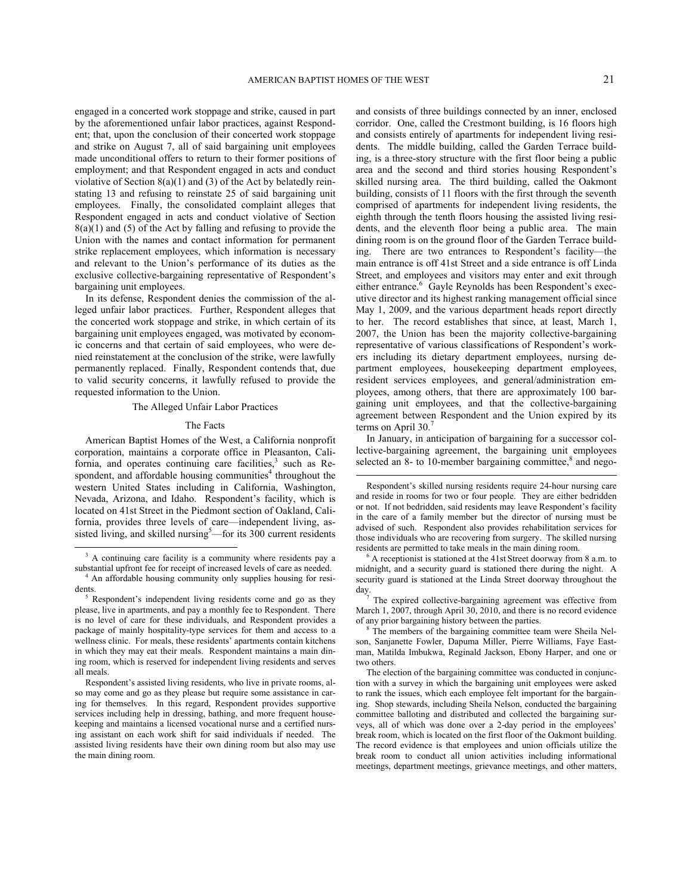engaged in a concerted work stoppage and strike, caused in part by the aforementioned unfair labor practices, against Respondent; that, upon the conclusion of their concerted work stoppage and strike on August 7, all of said bargaining unit employees made unconditional offers to return to their former positions of employment; and that Respondent engaged in acts and conduct violative of Section 8(a)(1) and (3) of the Act by belatedly reinstating 13 and refusing to reinstate 25 of said bargaining unit employees. Finally, the consolidated complaint alleges that Respondent engaged in acts and conduct violative of Section  $8(a)(1)$  and (5) of the Act by falling and refusing to provide the Union with the names and contact information for permanent strike replacement employees, which information is necessary and relevant to the Union's performance of its duties as the exclusive collective-bargaining representative of Respondent's bargaining unit employees.

In its defense, Respondent denies the commission of the alleged unfair labor practices. Further, Respondent alleges that the concerted work stoppage and strike, in which certain of its bargaining unit employees engaged, was motivated by economic concerns and that certain of said employees, who were denied reinstatement at the conclusion of the strike, were lawfully permanently replaced. Finally, Respondent contends that, due to valid security concerns, it lawfully refused to provide the requested information to the Union.

#### The Alleged Unfair Labor Practices

#### The Facts

American Baptist Homes of the West, a California nonprofit corporation, maintains a corporate office in Pleasanton, California, and operates continuing care facilities, $3$  such as Re-spondent, and affordable housing communities<sup>[4](#page-20-1)</sup> throughout the western United States including in California, Washington, Nevada, Arizona, and Idaho. Respondent's facility, which is located on 41st Street in the Piedmont section of Oakland, California, provides three levels of care—independent living, as-sisted living, and skilled nursing<sup>[5](#page-20-2)</sup>—for its  $300$  current residents

-

<span id="page-20-1"></span>dents.

and consists of three buildings connected by an inner, enclosed corridor. One, called the Crestmont building, is 16 floors high and consists entirely of apartments for independent living residents. The middle building, called the Garden Terrace building, is a three-story structure with the first floor being a public area and the second and third stories housing Respondent's skilled nursing area. The third building, called the Oakmont building, consists of 11 floors with the first through the seventh comprised of apartments for independent living residents, the eighth through the tenth floors housing the assisted living residents, and the eleventh floor being a public area. The main dining room is on the ground floor of the Garden Terrace building. There are two entrances to Respondent's facility—the main entrance is off 41st Street and a side entrance is off Linda Street, and employees and visitors may enter and exit through either entrance.<sup>[6](#page-20-0)</sup> Gayle Reynolds has been Respondent's executive director and its highest ranking management official since May 1, 2009, and the various department heads report directly to her. The record establishes that since, at least, March 1, 2007, the Union has been the majority collective-bargaining representative of various classifications of Respondent's workers including its dietary department employees, nursing department employees, housekeeping department employees, resident services employees, and general/administration employees, among others, that there are approximately 100 bargaining unit employees, and that the collective-bargaining agreement between Respondent and the Union expired by its terms on April 30.<sup>[7](#page-20-3)</sup>

In January, in anticipation of bargaining for a successor collective-bargaining agreement, the bargaining unit employees selected an  $8 8-$  to 10-member bargaining committee, $8$  and nego-

<span id="page-20-0"></span><sup>&</sup>lt;sup>3</sup> A continuing care facility is a community where residents pay a substantial upfront fee for receipt of increased levels of care as needed. An affordable housing community only supplies housing for resi-

<span id="page-20-4"></span><span id="page-20-3"></span><span id="page-20-2"></span>Respondent's independent living residents come and go as they please, live in apartments, and pay a monthly fee to Respondent. There is no level of care for these individuals, and Respondent provides a package of mainly hospitality-type services for them and access to a wellness clinic. For meals, these residents' apartments contain kitchens in which they may eat their meals. Respondent maintains a main dining room, which is reserved for independent living residents and serves all meals.

Respondent's assisted living residents, who live in private rooms, also may come and go as they please but require some assistance in caring for themselves. In this regard, Respondent provides supportive services including help in dressing, bathing, and more frequent housekeeping and maintains a licensed vocational nurse and a certified nursing assistant on each work shift for said individuals if needed. The assisted living residents have their own dining room but also may use the main dining room.

Respondent's skilled nursing residents require 24-hour nursing care and reside in rooms for two or four people. They are either bedridden or not. If not bedridden, said residents may leave Respondent's facility in the care of a family member but the director of nursing must be advised of such. Respondent also provides rehabilitation services for those individuals who are recovering from surgery. The skilled nursing residents are permitted to take meals in the main dining room.

 $6$  A receptionist is stationed at the 41st Street doorway from 8 a.m. to midnight, and a security guard is stationed there during the night. A security guard is stationed at the Linda Street doorway throughout the day.

 $7$  The expired collective-bargaining agreement was effective from March 1, 2007, through April 30, 2010, and there is no record evidence of any prior bargaining history between the parties.

<sup>&</sup>lt;sup>8</sup> The members of the bargaining committee team were Sheila Nelson, Sanjanette Fowler, Dapuma Miller, Pierre Williams, Faye Eastman, Matilda Imbukwa, Reginald Jackson, Ebony Harper, and one or two others.

The election of the bargaining committee was conducted in conjunction with a survey in which the bargaining unit employees were asked to rank the issues, which each employee felt important for the bargaining. Shop stewards, including Sheila Nelson, conducted the bargaining committee balloting and distributed and collected the bargaining surveys, all of which was done over a 2-day period in the employees' break room, which is located on the first floor of the Oakmont building. The record evidence is that employees and union officials utilize the break room to conduct all union activities including informational meetings, department meetings, grievance meetings, and other matters,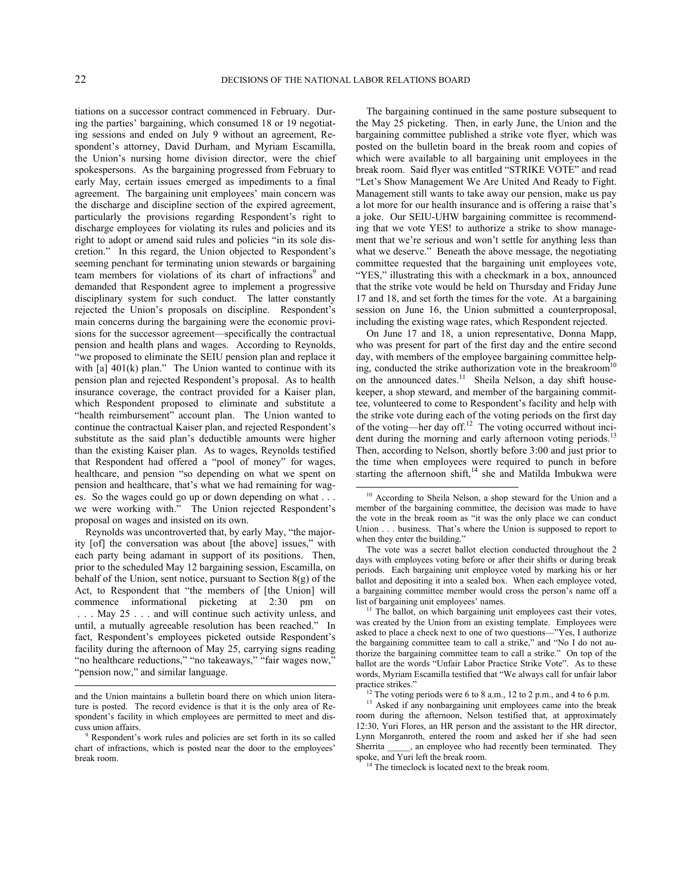l

tiations on a successor contract commenced in February. During the parties' bargaining, which consumed 18 or 19 negotiating sessions and ended on July 9 without an agreement, Respondent's attorney, David Durham, and Myriam Escamilla, the Union's nursing home division director, were the chief spokespersons. As the bargaining progressed from February to early May, certain issues emerged as impediments to a final agreement. The bargaining unit employees' main concern was the discharge and discipline section of the expired agreement, particularly the provisions regarding Respondent's right to discharge employees for violating its rules and policies and its right to adopt or amend said rules and policies "in its sole discretion." In this regard, the Union objected to Respondent's seeming penchant for terminating union stewards or bargaining team members for violations of its chart of infractions<sup>[9](#page-21-0)</sup> and demanded that Respondent agree to implement a progressive disciplinary system for such conduct. The latter constantly rejected the Union's proposals on discipline. Respondent's main concerns during the bargaining were the economic provisions for the successor agreement—specifically the contractual pension and health plans and wages. According to Reynolds, "we proposed to eliminate the SEIU pension plan and replace it with [a]  $401(k)$  plan." The Union wanted to continue with its pension plan and rejected Respondent's proposal. As to health insurance coverage, the contract provided for a Kaiser plan, which Respondent proposed to eliminate and substitute a "health reimbursement" account plan. The Union wanted to continue the contractual Kaiser plan, and rejected Respondent's substitute as the said plan's deductible amounts were higher than the existing Kaiser plan. As to wages, Reynolds testified that Respondent had offered a "pool of money" for wages, healthcare, and pension "so depending on what we spent on pension and healthcare, that's what we had remaining for wages. So the wages could go up or down depending on what . . . we were working with." The Union rejected Respondent's proposal on wages and insisted on its own.

<span id="page-21-2"></span><span id="page-21-1"></span>Reynolds was uncontroverted that, by early May, "the majority [of] the conversation was about [the above] issues," with each party being adamant in support of its positions. Then, prior to the scheduled May 12 bargaining session, Escamilla, on behalf of the Union, sent notice, pursuant to Section 8(g) of the Act, to Respondent that "the members of [the Union] will commence informational picketing at 2:30 pm on . . . May 25 . . . and will continue such activity unless, and until, a mutually agreeable resolution has been reached." In fact, Respondent's employees picketed outside Respondent's facility during the afternoon of May 25, carrying signs reading "no healthcare reductions," "no takeaways," "fair wages now," "pension now," and similar language.

The bargaining continued in the same posture subsequent to the May 25 picketing. Then, in early June, the Union and the bargaining committee published a strike vote flyer, which was posted on the bulletin board in the break room and copies of which were available to all bargaining unit employees in the break room. Said flyer was entitled "STRIKE VOTE" and read "Let's Show Management We Are United And Ready to Fight. Management still wants to take away our pension, make us pay a lot more for our health insurance and is offering a raise that's a joke. Our SEIU-UHW bargaining committee is recommending that we vote YES! to authorize a strike to show management that we're serious and won't settle for anything less than what we deserve." Beneath the above message, the negotiating committee requested that the bargaining unit employees vote, "YES," illustrating this with a checkmark in a box, announced that the strike vote would be held on Thursday and Friday June 17 and 18, and set forth the times for the vote. At a bargaining session on June 16, the Union submitted a counterproposal, including the existing wage rates, which Respondent rejected.

On June 17 and 18, a union representative, Donna Mapp, who was present for part of the first day and the entire second day, with members of the employee bargaining committee help-ing, conducted the strike authorization vote in the breakroom<sup>[10](#page-21-1)</sup> on the announced dates.<sup>[11](#page-21-2)</sup> Sheila Nelson, a day shift housekeeper, a shop steward, and member of the bargaining committee, volunteered to come to Respondent's facility and help with the strike vote during each of the voting periods on the first day of the voting—her day off.<sup>[12](#page-21-3)</sup> The voting occurred without inci-dent during the morning and early afternoon voting periods.<sup>[13](#page-21-4)</sup> Then, according to Nelson, shortly before 3:00 and just prior to the time when employees were required to punch in before starting the afternoon shift,<sup>[14](#page-21-5)</sup> she and Matilda Imbukwa were

<span id="page-21-4"></span><span id="page-21-3"></span>and the Union maintains a bulletin board there on which union literature is posted. The record evidence is that it is the only area of Respondent's facility in which employees are permitted to meet and discuss union affairs.

<span id="page-21-5"></span><span id="page-21-0"></span>Respondent's work rules and policies are set forth in its so called chart of infractions, which is posted near the door to the employees' break room.

<sup>&</sup>lt;sup>10</sup> According to Sheila Nelson, a shop steward for the Union and a member of the bargaining committee, the decision was made to have the vote in the break room as "it was the only place we can conduct Union . . . business. That's where the Union is supposed to report to when they enter the building."

The vote was a secret ballot election conducted throughout the 2 days with employees voting before or after their shifts or during break periods. Each bargaining unit employee voted by marking his or her ballot and depositing it into a sealed box. When each employee voted, a bargaining committee member would cross the person's name off a list of bargaining unit employees' names.

 $11$  The ballot, on which bargaining unit employees cast their votes, was created by the Union from an existing template. Employees were asked to place a check next to one of two questions—"Yes, I authorize the bargaining committee team to call a strike," and "No I do not authorize the bargaining committee team to call a strike." On top of the ballot are the words "Unfair Labor Practice Strike Vote". As to these words, Myriam Escamilla testified that "We always call for unfair labor practice strikes."

<sup>&</sup>lt;sup>12</sup> The voting periods were 6 to 8 a.m., 12 to 2 p.m., and 4 to 6 p.m.

<sup>&</sup>lt;sup>13</sup> Asked if any nonbargaining unit employees came into the break room during the afternoon, Nelson testified that, at approximately 12:30, Yuri Flores, an HR person and the assistant to the HR director, Lynn Morganroth, entered the room and asked her if she had seen Sherrita \_\_\_\_\_, an employee who had recently been terminated. They spoke, and Yuri left the break room.

<sup>&</sup>lt;sup>14</sup> The timeclock is located next to the break room.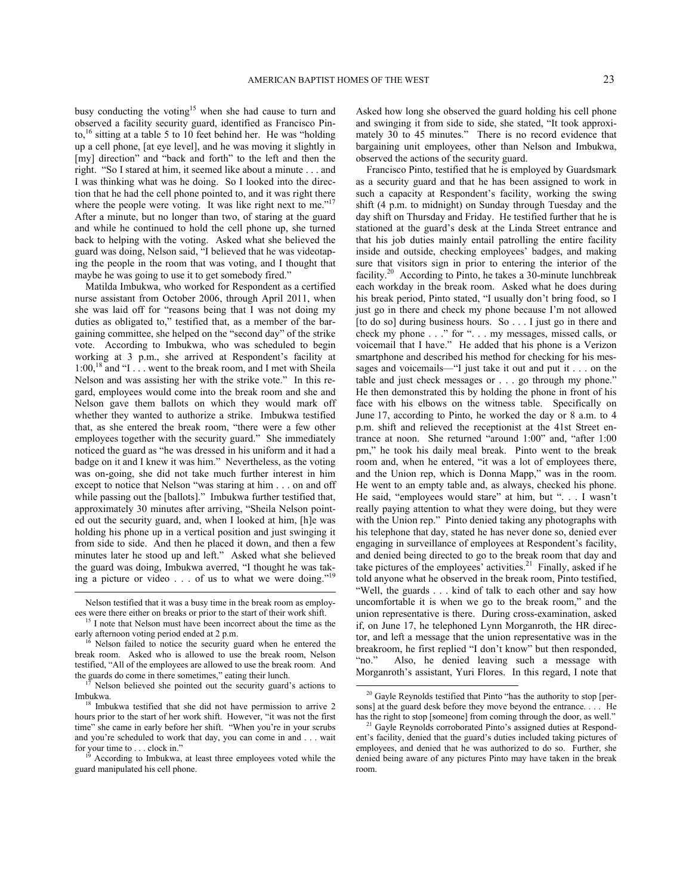busy conducting the voting<sup>[15](#page-22-0)</sup> when she had cause to turn and observed a facility security guard, identified as Francisco Pinto, $16 \times 16$  $16 \times 16$  sitting at a table 5 to 10 feet behind her. He was "holding" up a cell phone, [at eye level], and he was moving it slightly in [my] direction" and "back and forth" to the left and then the right. "So I stared at him, it seemed like about a minute . . . and I was thinking what was he doing. So I looked into the direction that he had the cell phone pointed to, and it was right there where the people were voting. It was like right next to me."<sup>[17](#page-22-2)</sup> After a minute, but no longer than two, of staring at the guard and while he continued to hold the cell phone up, she turned back to helping with the voting. Asked what she believed the guard was doing, Nelson said, "I believed that he was videotaping the people in the room that was voting, and I thought that maybe he was going to use it to get somebody fired."

Matilda Imbukwa, who worked for Respondent as a certified nurse assistant from October 2006, through April 2011, when she was laid off for "reasons being that I was not doing my duties as obligated to," testified that, as a member of the bargaining committee, she helped on the "second day" of the strike vote. According to Imbukwa, who was scheduled to begin working at 3 p.m., she arrived at Respondent's facility at 1:00,[18](#page-22-3) and "I . . . went to the break room, and I met with Sheila Nelson and was assisting her with the strike vote." In this regard, employees would come into the break room and she and Nelson gave them ballots on which they would mark off whether they wanted to authorize a strike. Imbukwa testified that, as she entered the break room, "there were a few other employees together with the security guard." She immediately noticed the guard as "he was dressed in his uniform and it had a badge on it and I knew it was him." Nevertheless, as the voting was on-going, she did not take much further interest in him except to notice that Nelson "was staring at him . . . on and off while passing out the [ballots]." Imbukwa further testified that, approximately 30 minutes after arriving, "Sheila Nelson pointed out the security guard, and, when I looked at him, [h]e was holding his phone up in a vertical position and just swinging it from side to side. And then he placed it down, and then a few minutes later he stood up and left." Asked what she believed the guard was doing, Imbukwa averred, "I thought he was taking a picture or video  $\ldots$  of us to what we were doing."

Nelson testified that it was a busy time in the break room as employees were there either on breaks or prior to the start of their work shift.

l

<span id="page-22-0"></span><sup>15</sup> I note that Nelson must have been incorrect about the time as the early afternoon voting period ended at 2 p.m.

<span id="page-22-1"></span>Nelson failed to notice the security guard when he entered the break room. Asked who is allowed to use the break room, Nelson testified, "All of the employees are allowed to use the break room. And the guards do come in there sometimes," eating their lunch.

<span id="page-22-5"></span><span id="page-22-2"></span>Nelson believed she pointed out the security guard's actions to Imbukwa.

<span id="page-22-6"></span><span id="page-22-3"></span><sup>18</sup> Imbukwa testified that she did not have permission to arrive 2 hours prior to the start of her work shift. However, "it was not the first time" she came in early before her shift. "When you're in your scrubs and you're scheduled to work that day, you can come in and . . . wait for your time to . . . clock in."

<span id="page-22-4"></span><sup>2</sup> According to Imbukwa, at least three employees voted while the guard manipulated his cell phone.

Asked how long she observed the guard holding his cell phone and swinging it from side to side, she stated, "It took approximately 30 to 45 minutes." There is no record evidence that bargaining unit employees, other than Nelson and Imbukwa, observed the actions of the security guard.

Francisco Pinto, testified that he is employed by Guardsmark as a security guard and that he has been assigned to work in such a capacity at Respondent's facility, working the swing shift (4 p.m. to midnight) on Sunday through Tuesday and the day shift on Thursday and Friday. He testified further that he is stationed at the guard's desk at the Linda Street entrance and that his job duties mainly entail patrolling the entire facility inside and outside, checking employees' badges, and making sure that visitors sign in prior to entering the interior of the facility.<sup>[20](#page-22-5)</sup> According to Pinto, he takes a 30-minute lunchbreak each workday in the break room. Asked what he does during his break period, Pinto stated, "I usually don't bring food, so I just go in there and check my phone because I'm not allowed [to do so] during business hours. So . . . I just go in there and check my phone . . ." for ". . . my messages, missed calls, or voicemail that I have." He added that his phone is a Verizon smartphone and described his method for checking for his messages and voicemails—"I just take it out and put it . . . on the table and just check messages or . . . go through my phone." He then demonstrated this by holding the phone in front of his face with his elbows on the witness table. Specifically on June 17, according to Pinto, he worked the day or 8 a.m. to 4 p.m. shift and relieved the receptionist at the 41st Street entrance at noon. She returned "around 1:00" and, "after 1:00 pm," he took his daily meal break. Pinto went to the break room and, when he entered, "it was a lot of employees there, and the Union rep, which is Donna Mapp," was in the room. He went to an empty table and, as always, checked his phone. He said, "employees would stare" at him, but ". . . I wasn't really paying attention to what they were doing, but they were with the Union rep." Pinto denied taking any photographs with his telephone that day, stated he has never done so, denied ever engaging in surveillance of employees at Respondent's facility, and denied being directed to go to the break room that day and take pictures of the employees' activities.<sup>[21](#page-22-6)</sup> Finally, asked if he told anyone what he observed in the break room, Pinto testified, "Well, the guards . . . kind of talk to each other and say how uncomfortable it is when we go to the break room," and the union representative is there. During cross-examination, asked if, on June 17, he telephoned Lynn Morganroth, the HR director, and left a message that the union representative was in the breakroom, he first replied "I don't know" but then responded, "no." Also, he denied leaving such a message with Morganroth's assistant, Yuri Flores. In this regard, I note that  $\overline{a}$ 

<sup>&</sup>lt;sup>20</sup> Gayle Reynolds testified that Pinto "has the authority to stop [persons] at the guard desk before they move beyond the entrance. . . . He has the right to stop [someone] from coming through the door, as well."

<sup>&</sup>lt;sup>21</sup> Gayle Reynolds corroborated Pinto's assigned duties at Respondent's facility, denied that the guard's duties included taking pictures of employees, and denied that he was authorized to do so. Further, she denied being aware of any pictures Pinto may have taken in the break room.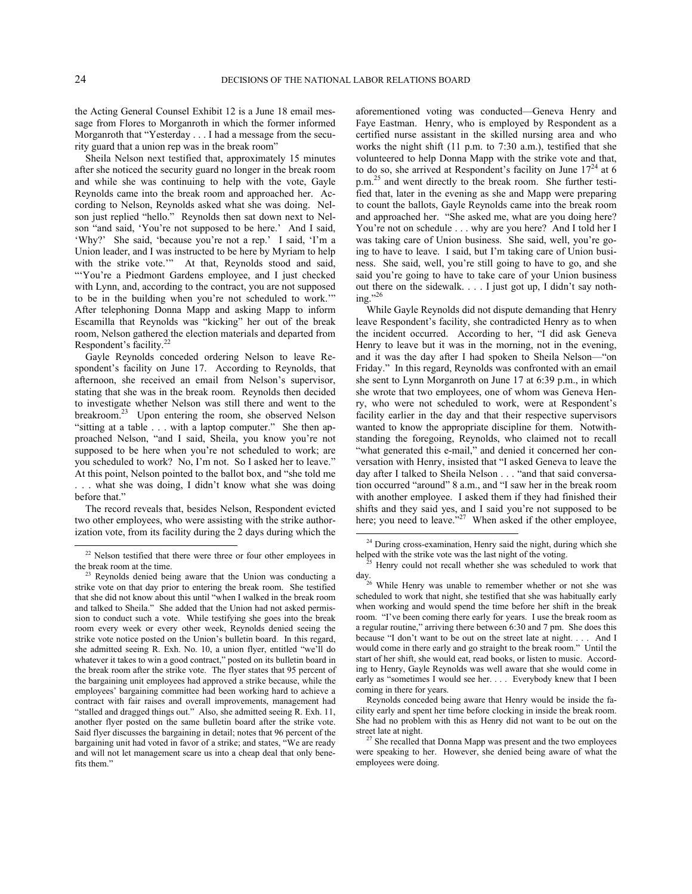$\overline{a}$ 

the Acting General Counsel Exhibit 12 is a June 18 email message from Flores to Morganroth in which the former informed Morganroth that "Yesterday . . . I had a message from the security guard that a union rep was in the break room"

Sheila Nelson next testified that, approximately 15 minutes after she noticed the security guard no longer in the break room and while she was continuing to help with the vote, Gayle Reynolds came into the break room and approached her. According to Nelson, Reynolds asked what she was doing. Nelson just replied "hello." Reynolds then sat down next to Nelson "and said, 'You're not supposed to be here.' And I said, 'Why?' She said, 'because you're not a rep.' I said, 'I'm a Union leader, and I was instructed to be here by Myriam to help with the strike vote.'" At that, Reynolds stood and said, "'You're a Piedmont Gardens employee, and I just checked with Lynn, and, according to the contract, you are not supposed to be in the building when you're not scheduled to work.'" After telephoning Donna Mapp and asking Mapp to inform Escamilla that Reynolds was "kicking" her out of the break room, Nelson gathered the election materials and departed from Respondent's facility.[22](#page-23-0)

Gayle Reynolds conceded ordering Nelson to leave Respondent's facility on June 17. According to Reynolds, that afternoon, she received an email from Nelson's supervisor, stating that she was in the break room. Reynolds then decided to investigate whether Nelson was still there and went to the breakroom.<sup>[23](#page-23-1)</sup> Upon entering the room, she observed Nelson "sitting at a table . . . with a laptop computer." She then approached Nelson, "and I said, Sheila, you know you're not supposed to be here when you're not scheduled to work; are you scheduled to work? No, I'm not. So I asked her to leave." At this point, Nelson pointed to the ballot box, and "she told me . . . what she was doing, I didn't know what she was doing before that."

The record reveals that, besides Nelson, Respondent evicted two other employees, who were assisting with the strike authorization vote, from its facility during the 2 days during which the aforementioned voting was conducted—Geneva Henry and Faye Eastman. Henry, who is employed by Respondent as a certified nurse assistant in the skilled nursing area and who works the night shift (11 p.m. to 7:30 a.m.), testified that she volunteered to help Donna Mapp with the strike vote and that, to do so, she arrived at Respondent's facility on June  $17<sup>24</sup>$  $17<sup>24</sup>$  $17<sup>24</sup>$  at 6 p.m.[25](#page-23-3) and went directly to the break room. She further testified that, later in the evening as she and Mapp were preparing to count the ballots, Gayle Reynolds came into the break room and approached her. "She asked me, what are you doing here? You're not on schedule . . . why are you here? And I told her I was taking care of Union business. She said, well, you're going to have to leave. I said, but I'm taking care of Union business. She said, well, you're still going to have to go, and she said you're going to have to take care of your Union business out there on the sidewalk. . . . I just got up, I didn't say noth-ing."[26](#page-23-4)

While Gayle Reynolds did not dispute demanding that Henry leave Respondent's facility, she contradicted Henry as to when the incident occurred. According to her, "I did ask Geneva Henry to leave but it was in the morning, not in the evening, and it was the day after I had spoken to Sheila Nelson—"on Friday." In this regard, Reynolds was confronted with an email she sent to Lynn Morganroth on June 17 at 6:39 p.m., in which she wrote that two employees, one of whom was Geneva Henry, who were not scheduled to work, were at Respondent's facility earlier in the day and that their respective supervisors wanted to know the appropriate discipline for them. Notwithstanding the foregoing, Reynolds, who claimed not to recall "what generated this e-mail," and denied it concerned her conversation with Henry, insisted that "I asked Geneva to leave the day after I talked to Sheila Nelson . . . "and that said conversation occurred "around" 8 a.m., and "I saw her in the break room with another employee. I asked them if they had finished their shifts and they said yes, and I said you're not supposed to be here; you need to leave."<sup>[27](#page-23-5)</sup> When asked if the other employee,

<span id="page-23-3"></span><span id="page-23-2"></span><span id="page-23-0"></span><sup>&</sup>lt;sup>22</sup> Nelson testified that there were three or four other employees in the break room at the time.

<span id="page-23-5"></span><span id="page-23-4"></span><span id="page-23-1"></span><sup>&</sup>lt;sup>23</sup> Reynolds denied being aware that the Union was conducting a strike vote on that day prior to entering the break room. She testified that she did not know about this until "when I walked in the break room and talked to Sheila." She added that the Union had not asked permission to conduct such a vote. While testifying she goes into the break room every week or every other week, Reynolds denied seeing the strike vote notice posted on the Union's bulletin board. In this regard, she admitted seeing R. Exh. No. 10, a union flyer, entitled "we'll do whatever it takes to win a good contract," posted on its bulletin board in the break room after the strike vote. The flyer states that 95 percent of the bargaining unit employees had approved a strike because, while the employees' bargaining committee had been working hard to achieve a contract with fair raises and overall improvements, management had "stalled and dragged things out." Also, she admitted seeing R. Exh. 11, another flyer posted on the same bulletin board after the strike vote. Said flyer discusses the bargaining in detail; notes that 96 percent of the bargaining unit had voted in favor of a strike; and states, "We are ready and will not let management scare us into a cheap deal that only benefits them.'

<sup>&</sup>lt;sup>24</sup> During cross-examination, Henry said the night, during which she helped with the strike vote was the last night of the voting.

Henry could not recall whether she was scheduled to work that  $\operatorname*{day}_{26}$ 

While Henry was unable to remember whether or not she was scheduled to work that night, she testified that she was habitually early when working and would spend the time before her shift in the break room. "I've been coming there early for years. I use the break room as a regular routine," arriving there between 6:30 and 7 pm. She does this because "I don't want to be out on the street late at night. . . . And I would come in there early and go straight to the break room." Until the start of her shift, she would eat, read books, or listen to music. According to Henry, Gayle Reynolds was well aware that she would come in early as "sometimes I would see her. . . . Everybody knew that I been coming in there for years.

Reynolds conceded being aware that Henry would be inside the facility early and spent her time before clocking in inside the break room. She had no problem with this as Henry did not want to be out on the street late at night.

 $27$  She recalled that Donna Mapp was present and the two employees were speaking to her. However, she denied being aware of what the employees were doing.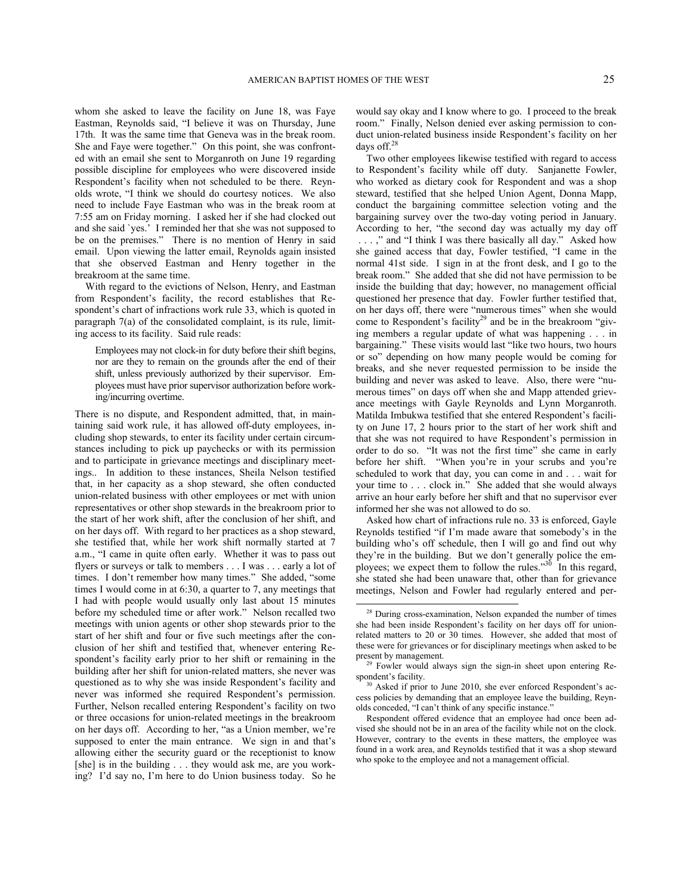whom she asked to leave the facility on June 18, was Faye Eastman, Reynolds said, "I believe it was on Thursday, June 17th. It was the same time that Geneva was in the break room. She and Faye were together." On this point, she was confronted with an email she sent to Morganroth on June 19 regarding possible discipline for employees who were discovered inside Respondent's facility when not scheduled to be there. Reynolds wrote, "I think we should do courtesy notices. We also need to include Faye Eastman who was in the break room at 7:55 am on Friday morning. I asked her if she had clocked out and she said `yes.' I reminded her that she was not supposed to be on the premises." There is no mention of Henry in said email. Upon viewing the latter email, Reynolds again insisted that she observed Eastman and Henry together in the breakroom at the same time.

With regard to the evictions of Nelson, Henry, and Eastman from Respondent's facility, the record establishes that Respondent's chart of infractions work rule 33, which is quoted in paragraph 7(a) of the consolidated complaint, is its rule, limiting access to its facility. Said rule reads:

Employees may not clock-in for duty before their shift begins, nor are they to remain on the grounds after the end of their shift, unless previously authorized by their supervisor. Employees must have prior supervisor authorization before working/incurring overtime.

<span id="page-24-2"></span><span id="page-24-1"></span><span id="page-24-0"></span>There is no dispute, and Respondent admitted, that, in maintaining said work rule, it has allowed off-duty employees, including shop stewards, to enter its facility under certain circumstances including to pick up paychecks or with its permission and to participate in grievance meetings and disciplinary meetings.. In addition to these instances, Sheila Nelson testified that, in her capacity as a shop steward, she often conducted union-related business with other employees or met with union representatives or other shop stewards in the breakroom prior to the start of her work shift, after the conclusion of her shift, and on her days off. With regard to her practices as a shop steward, she testified that, while her work shift normally started at 7 a.m., "I came in quite often early. Whether it was to pass out flyers or surveys or talk to members . . . I was . . . early a lot of times. I don't remember how many times." She added, "some times I would come in at 6:30, a quarter to 7, any meetings that I had with people would usually only last about 15 minutes before my scheduled time or after work." Nelson recalled two meetings with union agents or other shop stewards prior to the start of her shift and four or five such meetings after the conclusion of her shift and testified that, whenever entering Respondent's facility early prior to her shift or remaining in the building after her shift for union-related matters, she never was questioned as to why she was inside Respondent's facility and never was informed she required Respondent's permission. Further, Nelson recalled entering Respondent's facility on two or three occasions for union-related meetings in the breakroom on her days off. According to her, "as a Union member, we're supposed to enter the main entrance. We sign in and that's allowing either the security guard or the receptionist to know [she] is in the building . . . they would ask me, are you working? I'd say no, I'm here to do Union business today. So he

would say okay and I know where to go. I proceed to the break room." Finally, Nelson denied ever asking permission to conduct union-related business inside Respondent's facility on her days off.<sup>[28](#page-24-0)</sup>

Two other employees likewise testified with regard to access to Respondent's facility while off duty. Sanjanette Fowler, who worked as dietary cook for Respondent and was a shop steward, testified that she helped Union Agent, Donna Mapp, conduct the bargaining committee selection voting and the bargaining survey over the two-day voting period in January. According to her, "the second day was actually my day off

. . . ," and "I think I was there basically all day." Asked how she gained access that day, Fowler testified, "I came in the normal 41st side. I sign in at the front desk, and I go to the break room." She added that she did not have permission to be inside the building that day; however, no management official questioned her presence that day. Fowler further testified that, on her days off, there were "numerous times" when she would come to Respondent's facility<sup>[29](#page-24-1)</sup> and be in the breakroom "giving members a regular update of what was happening . . . in bargaining." These visits would last "like two hours, two hours or so" depending on how many people would be coming for breaks, and she never requested permission to be inside the building and never was asked to leave. Also, there were "numerous times" on days off when she and Mapp attended grievance meetings with Gayle Reynolds and Lynn Morganroth. Matilda Imbukwa testified that she entered Respondent's facility on June 17, 2 hours prior to the start of her work shift and that she was not required to have Respondent's permission in order to do so. "It was not the first time" she came in early before her shift. "When you're in your scrubs and you're scheduled to work that day, you can come in and . . . wait for your time to . . . clock in." She added that she would always arrive an hour early before her shift and that no supervisor ever informed her she was not allowed to do so.

Asked how chart of infractions rule no. 33 is enforced, Gayle Reynolds testified "if I'm made aware that somebody's in the building who's off schedule, then I will go and find out why they're in the building. But we don't generally police the em-ployees; we expect them to follow the rules.<sup>3[30](#page-24-2)</sup> In this regard, she stated she had been unaware that, other than for grievance meetings, Nelson and Fowler had regularly entered and per-

<sup>&</sup>lt;sup>28</sup> During cross-examination, Nelson expanded the number of times she had been inside Respondent's facility on her days off for unionrelated matters to 20 or 30 times. However, she added that most of these were for grievances or for disciplinary meetings when asked to be present by management.

<sup>&</sup>lt;sup>29</sup> Fowler would always sign the sign-in sheet upon entering Respondent's facility.

<sup>&</sup>lt;sup>30</sup> Asked if prior to June 2010, she ever enforced Respondent's access policies by demanding that an employee leave the building, Reynolds conceded, "I can't think of any specific instance."

Respondent offered evidence that an employee had once been advised she should not be in an area of the facility while not on the clock. However, contrary to the events in these matters, the employee was found in a work area, and Reynolds testified that it was a shop steward who spoke to the employee and not a management official.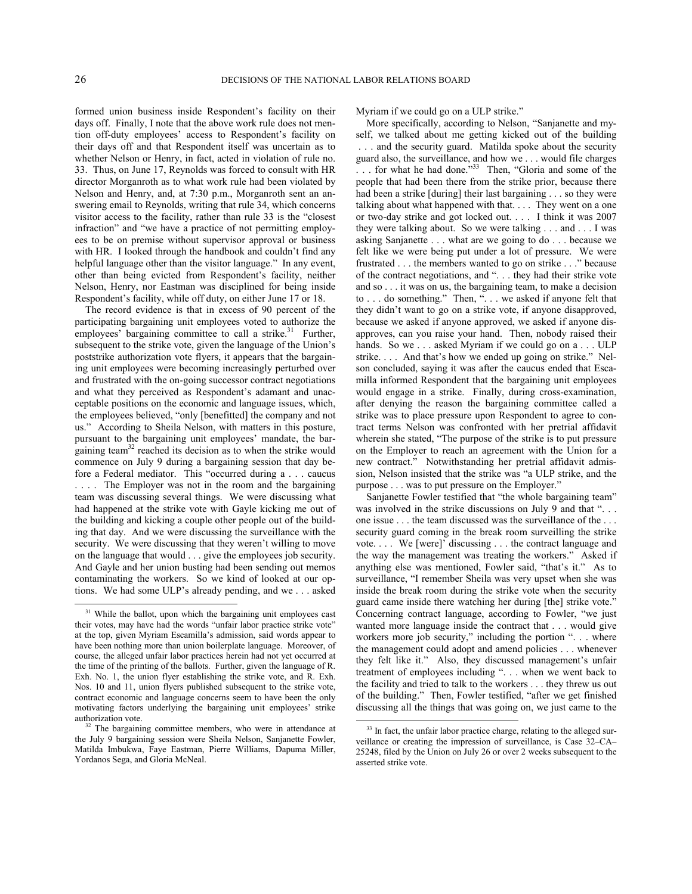formed union business inside Respondent's facility on their days off. Finally, I note that the above work rule does not mention off-duty employees' access to Respondent's facility on their days off and that Respondent itself was uncertain as to whether Nelson or Henry, in fact, acted in violation of rule no. 33. Thus, on June 17, Reynolds was forced to consult with HR director Morganroth as to what work rule had been violated by Nelson and Henry, and, at 7:30 p.m., Morganroth sent an answering email to Reynolds, writing that rule 34, which concerns visitor access to the facility, rather than rule 33 is the "closest infraction" and "we have a practice of not permitting employees to be on premise without supervisor approval or business with HR. I looked through the handbook and couldn't find any helpful language other than the visitor language." In any event, other than being evicted from Respondent's facility, neither Nelson, Henry, nor Eastman was disciplined for being inside Respondent's facility, while off duty, on either June 17 or 18.

The record evidence is that in excess of 90 percent of the participating bargaining unit employees voted to authorize the employees' bargaining committee to call a strike. $31$  Further, subsequent to the strike vote, given the language of the Union's poststrike authorization vote flyers, it appears that the bargaining unit employees were becoming increasingly perturbed over and frustrated with the on-going successor contract negotiations and what they perceived as Respondent's adamant and unacceptable positions on the economic and language issues, which, the employees believed, "only [benefitted] the company and not us." According to Sheila Nelson, with matters in this posture, pursuant to the bargaining unit employees' mandate, the bar-gaining team<sup>[32](#page-25-1)</sup> reached its decision as to when the strike would commence on July 9 during a bargaining session that day before a Federal mediator. This "occurred during a . . . caucus . . . . The Employer was not in the room and the bargaining team was discussing several things. We were discussing what had happened at the strike vote with Gayle kicking me out of the building and kicking a couple other people out of the building that day. And we were discussing the surveillance with the security. We were discussing that they weren't willing to move on the language that would . . . give the employees job security. And Gayle and her union busting had been sending out memos contaminating the workers. So we kind of looked at our options. We had some ULP's already pending, and we . . . asked

Myriam if we could go on a ULP strike."

More specifically, according to Nelson, "Sanjanette and myself, we talked about me getting kicked out of the building

. . . and the security guard. Matilda spoke about the security guard also, the surveillance, and how we . . . would file charges ... for what he had done."<sup>[33](#page-25-2)</sup> Then, "Gloria and some of the people that had been there from the strike prior, because there had been a strike [during] their last bargaining . . . so they were talking about what happened with that. . . . They went on a one or two-day strike and got locked out. . . . I think it was 2007 they were talking about. So we were talking . . . and . . . I was asking Sanjanette . . . what are we going to do . . . because we felt like we were being put under a lot of pressure. We were frustrated . . . the members wanted to go on strike . . ." because of the contract negotiations, and ". . . they had their strike vote and so . . . it was on us, the bargaining team, to make a decision to . . . do something." Then, ". . . we asked if anyone felt that they didn't want to go on a strike vote, if anyone disapproved, because we asked if anyone approved, we asked if anyone disapproves, can you raise your hand. Then, nobody raised their hands. So we . . . asked Myriam if we could go on a . . . ULP strike. . . . And that's how we ended up going on strike." Nelson concluded, saying it was after the caucus ended that Escamilla informed Respondent that the bargaining unit employees would engage in a strike. Finally, during cross-examination, after denying the reason the bargaining committee called a strike was to place pressure upon Respondent to agree to contract terms Nelson was confronted with her pretrial affidavit wherein she stated, "The purpose of the strike is to put pressure on the Employer to reach an agreement with the Union for a new contract." Notwithstanding her pretrial affidavit admission, Nelson insisted that the strike was "a ULP strike, and the purpose . . . was to put pressure on the Employer."

Sanjanette Fowler testified that "the whole bargaining team" was involved in the strike discussions on July 9 and that "... one issue . . . the team discussed was the surveillance of the . . . security guard coming in the break room surveilling the strike vote. . . . We [were]' discussing . . . the contract language and the way the management was treating the workers." Asked if anything else was mentioned, Fowler said, "that's it." As to surveillance, "I remember Sheila was very upset when she was inside the break room during the strike vote when the security guard came inside there watching her during [the] strike vote." Concerning contract language, according to Fowler, "we just wanted more language inside the contract that . . . would give workers more job security," including the portion ". . . where the management could adopt and amend policies . . . whenever they felt like it." Also, they discussed management's unfair treatment of employees including ". . . when we went back to the facility and tried to talk to the workers . . . they threw us out of the building." Then, Fowler testified, "after we get finished discussing all the things that was going on, we just came to the

l

<span id="page-25-0"></span><sup>&</sup>lt;sup>31</sup> While the ballot, upon which the bargaining unit employees cast their votes, may have had the words "unfair labor practice strike vote" at the top, given Myriam Escamilla's admission, said words appear to have been nothing more than union boilerplate language. Moreover, of course, the alleged unfair labor practices herein had not yet occurred at the time of the printing of the ballots. Further, given the language of R. Exh. No. 1, the union flyer establishing the strike vote, and R. Exh. Nos. 10 and 11, union flyers published subsequent to the strike vote, contract economic and language concerns seem to have been the only motivating factors underlying the bargaining unit employees' strike authorization vote.

<span id="page-25-2"></span><span id="page-25-1"></span><sup>&</sup>lt;sup>32</sup> The bargaining committee members, who were in attendance at the July 9 bargaining session were Sheila Nelson, Sanjanette Fowler, Matilda Imbukwa, Faye Eastman, Pierre Williams, Dapuma Miller, Yordanos Sega, and Gloria McNeal.

<sup>&</sup>lt;sup>33</sup> In fact, the unfair labor practice charge, relating to the alleged surveillance or creating the impression of surveillance, is Case 32–CA– 25248, filed by the Union on July 26 or over 2 weeks subsequent to the asserted strike vote.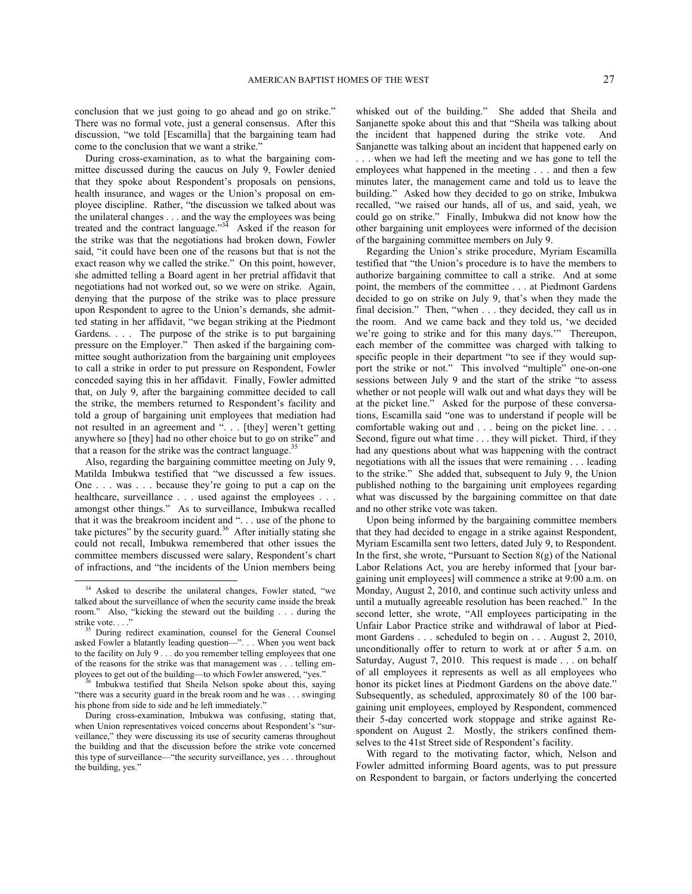conclusion that we just going to go ahead and go on strike." There was no formal vote, just a general consensus. After this discussion, "we told [Escamilla] that the bargaining team had come to the conclusion that we want a strike."

During cross-examination, as to what the bargaining committee discussed during the caucus on July 9, Fowler denied that they spoke about Respondent's proposals on pensions, health insurance, and wages or the Union's proposal on employee discipline. Rather, "the discussion we talked about was the unilateral changes . . . and the way the employees was being treated and the contract language."<sup>[34](#page-26-0)</sup> Asked if the reason for the strike was that the negotiations had broken down, Fowler said, "it could have been one of the reasons but that is not the exact reason why we called the strike." On this point, however, she admitted telling a Board agent in her pretrial affidavit that negotiations had not worked out, so we were on strike. Again, denying that the purpose of the strike was to place pressure upon Respondent to agree to the Union's demands, she admitted stating in her affidavit, "we began striking at the Piedmont Gardens. . . . The purpose of the strike is to put bargaining pressure on the Employer." Then asked if the bargaining committee sought authorization from the bargaining unit employees to call a strike in order to put pressure on Respondent, Fowler conceded saying this in her affidavit. Finally, Fowler admitted that, on July 9, after the bargaining committee decided to call the strike, the members returned to Respondent's facility and told a group of bargaining unit employees that mediation had not resulted in an agreement and ". . . [they] weren't getting anywhere so [they] had no other choice but to go on strike" and that a reason for the strike was the contract language.<sup>[35](#page-26-1)</sup>

Also, regarding the bargaining committee meeting on July 9, Matilda Imbukwa testified that "we discussed a few issues. One . . . was . . . because they're going to put a cap on the healthcare, surveillance . . . used against the employees . . . amongst other things." As to surveillance, Imbukwa recalled that it was the breakroom incident and ". . . use of the phone to take pictures" by the security guard.<sup>[36](#page-26-2)</sup> After initially stating she could not recall, Imbukwa remembered that other issues the committee members discussed were salary, Respondent's chart of infractions, and "the incidents of the Union members being

 $\overline{a}$ 

whisked out of the building." She added that Sheila and Sanjanette spoke about this and that "Sheila was talking about the incident that happened during the strike vote. And Sanjanette was talking about an incident that happened early on . . . when we had left the meeting and we has gone to tell the employees what happened in the meeting . . . and then a few minutes later, the management came and told us to leave the building." Asked how they decided to go on strike, Imbukwa recalled, "we raised our hands, all of us, and said, yeah, we could go on strike." Finally, Imbukwa did not know how the other bargaining unit employees were informed of the decision of the bargaining committee members on July 9.

Regarding the Union's strike procedure, Myriam Escamilla testified that "the Union's procedure is to have the members to authorize bargaining committee to call a strike. And at some point, the members of the committee . . . at Piedmont Gardens decided to go on strike on July 9, that's when they made the final decision." Then, "when . . . they decided, they call us in the room. And we came back and they told us, 'we decided we're going to strike and for this many days.'" Thereupon, each member of the committee was charged with talking to specific people in their department "to see if they would support the strike or not." This involved "multiple" one-on-one sessions between July 9 and the start of the strike "to assess whether or not people will walk out and what days they will be at the picket line." Asked for the purpose of these conversations, Escamilla said "one was to understand if people will be comfortable waking out and . . . being on the picket line. . . . Second, figure out what time . . . they will picket. Third, if they had any questions about what was happening with the contract negotiations with all the issues that were remaining . . . leading to the strike." She added that, subsequent to July 9, the Union published nothing to the bargaining unit employees regarding what was discussed by the bargaining committee on that date and no other strike vote was taken.

Upon being informed by the bargaining committee members that they had decided to engage in a strike against Respondent, Myriam Escamilla sent two letters, dated July 9, to Respondent. In the first, she wrote, "Pursuant to Section 8(g) of the National Labor Relations Act, you are hereby informed that [your bargaining unit employees] will commence a strike at 9:00 a.m. on Monday, August 2, 2010, and continue such activity unless and until a mutually agreeable resolution has been reached." In the second letter, she wrote, "All employees participating in the Unfair Labor Practice strike and withdrawal of labor at Piedmont Gardens . . . scheduled to begin on . . . August 2, 2010, unconditionally offer to return to work at or after 5 a.m. on Saturday, August 7, 2010. This request is made . . . on behalf of all employees it represents as well as all employees who honor its picket lines at Piedmont Gardens on the above date." Subsequently, as scheduled, approximately 80 of the 100 bargaining unit employees, employed by Respondent, commenced their 5-day concerted work stoppage and strike against Respondent on August 2. Mostly, the strikers confined themselves to the 41st Street side of Respondent's facility.

With regard to the motivating factor, which, Nelson and Fowler admitted informing Board agents, was to put pressure on Respondent to bargain, or factors underlying the concerted

<span id="page-26-0"></span><sup>&</sup>lt;sup>34</sup> Asked to describe the unilateral changes, Fowler stated, "we talked about the surveillance of when the security came inside the break room." Also, "kicking the steward out the building . . . during the strike vote....

<span id="page-26-1"></span><sup>35</sup> During redirect examination, counsel for the General Counsel asked Fowler a blatantly leading question—". . . When you went back to the facility on July 9 . . . do you remember telling employees that one of the reasons for the strike was that management was . . . telling employees to get out of the building—to which Fowler answered, "yes."

<span id="page-26-2"></span>Imbukwa testified that Sheila Nelson spoke about this, saying "there was a security guard in the break room and he was . . . swinging his phone from side to side and he left immediately."

During cross-examination, Imbukwa was confusing, stating that, when Union representatives voiced concerns about Respondent's "surveillance," they were discussing its use of security cameras throughout the building and that the discussion before the strike vote concerned this type of surveillance—"the security surveillance, yes . . . throughout the building, yes."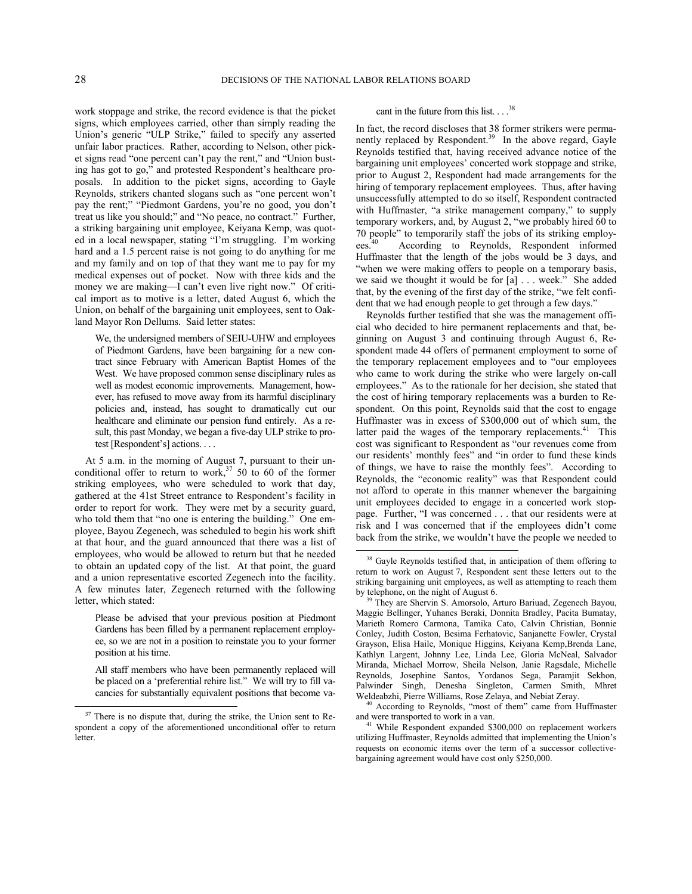-

 $\overline{a}$ 

work stoppage and strike, the record evidence is that the picket signs, which employees carried, other than simply reading the Union's generic "ULP Strike," failed to specify any asserted unfair labor practices. Rather, according to Nelson, other picket signs read "one percent can't pay the rent," and "Union busting has got to go," and protested Respondent's healthcare proposals. In addition to the picket signs, according to Gayle Reynolds, strikers chanted slogans such as "one percent won't pay the rent;" "Piedmont Gardens, you're no good, you don't treat us like you should;" and "No peace, no contract." Further, a striking bargaining unit employee, Keiyana Kemp, was quoted in a local newspaper, stating "I'm struggling. I'm working hard and a 1.5 percent raise is not going to do anything for me and my family and on top of that they want me to pay for my medical expenses out of pocket. Now with three kids and the money we are making—I can't even live right now." Of critical import as to motive is a letter, dated August 6, which the Union, on behalf of the bargaining unit employees, sent to Oakland Mayor Ron Dellums. Said letter states:

We, the undersigned members of SEIU-UHW and employees of Piedmont Gardens, have been bargaining for a new contract since February with American Baptist Homes of the West. We have proposed common sense disciplinary rules as well as modest economic improvements. Management, however, has refused to move away from its harmful disciplinary policies and, instead, has sought to dramatically cut our healthcare and eliminate our pension fund entirely. As a result, this past Monday, we began a five-day ULP strike to protest [Respondent's] actions. . . .

At 5 a.m. in the morning of August 7, pursuant to their un-conditional offer to return to work,<sup>[37](#page-27-0)</sup> 50 to 60 of the former striking employees, who were scheduled to work that day, gathered at the 41st Street entrance to Respondent's facility in order to report for work. They were met by a security guard, who told them that "no one is entering the building." One employee, Bayou Zegenech, was scheduled to begin his work shift at that hour, and the guard announced that there was a list of employees, who would be allowed to return but that he needed to obtain an updated copy of the list. At that point, the guard and a union representative escorted Zegenech into the facility. A few minutes later, Zegenech returned with the following letter, which stated:

<span id="page-27-2"></span><span id="page-27-1"></span>Please be advised that your previous position at Piedmont Gardens has been filled by a permanent replacement employee, so we are not in a position to reinstate you to your former position at his time.

All staff members who have been permanently replaced will be placed on a 'preferential rehire list." We will try to fill vacancies for substantially equivalent positions that become va-

# cant in the future from this list. . . .<sup>[38](#page-27-1)</sup>

In fact, the record discloses that 38 former strikers were perma-nently replaced by Respondent.<sup>[39](#page-27-2)</sup> In the above regard, Gayle Reynolds testified that, having received advance notice of the bargaining unit employees' concerted work stoppage and strike, prior to August 2, Respondent had made arrangements for the hiring of temporary replacement employees. Thus, after having unsuccessfully attempted to do so itself, Respondent contracted with Huffmaster, "a strike management company," to supply temporary workers, and, by August 2, "we probably hired 60 to 70 people" to temporarily staff the jobs of its striking employees. According to Reynolds, Respondent informed Huffmaster that the length of the jobs would be 3 days, and "when we were making offers to people on a temporary basis, we said we thought it would be for [a] . . . week." She added that, by the evening of the first day of the strike, "we felt confident that we had enough people to get through a few days."

Reynolds further testified that she was the management official who decided to hire permanent replacements and that, beginning on August 3 and continuing through August 6, Respondent made 44 offers of permanent employment to some of the temporary replacement employees and to "our employees who came to work during the strike who were largely on-call employees." As to the rationale for her decision, she stated that the cost of hiring temporary replacements was a burden to Respondent. On this point, Reynolds said that the cost to engage Huffmaster was in excess of \$300,000 out of which sum, the latter paid the wages of the temporary replacements.<sup>[41](#page-27-4)</sup> This cost was significant to Respondent as "our revenues come from our residents' monthly fees" and "in order to fund these kinds of things, we have to raise the monthly fees". According to Reynolds, the "economic reality" was that Respondent could not afford to operate in this manner whenever the bargaining unit employees decided to engage in a concerted work stoppage. Further, "I was concerned . . . that our residents were at risk and I was concerned that if the employees didn't come back from the strike, we wouldn't have the people we needed to

<span id="page-27-4"></span><span id="page-27-3"></span><span id="page-27-0"></span><sup>&</sup>lt;sup>37</sup> There is no dispute that, during the strike, the Union sent to Respondent a copy of the aforementioned unconditional offer to return **letter** 

<sup>&</sup>lt;sup>38</sup> Gavle Reynolds testified that, in anticipation of them offering to return to work on August 7, Respondent sent these letters out to the striking bargaining unit employees, as well as attempting to reach them by telephone, on the night of August 6.

<sup>&</sup>lt;sup>39</sup> They are Shervin S. Amorsolo, Arturo Bariuad, Zegenech Bayou, Maggie Bellinger, Yuhanes Beraki, Donnita Bradley, Pacita Bumatay, Marieth Romero Carmona, Tamika Cato, Calvin Christian, Bonnie Conley, Judith Coston, Besima Ferhatovic, Sanjanette Fowler, Crystal Grayson, Elisa Haile, Monique Higgins, Keiyana Kemp,Brenda Lane, Kathlyn Largent, Johnny Lee, Linda Lee, Gloria McNeal, Salvador Miranda, Michael Morrow, Sheila Nelson, Janie Ragsdale, Michelle Reynolds, Josephine Santos, Yordanos Sega, Paramjit Sekhon, Palwinder Singh, Denesha Singleton, Carmen Smith, Mhret Weldeabzhi, Pierre Williams, Rose Zelaya, and Nebiat Zeray.

According to Reynolds, "most of them" came from Huffmaster and were transported to work in a van.

While Respondent expanded \$300,000 on replacement workers utilizing Huffmaster, Reynolds admitted that implementing the Union's requests on economic items over the term of a successor collectivebargaining agreement would have cost only \$250,000.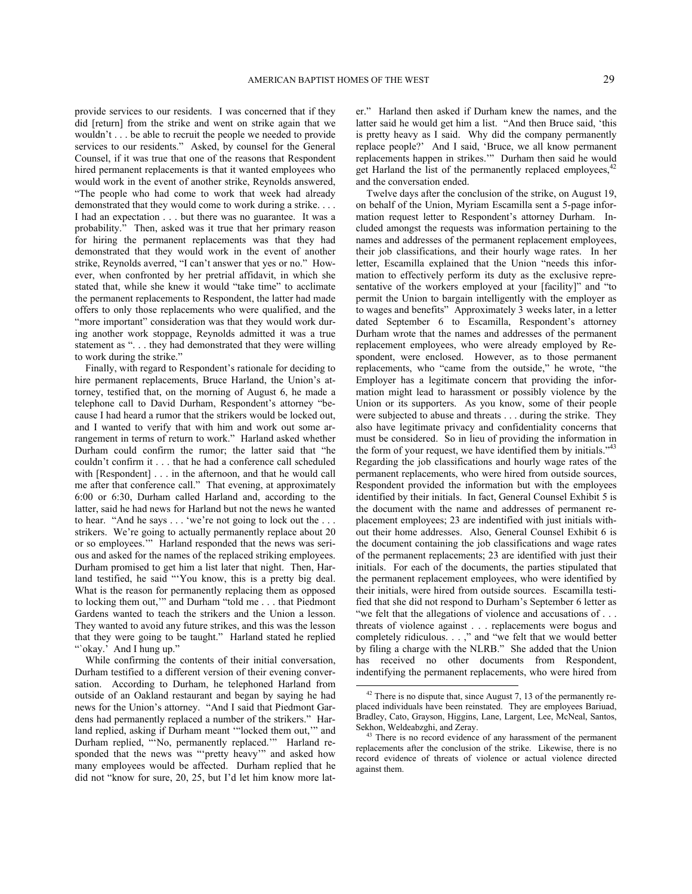provide services to our residents. I was concerned that if they did [return] from the strike and went on strike again that we wouldn't . . . be able to recruit the people we needed to provide services to our residents." Asked, by counsel for the General Counsel, if it was true that one of the reasons that Respondent hired permanent replacements is that it wanted employees who would work in the event of another strike, Reynolds answered, "The people who had come to work that week had already demonstrated that they would come to work during a strike. . . . I had an expectation . . . but there was no guarantee. It was a probability." Then, asked was it true that her primary reason for hiring the permanent replacements was that they had demonstrated that they would work in the event of another strike, Reynolds averred, "I can't answer that yes or no." However, when confronted by her pretrial affidavit, in which she stated that, while she knew it would "take time" to acclimate the permanent replacements to Respondent, the latter had made offers to only those replacements who were qualified, and the "more important" consideration was that they would work during another work stoppage, Reynolds admitted it was a true statement as ". . . they had demonstrated that they were willing to work during the strike."

Finally, with regard to Respondent's rationale for deciding to hire permanent replacements, Bruce Harland, the Union's attorney, testified that, on the morning of August 6, he made a telephone call to David Durham, Respondent's attorney "because I had heard a rumor that the strikers would be locked out, and I wanted to verify that with him and work out some arrangement in terms of return to work." Harland asked whether Durham could confirm the rumor; the latter said that "he couldn't confirm it . . . that he had a conference call scheduled with [Respondent] . . . in the afternoon, and that he would call me after that conference call." That evening, at approximately 6:00 or 6:30, Durham called Harland and, according to the latter, said he had news for Harland but not the news he wanted to hear. "And he says . . . 'we're not going to lock out the . . . strikers. We're going to actually permanently replace about 20 or so employees.'" Harland responded that the news was serious and asked for the names of the replaced striking employees. Durham promised to get him a list later that night. Then, Harland testified, he said "'You know, this is a pretty big deal. What is the reason for permanently replacing them as opposed to locking them out,'" and Durham "told me . . . that Piedmont Gardens wanted to teach the strikers and the Union a lesson. They wanted to avoid any future strikes, and this was the lesson that they were going to be taught." Harland stated he replied "'okay.' And I hung up."

<span id="page-28-1"></span><span id="page-28-0"></span>While confirming the contents of their initial conversation, Durham testified to a different version of their evening conversation. According to Durham, he telephoned Harland from outside of an Oakland restaurant and began by saying he had news for the Union's attorney. "And I said that Piedmont Gardens had permanently replaced a number of the strikers." Harland replied, asking if Durham meant '"locked them out,'" and Durham replied, "'No, permanently replaced.'" Harland responded that the news was "'pretty heavy'" and asked how many employees would be affected. Durham replied that he did not "know for sure, 20, 25, but I'd let him know more later." Harland then asked if Durham knew the names, and the latter said he would get him a list. "And then Bruce said, 'this is pretty heavy as I said. Why did the company permanently replace people?' And I said, 'Bruce, we all know permanent replacements happen in strikes.'" Durham then said he would get Harland the list of the permanently replaced employees,  $42$ and the conversation ended.

Twelve days after the conclusion of the strike, on August 19, on behalf of the Union, Myriam Escamilla sent a 5-page information request letter to Respondent's attorney Durham. Included amongst the requests was information pertaining to the names and addresses of the permanent replacement employees, their job classifications, and their hourly wage rates. In her letter, Escamilla explained that the Union "needs this information to effectively perform its duty as the exclusive representative of the workers employed at your [facility]" and "to permit the Union to bargain intelligently with the employer as to wages and benefits" Approximately 3 weeks later, in a letter dated September 6 to Escamilla, Respondent's attorney Durham wrote that the names and addresses of the permanent replacement employees, who were already employed by Respondent, were enclosed. However, as to those permanent replacements, who "came from the outside," he wrote, "the Employer has a legitimate concern that providing the information might lead to harassment or possibly violence by the Union or its supporters. As you know, some of their people were subjected to abuse and threats . . . during the strike. They also have legitimate privacy and confidentiality concerns that must be considered. So in lieu of providing the information in the form of your request, we have identified them by initials." $43$ Regarding the job classifications and hourly wage rates of the permanent replacements, who were hired from outside sources, Respondent provided the information but with the employees identified by their initials. In fact, General Counsel Exhibit 5 is the document with the name and addresses of permanent replacement employees; 23 are indentified with just initials without their home addresses. Also, General Counsel Exhibit 6 is the document containing the job classifications and wage rates of the permanent replacements; 23 are identified with just their initials. For each of the documents, the parties stipulated that the permanent replacement employees, who were identified by their initials, were hired from outside sources. Escamilla testified that she did not respond to Durham's September 6 letter as "we felt that the allegations of violence and accusations of ... threats of violence against . . . replacements were bogus and completely ridiculous. . . ," and "we felt that we would better by filing a charge with the NLRB." She added that the Union has received no other documents from Respondent, indentifying the permanent replacements, who were hired from

 $\overline{a}$ 

 $42$  There is no dispute that, since August 7, 13 of the permanently replaced individuals have been reinstated. They are employees Bariuad, Bradley, Cato, Grayson, Higgins, Lane, Largent, Lee, McNeal, Santos, Sekhon, Weldeabzghi, and Zeray.

There is no record evidence of any harassment of the permanent replacements after the conclusion of the strike. Likewise, there is no record evidence of threats of violence or actual violence directed against them.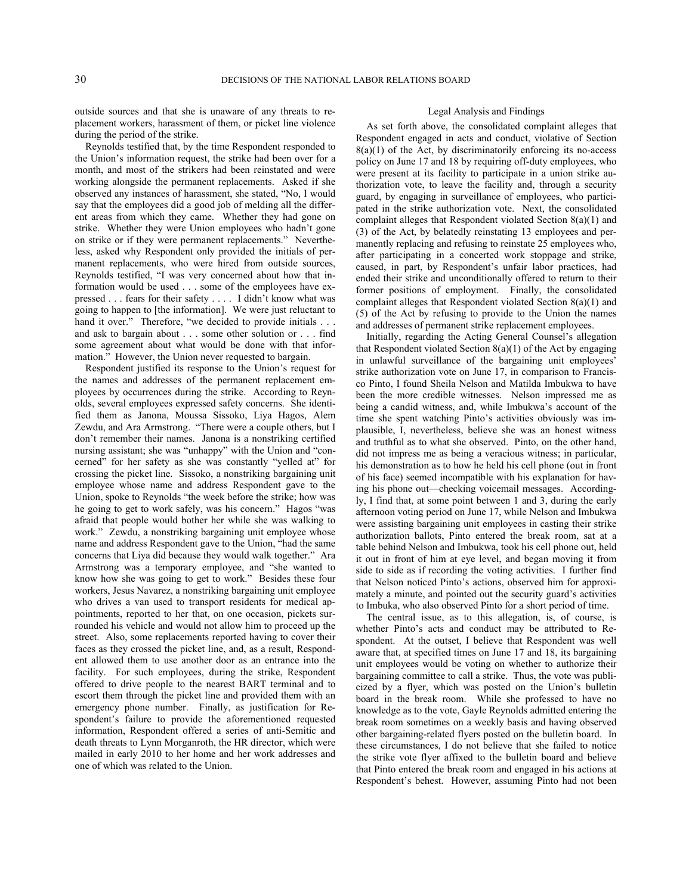outside sources and that she is unaware of any threats to replacement workers, harassment of them, or picket line violence during the period of the strike.

Reynolds testified that, by the time Respondent responded to the Union's information request, the strike had been over for a month, and most of the strikers had been reinstated and were working alongside the permanent replacements. Asked if she observed any instances of harassment, she stated, "No, I would say that the employees did a good job of melding all the different areas from which they came. Whether they had gone on strike. Whether they were Union employees who hadn't gone on strike or if they were permanent replacements." Nevertheless, asked why Respondent only provided the initials of permanent replacements, who were hired from outside sources, Reynolds testified, "I was very concerned about how that information would be used . . . some of the employees have expressed . . . fears for their safety . . . . I didn't know what was going to happen to [the information]. We were just reluctant to hand it over." Therefore, "we decided to provide initials . . . and ask to bargain about . . . some other solution or . . . find some agreement about what would be done with that information." However, the Union never requested to bargain.

Respondent justified its response to the Union's request for the names and addresses of the permanent replacement employees by occurrences during the strike. According to Reynolds, several employees expressed safety concerns. She identified them as Janona, Moussa Sissoko, Liya Hagos, Alem Zewdu, and Ara Armstrong. "There were a couple others, but I don't remember their names. Janona is a nonstriking certified nursing assistant; she was "unhappy" with the Union and "concerned" for her safety as she was constantly "yelled at" for crossing the picket line. Sissoko, a nonstriking bargaining unit employee whose name and address Respondent gave to the Union, spoke to Reynolds "the week before the strike; how was he going to get to work safely, was his concern." Hagos "was afraid that people would bother her while she was walking to work." Zewdu, a nonstriking bargaining unit employee whose name and address Respondent gave to the Union, "had the same concerns that Liya did because they would walk together." Ara Armstrong was a temporary employee, and "she wanted to know how she was going to get to work." Besides these four workers, Jesus Navarez, a nonstriking bargaining unit employee who drives a van used to transport residents for medical appointments, reported to her that, on one occasion, pickets surrounded his vehicle and would not allow him to proceed up the street. Also, some replacements reported having to cover their faces as they crossed the picket line, and, as a result, Respondent allowed them to use another door as an entrance into the facility. For such employees, during the strike, Respondent offered to drive people to the nearest BART terminal and to escort them through the picket line and provided them with an emergency phone number. Finally, as justification for Respondent's failure to provide the aforementioned requested information, Respondent offered a series of anti-Semitic and death threats to Lynn Morganroth, the HR director, which were mailed in early 2010 to her home and her work addresses and one of which was related to the Union.

### Legal Analysis and Findings

As set forth above, the consolidated complaint alleges that Respondent engaged in acts and conduct, violative of Section  $8(a)(1)$  of the Act, by discriminatorily enforcing its no-access policy on June 17 and 18 by requiring off-duty employees, who were present at its facility to participate in a union strike authorization vote, to leave the facility and, through a security guard, by engaging in surveillance of employees, who participated in the strike authorization vote. Next, the consolidated complaint alleges that Respondent violated Section 8(a)(1) and (3) of the Act, by belatedly reinstating 13 employees and permanently replacing and refusing to reinstate 25 employees who, after participating in a concerted work stoppage and strike, caused, in part, by Respondent's unfair labor practices, had ended their strike and unconditionally offered to return to their former positions of employment. Finally, the consolidated complaint alleges that Respondent violated Section 8(a)(1) and (5) of the Act by refusing to provide to the Union the names and addresses of permanent strike replacement employees.

Initially, regarding the Acting General Counsel's allegation that Respondent violated Section  $8(a)(1)$  of the Act by engaging in unlawful surveillance of the bargaining unit employees' strike authorization vote on June 17, in comparison to Francisco Pinto, I found Sheila Nelson and Matilda Imbukwa to have been the more credible witnesses. Nelson impressed me as being a candid witness, and, while Imbukwa's account of the time she spent watching Pinto's activities obviously was implausible, I, nevertheless, believe she was an honest witness and truthful as to what she observed. Pinto, on the other hand, did not impress me as being a veracious witness; in particular, his demonstration as to how he held his cell phone (out in front of his face) seemed incompatible with his explanation for having his phone out—checking voicemail messages. Accordingly, I find that, at some point between 1 and 3, during the early afternoon voting period on June 17, while Nelson and Imbukwa were assisting bargaining unit employees in casting their strike authorization ballots, Pinto entered the break room, sat at a table behind Nelson and Imbukwa, took his cell phone out, held it out in front of him at eye level, and began moving it from side to side as if recording the voting activities. I further find that Nelson noticed Pinto's actions, observed him for approximately a minute, and pointed out the security guard's activities to Imbuka, who also observed Pinto for a short period of time.

The central issue, as to this allegation, is, of course, is whether Pinto's acts and conduct may be attributed to Respondent. At the outset, I believe that Respondent was well aware that, at specified times on June 17 and 18, its bargaining unit employees would be voting on whether to authorize their bargaining committee to call a strike. Thus, the vote was publicized by a flyer, which was posted on the Union's bulletin board in the break room. While she professed to have no knowledge as to the vote, Gayle Reynolds admitted entering the break room sometimes on a weekly basis and having observed other bargaining-related flyers posted on the bulletin board. In these circumstances, I do not believe that she failed to notice the strike vote flyer affixed to the bulletin board and believe that Pinto entered the break room and engaged in his actions at Respondent's behest. However, assuming Pinto had not been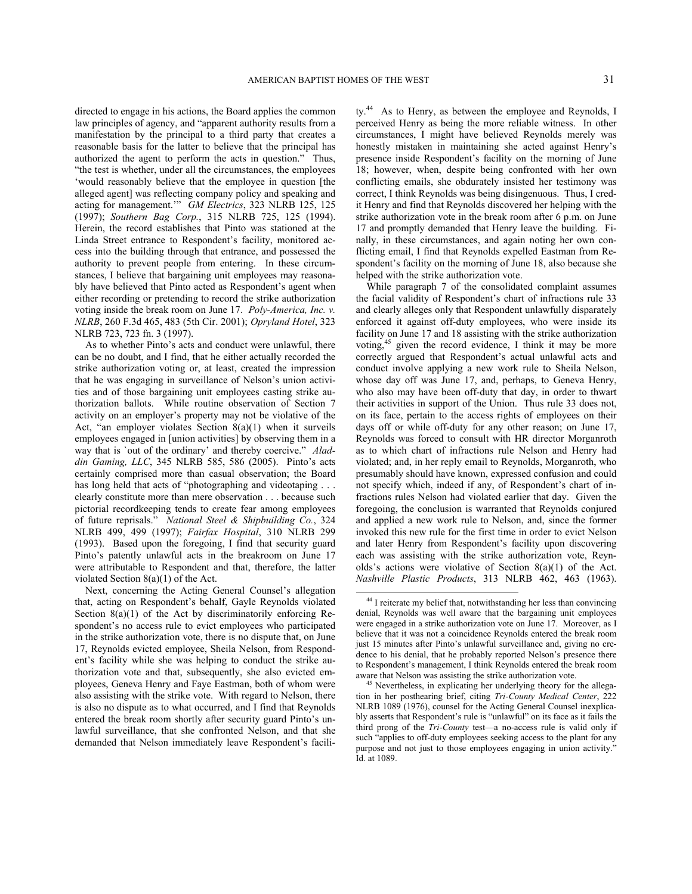directed to engage in his actions, the Board applies the common law principles of agency, and "apparent authority results from a manifestation by the principal to a third party that creates a reasonable basis for the latter to believe that the principal has authorized the agent to perform the acts in question." Thus, "the test is whether, under all the circumstances, the employees 'would reasonably believe that the employee in question [the alleged agent] was reflecting company policy and speaking and acting for management.'" *GM Electrics*, 323 NLRB 125, 125 (1997); *Southern Bag Corp.*, 315 NLRB 725, 125 (1994). Herein, the record establishes that Pinto was stationed at the Linda Street entrance to Respondent's facility, monitored access into the building through that entrance, and possessed the authority to prevent people from entering. In these circumstances, I believe that bargaining unit employees may reasonably have believed that Pinto acted as Respondent's agent when either recording or pretending to record the strike authorization voting inside the break room on June 17. *Poly-America, Inc. v. NLRB*, 260 F.3d 465, 483 (5th Cir. 2001); *Opryland Hotel*, 323 NLRB 723, 723 fn. 3 (1997).

As to whether Pinto's acts and conduct were unlawful, there can be no doubt, and I find, that he either actually recorded the strike authorization voting or, at least, created the impression that he was engaging in surveillance of Nelson's union activities and of those bargaining unit employees casting strike authorization ballots. While routine observation of Section 7 activity on an employer's property may not be violative of the Act, "an employer violates Section 8(a)(1) when it surveils employees engaged in [union activities] by observing them in a way that is `out of the ordinary' and thereby coercive." *Aladdin Gaming, LLC*, 345 NLRB 585, 586 (2005). Pinto's acts certainly comprised more than casual observation; the Board has long held that acts of "photographing and videotaping . . . clearly constitute more than mere observation . . . because such pictorial recordkeeping tends to create fear among employees of future reprisals." *National Steel & Shipbuilding Co.*, 324 NLRB 499, 499 (1997); *Fairfax Hospital*, 310 NLRB 299 (1993). Based upon the foregoing, I find that security guard Pinto's patently unlawful acts in the breakroom on June 17 were attributable to Respondent and that, therefore, the latter violated Section 8(a)(1) of the Act.

<span id="page-30-1"></span><span id="page-30-0"></span>Next, concerning the Acting General Counsel's allegation that, acting on Respondent's behalf, Gayle Reynolds violated Section 8(a)(1) of the Act by discriminatorily enforcing Respondent's no access rule to evict employees who participated in the strike authorization vote, there is no dispute that, on June 17, Reynolds evicted employee, Sheila Nelson, from Respondent's facility while she was helping to conduct the strike authorization vote and that, subsequently, she also evicted employees, Geneva Henry and Faye Eastman, both of whom were also assisting with the strike vote. With regard to Nelson, there is also no dispute as to what occurred, and I find that Reynolds entered the break room shortly after security guard Pinto's unlawful surveillance, that she confronted Nelson, and that she demanded that Nelson immediately leave Respondent's facili-

ty.<sup>[44](#page-30-0)</sup> As to Henry, as between the employee and Reynolds, I perceived Henry as being the more reliable witness. In other circumstances, I might have believed Reynolds merely was honestly mistaken in maintaining she acted against Henry's presence inside Respondent's facility on the morning of June 18; however, when, despite being confronted with her own conflicting emails, she obdurately insisted her testimony was correct, I think Reynolds was being disingenuous. Thus, I credit Henry and find that Reynolds discovered her helping with the strike authorization vote in the break room after 6 p.m. on June 17 and promptly demanded that Henry leave the building. Finally, in these circumstances, and again noting her own conflicting email, I find that Reynolds expelled Eastman from Respondent's facility on the morning of June 18, also because she helped with the strike authorization vote.

While paragraph 7 of the consolidated complaint assumes the facial validity of Respondent's chart of infractions rule 33 and clearly alleges only that Respondent unlawfully disparately enforced it against off-duty employees, who were inside its facility on June 17 and 18 assisting with the strike authorization voting,[45](#page-30-1) given the record evidence, I think it may be more correctly argued that Respondent's actual unlawful acts and conduct involve applying a new work rule to Sheila Nelson, whose day off was June 17, and, perhaps, to Geneva Henry, who also may have been off-duty that day, in order to thwart their activities in support of the Union. Thus rule 33 does not, on its face, pertain to the access rights of employees on their days off or while off-duty for any other reason; on June 17, Reynolds was forced to consult with HR director Morganroth as to which chart of infractions rule Nelson and Henry had violated; and, in her reply email to Reynolds, Morganroth, who presumably should have known, expressed confusion and could not specify which, indeed if any, of Respondent's chart of infractions rules Nelson had violated earlier that day. Given the foregoing, the conclusion is warranted that Reynolds conjured and applied a new work rule to Nelson, and, since the former invoked this new rule for the first time in order to evict Nelson and later Henry from Respondent's facility upon discovering each was assisting with the strike authorization vote, Reynolds's actions were violative of Section 8(a)(1) of the Act. *Nashville Plastic Products*, 313 NLRB 462, 463 (1963).

<sup>44</sup> I reiterate my belief that, notwithstanding her less than convincing denial, Reynolds was well aware that the bargaining unit employees were engaged in a strike authorization vote on June 17. Moreover, as I believe that it was not a coincidence Reynolds entered the break room just 15 minutes after Pinto's unlawful surveillance and, giving no credence to his denial, that he probably reported Nelson's presence there to Respondent's management, I think Reynolds entered the break room aware that Nelson was assisting the strike authorization vote.

Nevertheless, in explicating her underlying theory for the allegation in her posthearing brief, citing *Tri-County Medical Center*, 222 NLRB 1089 (1976), counsel for the Acting General Counsel inexplicably asserts that Respondent's rule is "unlawful" on its face as it fails the third prong of the *Tri-County* test—a no-access rule is valid only if such "applies to off-duty employees seeking access to the plant for any purpose and not just to those employees engaging in union activity." Id. at 1089.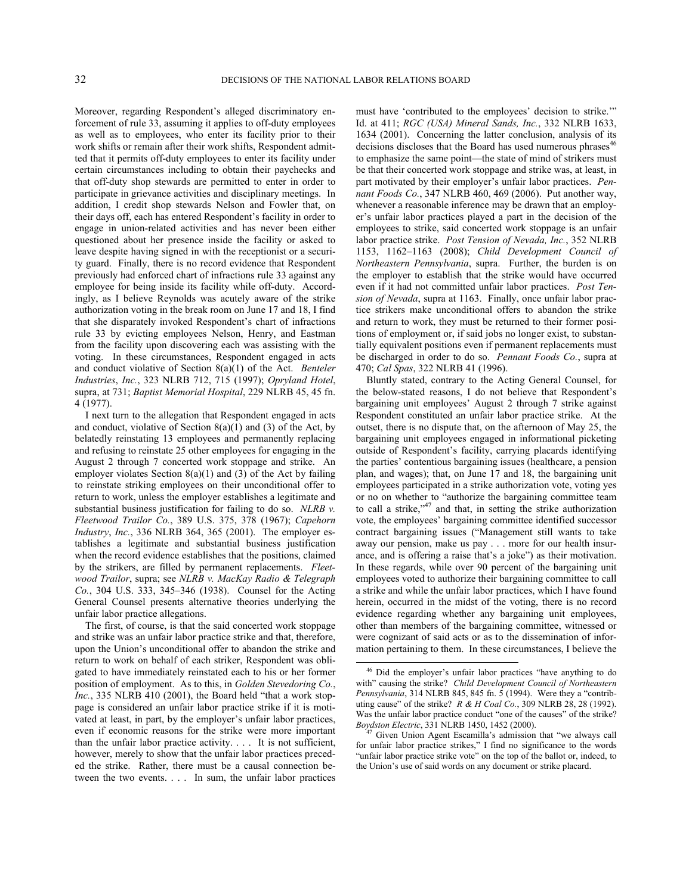Moreover, regarding Respondent's alleged discriminatory enforcement of rule 33, assuming it applies to off-duty employees as well as to employees, who enter its facility prior to their work shifts or remain after their work shifts, Respondent admitted that it permits off-duty employees to enter its facility under certain circumstances including to obtain their paychecks and that off-duty shop stewards are permitted to enter in order to participate in grievance activities and disciplinary meetings. In addition, I credit shop stewards Nelson and Fowler that, on their days off, each has entered Respondent's facility in order to engage in union-related activities and has never been either questioned about her presence inside the facility or asked to leave despite having signed in with the receptionist or a security guard. Finally, there is no record evidence that Respondent previously had enforced chart of infractions rule 33 against any employee for being inside its facility while off-duty. Accordingly, as I believe Reynolds was acutely aware of the strike authorization voting in the break room on June 17 and 18, I find that she disparately invoked Respondent's chart of infractions rule 33 by evicting employees Nelson, Henry, and Eastman from the facility upon discovering each was assisting with the voting. In these circumstances, Respondent engaged in acts and conduct violative of Section 8(a)(1) of the Act. *Benteler Industries*, *Inc.*, 323 NLRB 712, 715 (1997); *Opryland Hotel*, supra, at 731; *Baptist Memorial Hospital*, 229 NLRB 45, 45 fn. 4 (1977).

I next turn to the allegation that Respondent engaged in acts and conduct, violative of Section  $8(a)(1)$  and (3) of the Act, by belatedly reinstating 13 employees and permanently replacing and refusing to reinstate 25 other employees for engaging in the August 2 through 7 concerted work stoppage and strike. An employer violates Section 8(a)(1) and (3) of the Act by failing to reinstate striking employees on their unconditional offer to return to work, unless the employer establishes a legitimate and substantial business justification for failing to do so. *NLRB v. Fleetwood Trailor Co.*, 389 U.S. 375, 378 (1967); *Capehorn Industry*, *Inc.*, 336 NLRB 364, 365 (2001). The employer establishes a legitimate and substantial business justification when the record evidence establishes that the positions, claimed by the strikers, are filled by permanent replacements. *Fleetwood Trailor*, supra; see *NLRB v. MacKay Radio & Telegraph Co.*, 304 U.S. 333, 345–346 (1938). Counsel for the Acting General Counsel presents alternative theories underlying the unfair labor practice allegations.

<span id="page-31-1"></span><span id="page-31-0"></span>The first, of course, is that the said concerted work stoppage and strike was an unfair labor practice strike and that, therefore, upon the Union's unconditional offer to abandon the strike and return to work on behalf of each striker, Respondent was obligated to have immediately reinstated each to his or her former position of employment. As to this, in *Golden Stevedoring Co.*, *Inc.*, 335 NLRB 410 (2001), the Board held "that a work stoppage is considered an unfair labor practice strike if it is motivated at least, in part, by the employer's unfair labor practices, even if economic reasons for the strike were more important than the unfair labor practice activity. . . . It is not sufficient, however, merely to show that the unfair labor practices preceded the strike. Rather, there must be a causal connection between the two events. . . . In sum, the unfair labor practices

must have 'contributed to the employees' decision to strike.'" Id. at 411; *RGC (USA) Mineral Sands, Inc.*, 332 NLRB 1633, 1634 (2001). Concerning the latter conclusion, analysis of its decisions discloses that the Board has used numerous phrases<sup>[46](#page-31-0)</sup> to emphasize the same point—the state of mind of strikers must be that their concerted work stoppage and strike was, at least, in part motivated by their employer's unfair labor practices. *Pennant Foods Co.*, 347 NLRB 460, 469 (2006). Put another way, whenever a reasonable inference may be drawn that an employer's unfair labor practices played a part in the decision of the employees to strike, said concerted work stoppage is an unfair labor practice strike. *Post Tension of Nevada, Inc.*, 352 NLRB 1153, 1162–1163 (2008); *Child Development Council of Northeastern Pennsylvania*, supra. Further, the burden is on the employer to establish that the strike would have occurred even if it had not committed unfair labor practices. *Post Tension of Nevada*, supra at 1163. Finally, once unfair labor practice strikers make unconditional offers to abandon the strike and return to work, they must be returned to their former positions of employment or, if said jobs no longer exist, to substantially equivalent positions even if permanent replacements must be discharged in order to do so. *Pennant Foods Co.*, supra at 470; *Cal Spas*, 322 NLRB 41 (1996).

Bluntly stated, contrary to the Acting General Counsel, for the below-stated reasons, I do not believe that Respondent's bargaining unit employees' August 2 through 7 strike against Respondent constituted an unfair labor practice strike. At the outset, there is no dispute that, on the afternoon of May 25, the bargaining unit employees engaged in informational picketing outside of Respondent's facility, carrying placards identifying the parties' contentious bargaining issues (healthcare, a pension plan, and wages); that, on June 17 and 18, the bargaining unit employees participated in a strike authorization vote, voting yes or no on whether to "authorize the bargaining committee team to call a strike,<sup>3[47](#page-31-1)</sup> and that, in setting the strike authorization vote, the employees' bargaining committee identified successor contract bargaining issues ("Management still wants to take away our pension, make us pay . . . more for our health insurance, and is offering a raise that's a joke") as their motivation. In these regards, while over 90 percent of the bargaining unit employees voted to authorize their bargaining committee to call a strike and while the unfair labor practices, which I have found herein, occurred in the midst of the voting, there is no record evidence regarding whether any bargaining unit employees, other than members of the bargaining committee, witnessed or were cognizant of said acts or as to the dissemination of information pertaining to them. In these circumstances, I believe the

<sup>46</sup> Did the employer's unfair labor practices "have anything to do with" causing the strike? *Child Development Council of Northeastern Pennsylvania*, 314 NLRB 845, 845 fn. 5 (1994). Were they a "contributing cause" of the strike? *R & H Coal Co.*, 309 NLRB 28, 28 (1992). Was the unfair labor practice conduct "one of the causes" of the strike? *Boydston Electric*, 331 NLRB 1450, 1452 (2000).

<sup>47</sup> Given Union Agent Escamilla's admission that "we always call for unfair labor practice strikes," I find no significance to the words "unfair labor practice strike vote" on the top of the ballot or, indeed, to the Union's use of said words on any document or strike placard.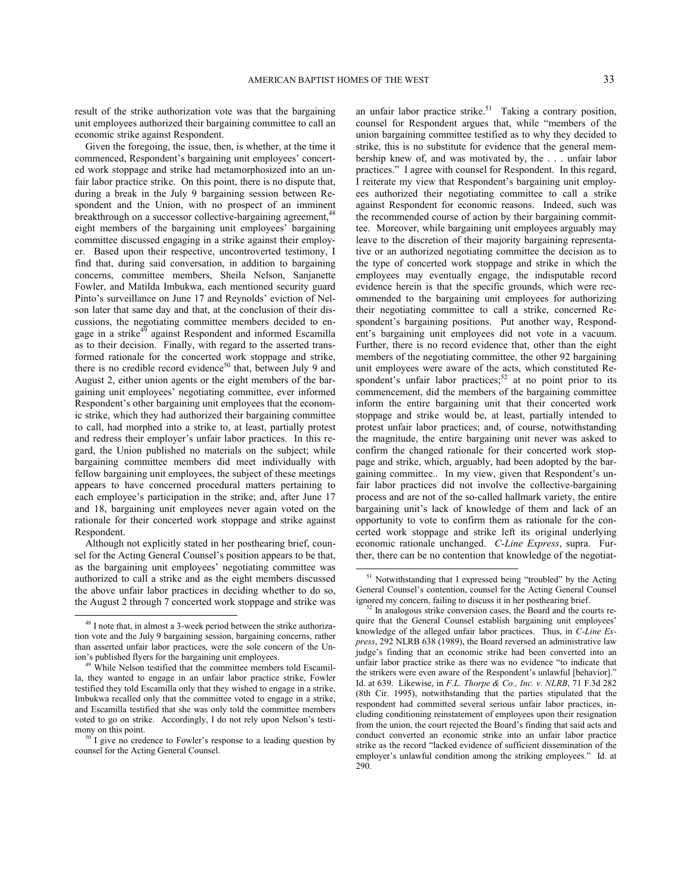result of the strike authorization vote was that the bargaining unit employees authorized their bargaining committee to call an economic strike against Respondent.

Given the foregoing, the issue, then, is whether, at the time it commenced, Respondent's bargaining unit employees' concerted work stoppage and strike had metamorphosized into an unfair labor practice strike. On this point, there is no dispute that, during a break in the July 9 bargaining session between Respondent and the Union, with no prospect of an imminent breakthrough on a successor collective-bargaining agreement,<sup>[48](#page-32-0)</sup> eight members of the bargaining unit employees' bargaining committee discussed engaging in a strike against their employer. Based upon their respective, uncontroverted testimony, I find that, during said conversation, in addition to bargaining concerns, committee members, Sheila Nelson, Sanjanette Fowler, and Matilda Imbukwa, each mentioned security guard Pinto's surveillance on June 17 and Reynolds' eviction of Nelson later that same day and that, at the conclusion of their discussions, the negotiating committee members decided to en-gage in a strike<sup>[49](#page-32-1)</sup> against Respondent and informed Escamilla as to their decision. Finally, with regard to the asserted transformed rationale for the concerted work stoppage and strike, there is no credible record evidence<sup>[50](#page-32-2)</sup> that, between July 9 and August 2, either union agents or the eight members of the bargaining unit employees' negotiating committee, ever informed Respondent's other bargaining unit employees that the economic strike, which they had authorized their bargaining committee to call, had morphed into a strike to, at least, partially protest and redress their employer's unfair labor practices. In this regard, the Union published no materials on the subject; while bargaining committee members did meet individually with fellow bargaining unit employees, the subject of these meetings appears to have concerned procedural matters pertaining to each employee's participation in the strike; and, after June 17 and 18, bargaining unit employees never again voted on the rationale for their concerted work stoppage and strike against Respondent.

<span id="page-32-3"></span>Although not explicitly stated in her posthearing brief, counsel for the Acting General Counsel's position appears to be that, as the bargaining unit employees' negotiating committee was authorized to call a strike and as the eight members discussed the above unfair labor practices in deciding whether to do so, the August 2 through 7 concerted work stoppage and strike was

-

an unfair labor practice strike.<sup>[51](#page-32-3)</sup> Taking a contrary position, counsel for Respondent argues that, while "members of the union bargaining committee testified as to why they decided to strike, this is no substitute for evidence that the general membership knew of, and was motivated by, the . . . unfair labor practices." I agree with counsel for Respondent. In this regard, I reiterate my view that Respondent's bargaining unit employees authorized their negotiating committee to call a strike against Respondent for economic reasons. Indeed, such was the recommended course of action by their bargaining committee. Moreover, while bargaining unit employees arguably may leave to the discretion of their majority bargaining representative or an authorized negotiating committee the decision as to the type of concerted work stoppage and strike in which the employees may eventually engage, the indisputable record evidence herein is that the specific grounds, which were recommended to the bargaining unit employees for authorizing their negotiating committee to call a strike, concerned Respondent's bargaining positions. Put another way, Respondent's bargaining unit employees did not vote in a vacuum. Further, there is no record evidence that, other than the eight members of the negotiating committee, the other 92 bargaining unit employees were aware of the acts, which constituted Re-spondent's unfair labor practices;<sup>[52](#page-32-4)</sup> at no point prior to its commencement, did the members of the bargaining committee inform the entire bargaining unit that their concerted work stoppage and strike would be, at least, partially intended to protest unfair labor practices; and, of course, notwithstanding the magnitude, the entire bargaining unit never was asked to confirm the changed rationale for their concerted work stoppage and strike, which, arguably, had been adopted by the bargaining committee.. In my view, given that Respondent's unfair labor practices did not involve the collective-bargaining process and are not of the so-called hallmark variety, the entire bargaining unit's lack of knowledge of them and lack of an opportunity to vote to confirm them as rationale for the concerted work stoppage and strike left its original underlying economic rationale unchanged. *C-Line Express*, supra. Further, there can be no contention that knowledge of the negotiat-

<span id="page-32-4"></span><span id="page-32-0"></span><sup>48</sup> I note that, in almost a 3-week period between the strike authorization vote and the July 9 bargaining session, bargaining concerns, rather than asserted unfair labor practices, were the sole concern of the Union's published flyers for the bargaining unit employees.

<span id="page-32-1"></span>While Nelson testified that the committee members told Escamilla, they wanted to engage in an unfair labor practice strike, Fowler testified they told Escamilla only that they wished to engage in a strike, Imbukwa recalled only that the committee voted to engage in a strike, and Escamilla testified that she was only told the committee members voted to go on strike. Accordingly, I do not rely upon Nelson's testimony on this point.

<span id="page-32-2"></span>I give no credence to Fowler's response to a leading question by counsel for the Acting General Counsel.

<sup>&</sup>lt;sup>51</sup> Notwithstanding that I expressed being "troubled" by the Acting General Counsel's contention, counsel for the Acting General Counsel ignored my concern, failing to discuss it in her posthearing brief.

 $52$  In analogous strike conversion cases, the Board and the courts require that the General Counsel establish bargaining unit employees' knowledge of the alleged unfair labor practices. Thus, in *C-Line Express*, 292 NLRB 638 (1989), the Board reversed an administrative law judge's finding that an economic strike had been converted into an unfair labor practice strike as there was no evidence "to indicate that the strikers were even aware of the Respondent's unlawful [behavior]." Id. at 639. Likewise, in *F.L. Thorpe & Co., Inc. v. NLRB*, 71 F.3d 282 (8th Cir. 1995), notwithstanding that the parties stipulated that the respondent had committed several serious unfair labor practices, including conditioning reinstatement of employees upon their resignation from the union, the court rejected the Board's finding that said acts and conduct converted an economic strike into an unfair labor practice strike as the record "lacked evidence of sufficient dissemination of the employer's unlawful condition among the striking employees." Id. at 290.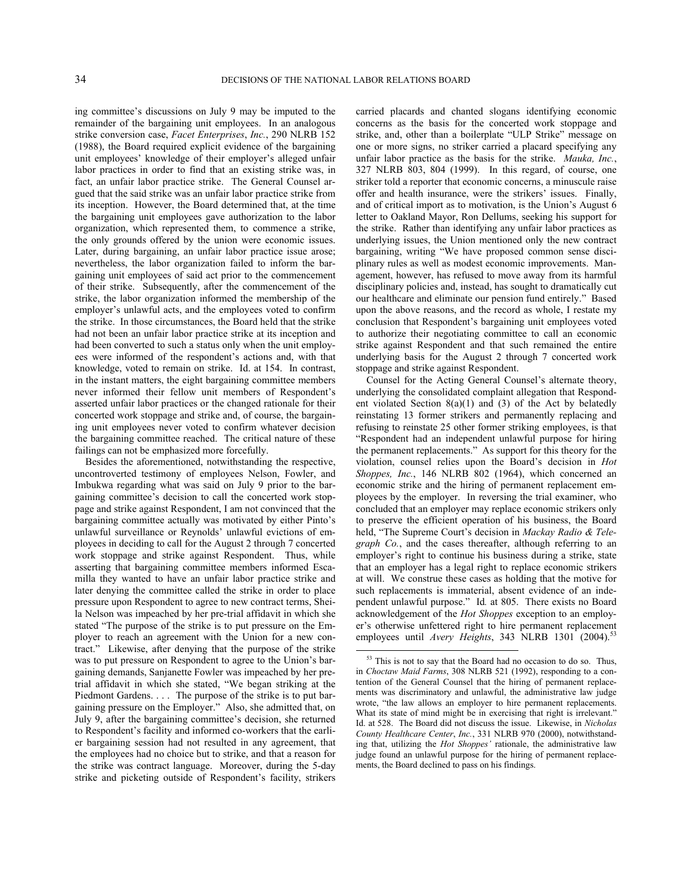ing committee's discussions on July 9 may be imputed to the remainder of the bargaining unit employees. In an analogous strike conversion case, *Facet Enterprises*, *Inc.*, 290 NLRB 152 (1988), the Board required explicit evidence of the bargaining unit employees' knowledge of their employer's alleged unfair labor practices in order to find that an existing strike was, in fact, an unfair labor practice strike. The General Counsel argued that the said strike was an unfair labor practice strike from its inception. However, the Board determined that, at the time the bargaining unit employees gave authorization to the labor organization, which represented them, to commence a strike, the only grounds offered by the union were economic issues. Later, during bargaining, an unfair labor practice issue arose; nevertheless, the labor organization failed to inform the bargaining unit employees of said act prior to the commencement of their strike. Subsequently, after the commencement of the strike, the labor organization informed the membership of the employer's unlawful acts, and the employees voted to confirm the strike. In those circumstances, the Board held that the strike had not been an unfair labor practice strike at its inception and had been converted to such a status only when the unit employees were informed of the respondent's actions and, with that knowledge, voted to remain on strike. Id. at 154. In contrast, in the instant matters, the eight bargaining committee members never informed their fellow unit members of Respondent's asserted unfair labor practices or the changed rationale for their concerted work stoppage and strike and, of course, the bargaining unit employees never voted to confirm whatever decision the bargaining committee reached. The critical nature of these failings can not be emphasized more forcefully.

<span id="page-33-0"></span>Besides the aforementioned, notwithstanding the respective, uncontroverted testimony of employees Nelson, Fowler, and Imbukwa regarding what was said on July 9 prior to the bargaining committee's decision to call the concerted work stoppage and strike against Respondent, I am not convinced that the bargaining committee actually was motivated by either Pinto's unlawful surveillance or Reynolds' unlawful evictions of employees in deciding to call for the August 2 through 7 concerted work stoppage and strike against Respondent. Thus, while asserting that bargaining committee members informed Escamilla they wanted to have an unfair labor practice strike and later denying the committee called the strike in order to place pressure upon Respondent to agree to new contract terms, Sheila Nelson was impeached by her pre-trial affidavit in which she stated "The purpose of the strike is to put pressure on the Employer to reach an agreement with the Union for a new contract." Likewise, after denying that the purpose of the strike was to put pressure on Respondent to agree to the Union's bargaining demands, Sanjanette Fowler was impeached by her pretrial affidavit in which she stated, "We began striking at the Piedmont Gardens. . . . The purpose of the strike is to put bargaining pressure on the Employer." Also, she admitted that, on July 9, after the bargaining committee's decision, she returned to Respondent's facility and informed co-workers that the earlier bargaining session had not resulted in any agreement, that the employees had no choice but to strike, and that a reason for the strike was contract language. Moreover, during the 5-day strike and picketing outside of Respondent's facility, strikers

carried placards and chanted slogans identifying economic concerns as the basis for the concerted work stoppage and strike, and, other than a boilerplate "ULP Strike" message on one or more signs, no striker carried a placard specifying any unfair labor practice as the basis for the strike. *Mauka, Inc.*, 327 NLRB 803, 804 (1999). In this regard, of course, one striker told a reporter that economic concerns, a minuscule raise offer and health insurance, were the strikers' issues. Finally, and of critical import as to motivation, is the Union's August 6 letter to Oakland Mayor, Ron Dellums, seeking his support for the strike. Rather than identifying any unfair labor practices as underlying issues, the Union mentioned only the new contract bargaining, writing "We have proposed common sense disciplinary rules as well as modest economic improvements. Management, however, has refused to move away from its harmful disciplinary policies and, instead, has sought to dramatically cut our healthcare and eliminate our pension fund entirely." Based upon the above reasons, and the record as whole, I restate my conclusion that Respondent's bargaining unit employees voted to authorize their negotiating committee to call an economic strike against Respondent and that such remained the entire underlying basis for the August 2 through 7 concerted work stoppage and strike against Respondent.

Counsel for the Acting General Counsel's alternate theory, underlying the consolidated complaint allegation that Respondent violated Section 8(a)(1) and (3) of the Act by belatedly reinstating 13 former strikers and permanently replacing and refusing to reinstate 25 other former striking employees, is that "Respondent had an independent unlawful purpose for hiring the permanent replacements." As support for this theory for the violation, counsel relies upon the Board's decision in *Hot Shoppes, Inc.*, 146 NLRB 802 (1964), which concerned an economic strike and the hiring of permanent replacement employees by the employer. In reversing the trial examiner, who concluded that an employer may replace economic strikers only to preserve the efficient operation of his business, the Board held, "The Supreme Court's decision in *Mackay Radio & Telegraph Co.*, and the cases thereafter, although referring to an employer's right to continue his business during a strike, state that an employer has a legal right to replace economic strikers at will. We construe these cases as holding that the motive for such replacements is immaterial, absent evidence of an independent unlawful purpose." Id*.* at 805. There exists no Board acknowledgement of the *Hot Shoppes* exception to an employer's otherwise unfettered right to hire permanent replacement employees until *Avery Heights*, 343 NLRB 1301 (2004).<sup>5</sup>

<sup>&</sup>lt;sup>53</sup> This is not to say that the Board had no occasion to do so. Thus, in *Choctaw Maid Farms*, 308 NLRB 521 (1992), responding to a contention of the General Counsel that the hiring of permanent replacements was discriminatory and unlawful, the administrative law judge wrote, "the law allows an employer to hire permanent replacements. What its state of mind might be in exercising that right is irrelevant." Id. at 528. The Board did not discuss the issue. Likewise, in *Nicholas County Healthcare Center*, *Inc.*, 331 NLRB 970 (2000), notwithstanding that, utilizing the *Hot Shoppes'* rationale, the administrative law judge found an unlawful purpose for the hiring of permanent replacements, the Board declined to pass on his findings.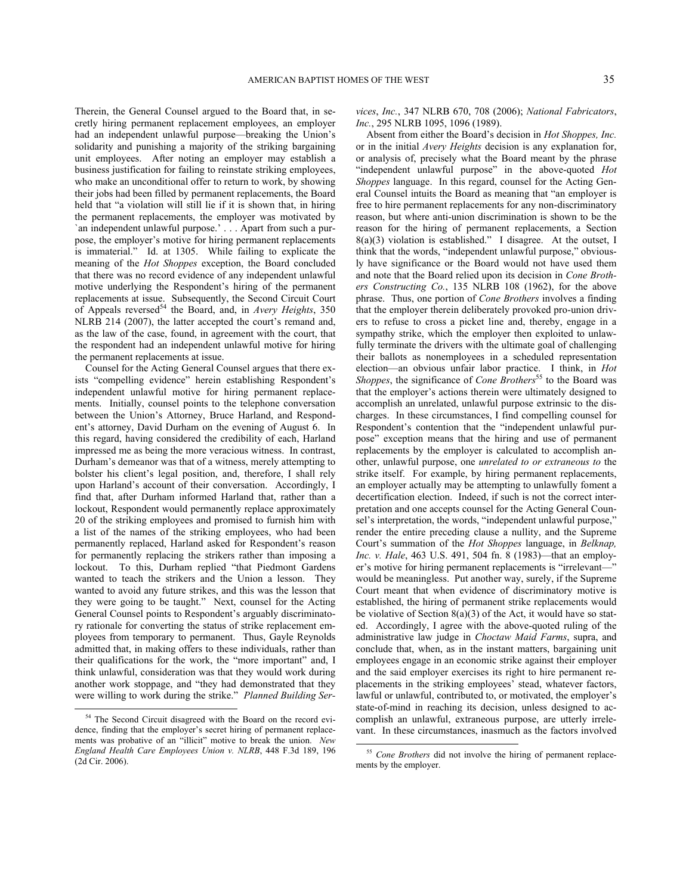Therein, the General Counsel argued to the Board that, in secretly hiring permanent replacement employees, an employer had an independent unlawful purpose—breaking the Union's solidarity and punishing a majority of the striking bargaining unit employees. After noting an employer may establish a business justification for failing to reinstate striking employees, who make an unconditional offer to return to work, by showing their jobs had been filled by permanent replacements, the Board held that "a violation will still lie if it is shown that, in hiring the permanent replacements, the employer was motivated by `an independent unlawful purpose.' . . . Apart from such a purpose, the employer's motive for hiring permanent replacements is immaterial." Id. at 1305. While failing to explicate the meaning of the *Hot Shoppes* exception, the Board concluded that there was no record evidence of any independent unlawful motive underlying the Respondent's hiring of the permanent replacements at issue. Subsequently, the Second Circuit Court of Appeals reversed<sup>[54](#page-34-0)</sup> the Board, and, in *Avery Heights*, 350 NLRB 214 (2007), the latter accepted the court's remand and, as the law of the case, found, in agreement with the court, that the respondent had an independent unlawful motive for hiring the permanent replacements at issue.

Counsel for the Acting General Counsel argues that there exists "compelling evidence" herein establishing Respondent's independent unlawful motive for hiring permanent replacements. Initially, counsel points to the telephone conversation between the Union's Attorney, Bruce Harland, and Respondent's attorney, David Durham on the evening of August 6. In this regard, having considered the credibility of each, Harland impressed me as being the more veracious witness. In contrast, Durham's demeanor was that of a witness, merely attempting to bolster his client's legal position, and, therefore, I shall rely upon Harland's account of their conversation. Accordingly, I find that, after Durham informed Harland that, rather than a lockout, Respondent would permanently replace approximately 20 of the striking employees and promised to furnish him with a list of the names of the striking employees, who had been permanently replaced, Harland asked for Respondent's reason for permanently replacing the strikers rather than imposing a lockout. To this, Durham replied "that Piedmont Gardens wanted to teach the strikers and the Union a lesson. They wanted to avoid any future strikes, and this was the lesson that they were going to be taught." Next, counsel for the Acting General Counsel points to Respondent's arguably discriminatory rationale for converting the status of strike replacement employees from temporary to permanent. Thus, Gayle Reynolds admitted that, in making offers to these individuals, rather than their qualifications for the work, the "more important" and, I think unlawful, consideration was that they would work during another work stoppage, and "they had demonstrated that they were willing to work during the strike." *Planned Building Ser-*

-

*vices*, *Inc.*, 347 NLRB 670, 708 (2006); *National Fabricators*, *Inc.*, 295 NLRB 1095, 1096 (1989).

Absent from either the Board's decision in *Hot Shoppes, Inc.* or in the initial *Avery Heights* decision is any explanation for, or analysis of, precisely what the Board meant by the phrase "independent unlawful purpose" in the above-quoted *Hot Shoppes* language. In this regard, counsel for the Acting General Counsel intuits the Board as meaning that "an employer is free to hire permanent replacements for any non-discriminatory reason, but where anti-union discrimination is shown to be the reason for the hiring of permanent replacements, a Section 8(a)(3) violation is established." I disagree. At the outset, I think that the words, "independent unlawful purpose," obviously have significance or the Board would not have used them and note that the Board relied upon its decision in *Cone Brothers Constructing Co.*, 135 NLRB 108 (1962), for the above phrase. Thus, one portion of *Cone Brothers* involves a finding that the employer therein deliberately provoked pro-union drivers to refuse to cross a picket line and, thereby, engage in a sympathy strike, which the employer then exploited to unlawfully terminate the drivers with the ultimate goal of challenging their ballots as nonemployees in a scheduled representation election—an obvious unfair labor practice. I think, in *Hot Shoppes*, the significance of *Cone Brothers*<sup>[55](#page-34-1)</sup> to the Board was that the employer's actions therein were ultimately designed to accomplish an unrelated, unlawful purpose extrinsic to the discharges. In these circumstances, I find compelling counsel for Respondent's contention that the "independent unlawful purpose" exception means that the hiring and use of permanent replacements by the employer is calculated to accomplish another, unlawful purpose, one *unrelated to or extraneous to* the strike itself. For example, by hiring permanent replacements, an employer actually may be attempting to unlawfully foment a decertification election. Indeed, if such is not the correct interpretation and one accepts counsel for the Acting General Counsel's interpretation, the words, "independent unlawful purpose," render the entire preceding clause a nullity, and the Supreme Court's summation of the *Hot Shoppes* language, in *Belknap, Inc. v. Hale*, 463 U.S. 491, 504 fn. 8 (1983)—that an employer's motive for hiring permanent replacements is "irrelevant—" would be meaningless. Put another way, surely, if the Supreme Court meant that when evidence of discriminatory motive is established, the hiring of permanent strike replacements would be violative of Section  $8(a)(3)$  of the Act, it would have so stated. Accordingly, I agree with the above-quoted ruling of the administrative law judge in *Choctaw Maid Farms*, supra, and conclude that, when, as in the instant matters, bargaining unit employees engage in an economic strike against their employer and the said employer exercises its right to hire permanent replacements in the striking employees' stead, whatever factors, lawful or unlawful, contributed to, or motivated, the employer's state-of-mind in reaching its decision, unless designed to accomplish an unlawful, extraneous purpose, are utterly irrelevant. In these circumstances, inasmuch as the factors involved

 $\overline{a}$ 

<span id="page-34-1"></span><span id="page-34-0"></span><sup>&</sup>lt;sup>54</sup> The Second Circuit disagreed with the Board on the record evidence, finding that the employer's secret hiring of permanent replacements was probative of an "illicit" motive to break the union. *New England Health Care Employees Union v. NLRB*, 448 F.3d 189, 196 (2d Cir. 2006).

<sup>55</sup> *Cone Brothers* did not involve the hiring of permanent replacements by the employer.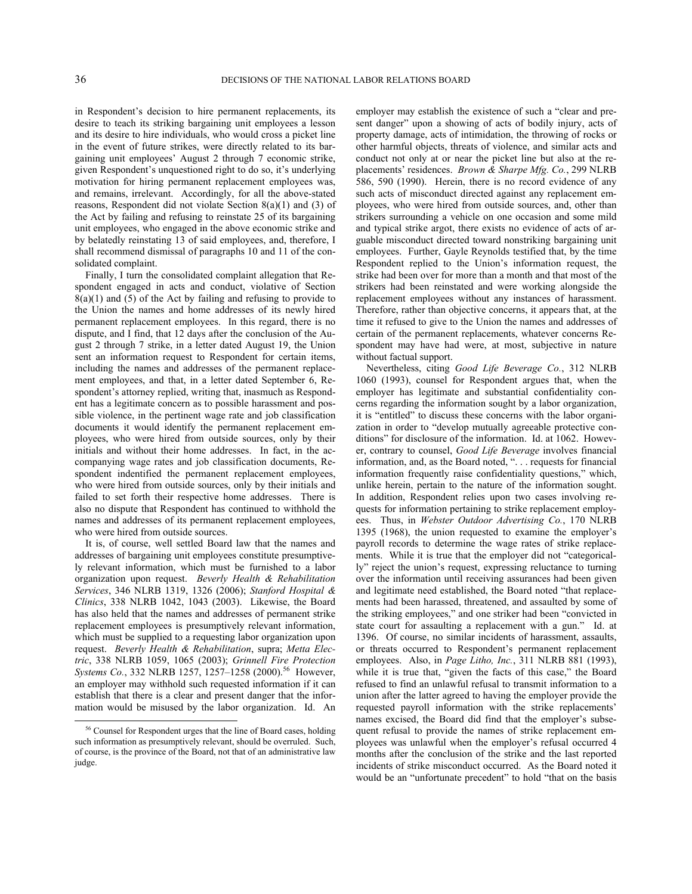in Respondent's decision to hire permanent replacements, its desire to teach its striking bargaining unit employees a lesson and its desire to hire individuals, who would cross a picket line in the event of future strikes, were directly related to its bargaining unit employees' August 2 through 7 economic strike, given Respondent's unquestioned right to do so, it's underlying motivation for hiring permanent replacement employees was, and remains, irrelevant. Accordingly, for all the above-stated reasons, Respondent did not violate Section 8(a)(1) and (3) of the Act by failing and refusing to reinstate 25 of its bargaining unit employees, who engaged in the above economic strike and by belatedly reinstating 13 of said employees, and, therefore, I shall recommend dismissal of paragraphs 10 and 11 of the consolidated complaint.

Finally, I turn the consolidated complaint allegation that Respondent engaged in acts and conduct, violative of Section  $8(a)(1)$  and (5) of the Act by failing and refusing to provide to the Union the names and home addresses of its newly hired permanent replacement employees. In this regard, there is no dispute, and I find, that 12 days after the conclusion of the August 2 through 7 strike, in a letter dated August 19, the Union sent an information request to Respondent for certain items, including the names and addresses of the permanent replacement employees, and that, in a letter dated September 6, Respondent's attorney replied, writing that, inasmuch as Respondent has a legitimate concern as to possible harassment and possible violence, in the pertinent wage rate and job classification documents it would identify the permanent replacement employees, who were hired from outside sources, only by their initials and without their home addresses. In fact, in the accompanying wage rates and job classification documents, Respondent indentified the permanent replacement employees, who were hired from outside sources, only by their initials and failed to set forth their respective home addresses. There is also no dispute that Respondent has continued to withhold the names and addresses of its permanent replacement employees, who were hired from outside sources.

It is, of course, well settled Board law that the names and addresses of bargaining unit employees constitute presumptively relevant information, which must be furnished to a labor organization upon request. *Beverly Health & Rehabilitation Services*, 346 NLRB 1319, 1326 (2006); *Stanford Hospital & Clinics*, 338 NLRB 1042, 1043 (2003). Likewise, the Board has also held that the names and addresses of permanent strike replacement employees is presumptively relevant information, which must be supplied to a requesting labor organization upon request. *Beverly Health & Rehabilitation*, supra; *Metta Electric*, 338 NLRB 1059, 1065 (2003); *Grinnell Fire Protection*  Systems Co., 332 NLRB 1257, 1257-1258 (2000).<sup>[56](#page-35-0)</sup> However, an employer may withhold such requested information if it can establish that there is a clear and present danger that the information would be misused by the labor organization. Id. An

employer may establish the existence of such a "clear and present danger" upon a showing of acts of bodily injury, acts of property damage, acts of intimidation, the throwing of rocks or other harmful objects, threats of violence, and similar acts and conduct not only at or near the picket line but also at the replacements' residences. *Brown & Sharpe Mfg. Co.*, 299 NLRB 586, 590 (1990). Herein, there is no record evidence of any such acts of misconduct directed against any replacement employees, who were hired from outside sources, and, other than strikers surrounding a vehicle on one occasion and some mild and typical strike argot, there exists no evidence of acts of arguable misconduct directed toward nonstriking bargaining unit employees. Further, Gayle Reynolds testified that, by the time Respondent replied to the Union's information request, the strike had been over for more than a month and that most of the strikers had been reinstated and were working alongside the replacement employees without any instances of harassment. Therefore, rather than objective concerns, it appears that, at the time it refused to give to the Union the names and addresses of certain of the permanent replacements, whatever concerns Respondent may have had were, at most, subjective in nature without factual support.

Nevertheless, citing *Good Life Beverage Co.*, 312 NLRB 1060 (1993), counsel for Respondent argues that, when the employer has legitimate and substantial confidentiality concerns regarding the information sought by a labor organization, it is "entitled" to discuss these concerns with the labor organization in order to "develop mutually agreeable protective conditions" for disclosure of the information. Id. at 1062. However, contrary to counsel, *Good Life Beverage* involves financial information, and, as the Board noted, ". . . requests for financial information frequently raise confidentiality questions," which, unlike herein, pertain to the nature of the information sought. In addition, Respondent relies upon two cases involving requests for information pertaining to strike replacement employees. Thus, in *Webster Outdoor Advertising Co.*, 170 NLRB 1395 (1968), the union requested to examine the employer's payroll records to determine the wage rates of strike replacements. While it is true that the employer did not "categorically" reject the union's request, expressing reluctance to turning over the information until receiving assurances had been given and legitimate need established, the Board noted "that replacements had been harassed, threatened, and assaulted by some of the striking employees," and one striker had been "convicted in state court for assaulting a replacement with a gun." Id. at 1396. Of course, no similar incidents of harassment, assaults, or threats occurred to Respondent's permanent replacement employees. Also, in *Page Litho, Inc.*, 311 NLRB 881 (1993), while it is true that, "given the facts of this case," the Board refused to find an unlawful refusal to transmit information to a union after the latter agreed to having the employer provide the requested payroll information with the strike replacements' names excised, the Board did find that the employer's subsequent refusal to provide the names of strike replacement employees was unlawful when the employer's refusal occurred 4 months after the conclusion of the strike and the last reported incidents of strike misconduct occurred. As the Board noted it would be an "unfortunate precedent" to hold "that on the basis

<span id="page-35-0"></span><sup>56</sup> Counsel for Respondent urges that the line of Board cases, holding such information as presumptively relevant, should be overruled. Such, of course, is the province of the Board, not that of an administrative law judge.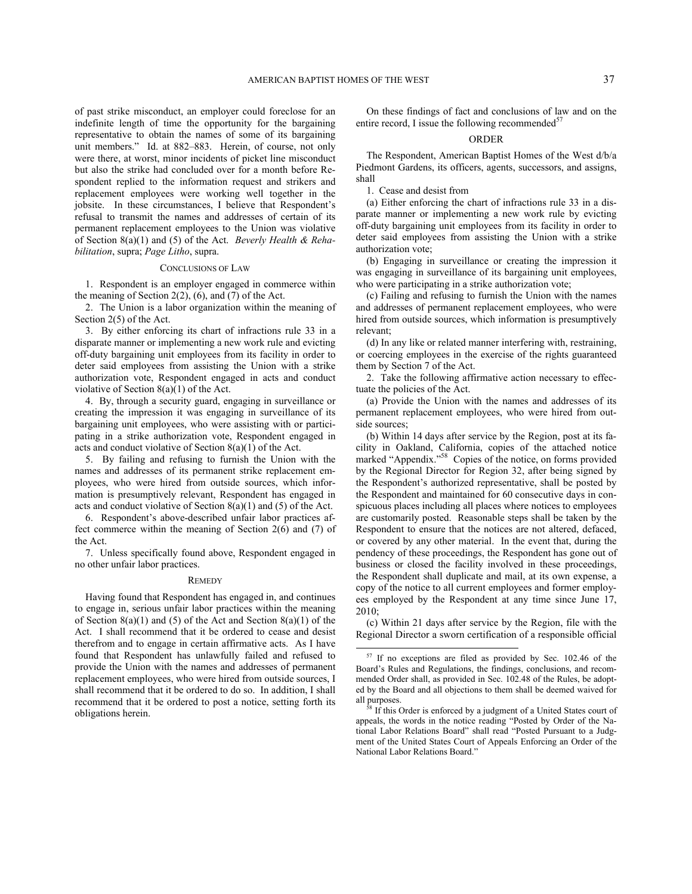of past strike misconduct, an employer could foreclose for an indefinite length of time the opportunity for the bargaining representative to obtain the names of some of its bargaining unit members." Id. at 882–883. Herein, of course, not only were there, at worst, minor incidents of picket line misconduct but also the strike had concluded over for a month before Respondent replied to the information request and strikers and replacement employees were working well together in the jobsite. In these circumstances, I believe that Respondent's refusal to transmit the names and addresses of certain of its permanent replacement employees to the Union was violative of Section 8(a)(1) and (5) of the Act. *Beverly Health & Rehabilitation*, supra; *Page Litho*, supra.

### CONCLUSIONS OF LAW

1. Respondent is an employer engaged in commerce within the meaning of Section  $2(2)$ ,  $(6)$ , and  $(7)$  of the Act.

2. The Union is a labor organization within the meaning of Section 2(5) of the Act.

3. By either enforcing its chart of infractions rule 33 in a disparate manner or implementing a new work rule and evicting off-duty bargaining unit employees from its facility in order to deter said employees from assisting the Union with a strike authorization vote, Respondent engaged in acts and conduct violative of Section 8(a)(1) of the Act.

4. By, through a security guard, engaging in surveillance or creating the impression it was engaging in surveillance of its bargaining unit employees, who were assisting with or participating in a strike authorization vote, Respondent engaged in acts and conduct violative of Section 8(a)(1) of the Act.

5. By failing and refusing to furnish the Union with the names and addresses of its permanent strike replacement employees, who were hired from outside sources, which information is presumptively relevant, Respondent has engaged in acts and conduct violative of Section 8(a)(1) and (5) of the Act.

6. Respondent's above-described unfair labor practices affect commerce within the meaning of Section 2(6) and (7) of the Act.

7. Unless specifically found above, Respondent engaged in no other unfair labor practices.

#### **REMEDY**

<span id="page-36-1"></span><span id="page-36-0"></span>Having found that Respondent has engaged in, and continues to engage in, serious unfair labor practices within the meaning of Section  $8(a)(1)$  and (5) of the Act and Section  $8(a)(1)$  of the Act. I shall recommend that it be ordered to cease and desist therefrom and to engage in certain affirmative acts. As I have found that Respondent has unlawfully failed and refused to provide the Union with the names and addresses of permanent replacement employees, who were hired from outside sources, I shall recommend that it be ordered to do so. In addition, I shall recommend that it be ordered to post a notice, setting forth its obligations herein.

On these findings of fact and conclusions of law and on the entire record, I issue the following recommended $57$ 

# ORDER

The Respondent, American Baptist Homes of the West d/b/a Piedmont Gardens, its officers, agents, successors, and assigns, shall

1. Cease and desist from

(a) Either enforcing the chart of infractions rule 33 in a disparate manner or implementing a new work rule by evicting off-duty bargaining unit employees from its facility in order to deter said employees from assisting the Union with a strike authorization vote;

(b) Engaging in surveillance or creating the impression it was engaging in surveillance of its bargaining unit employees, who were participating in a strike authorization vote;

(c) Failing and refusing to furnish the Union with the names and addresses of permanent replacement employees, who were hired from outside sources, which information is presumptively relevant;

(d) In any like or related manner interfering with, restraining, or coercing employees in the exercise of the rights guaranteed them by Section 7 of the Act.

2. Take the following affirmative action necessary to effectuate the policies of the Act.

(a) Provide the Union with the names and addresses of its permanent replacement employees, who were hired from outside sources;

(b) Within 14 days after service by the Region, post at its facility in Oakland, California, copies of the attached notice marked "Appendix."<sup>[58](#page-36-1)</sup> Copies of the notice, on forms provided by the Regional Director for Region 32, after being signed by the Respondent's authorized representative, shall be posted by the Respondent and maintained for 60 consecutive days in conspicuous places including all places where notices to employees are customarily posted. Reasonable steps shall be taken by the Respondent to ensure that the notices are not altered, defaced, or covered by any other material. In the event that, during the pendency of these proceedings, the Respondent has gone out of business or closed the facility involved in these proceedings, the Respondent shall duplicate and mail, at its own expense, a copy of the notice to all current employees and former employees employed by the Respondent at any time since June 17, 2010;

(c) Within 21 days after service by the Region, file with the Regional Director a sworn certification of a responsible official

<sup>57</sup> If no exceptions are filed as provided by Sec. 102.46 of the Board's Rules and Regulations, the findings, conclusions, and recommended Order shall, as provided in Sec. 102.48 of the Rules, be adopted by the Board and all objections to them shall be deemed waived for all purposes.

If this Order is enforced by a judgment of a United States court of appeals, the words in the notice reading "Posted by Order of the National Labor Relations Board" shall read "Posted Pursuant to a Judgment of the United States Court of Appeals Enforcing an Order of the National Labor Relations Board."